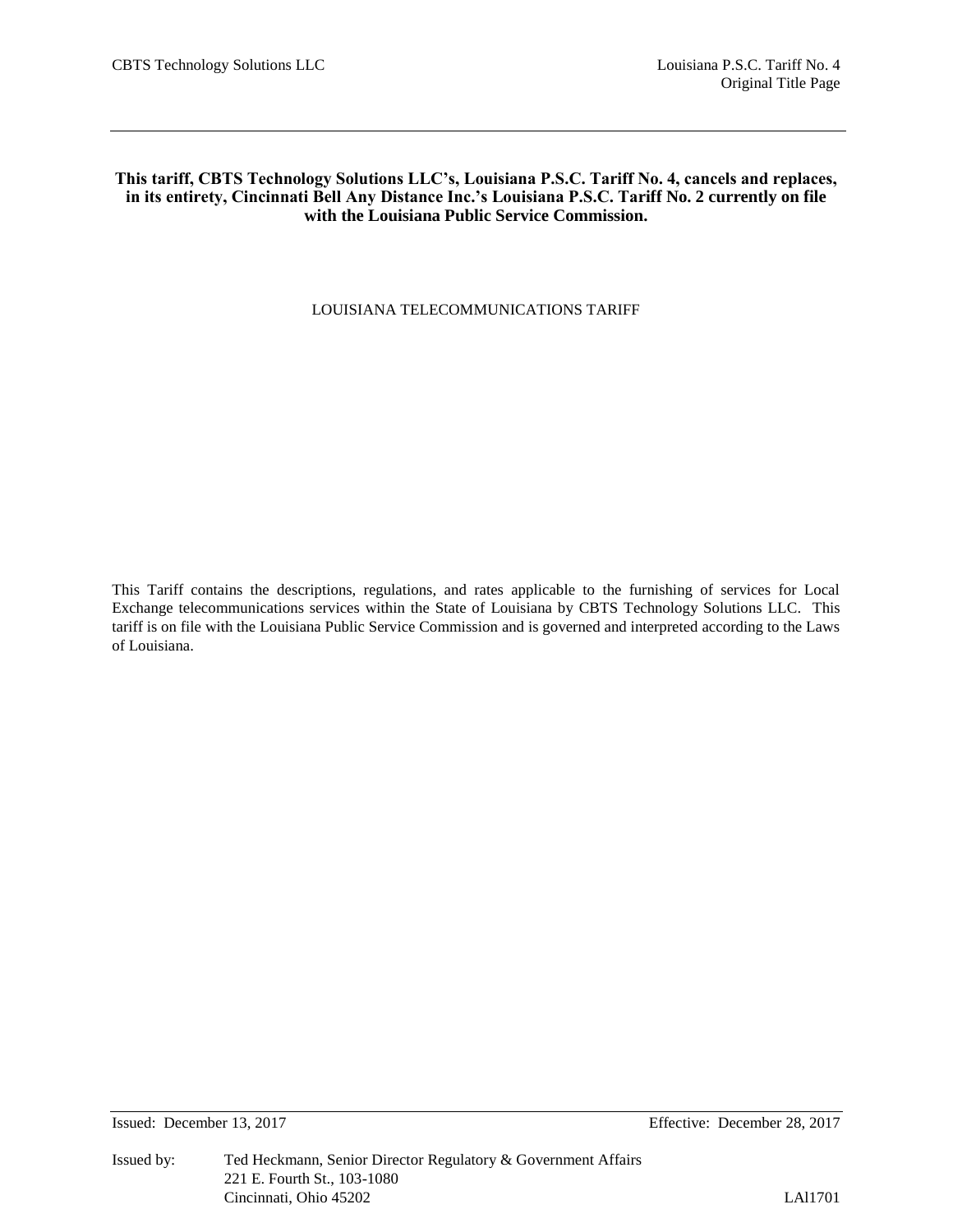## **This tariff, CBTS Technology Solutions LLC's, Louisiana P.S.C. Tariff No. 4, cancels and replaces, in its entirety, Cincinnati Bell Any Distance Inc.'s Louisiana P.S.C. Tariff No. 2 currently on file with the Louisiana Public Service Commission.**

## LOUISIANA TELECOMMUNICATIONS TARIFF

This Tariff contains the descriptions, regulations, and rates applicable to the furnishing of services for Local Exchange telecommunications services within the State of Louisiana by CBTS Technology Solutions LLC. This tariff is on file with the Louisiana Public Service Commission and is governed and interpreted according to the Laws of Louisiana.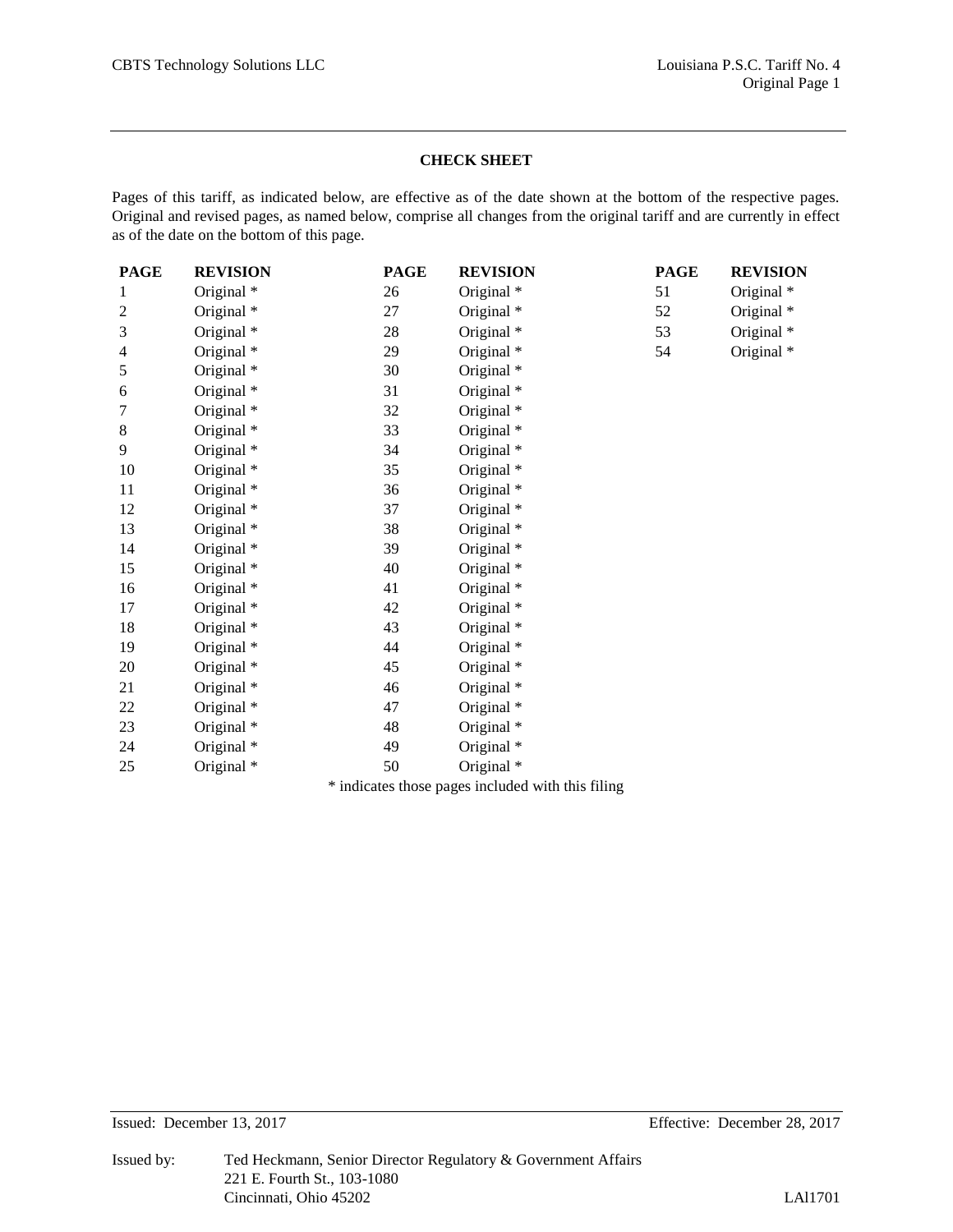#### **CHECK SHEET**

Pages of this tariff, as indicated below, are effective as of the date shown at the bottom of the respective pages. Original and revised pages, as named below, comprise all changes from the original tariff and are currently in effect as of the date on the bottom of this page.

| <b>PAGE</b> | <b>REVISION</b>                                       | <b>PAGE</b> | <b>REVISION</b> | <b>PAGE</b> | <b>REVISION</b> |
|-------------|-------------------------------------------------------|-------------|-----------------|-------------|-----------------|
| 1           | Original *                                            | 26          | Original *      | 51          | Original *      |
| 2           | Original *                                            | 27          | Original *      | 52          | Original *      |
| 3           | Original *                                            | 28          | Original *      | 53          | Original *      |
| 4           | Original *                                            | 29          | Original *      | 54          | Original *      |
| 5           | Original *                                            | 30          | Original *      |             |                 |
| 6           | Original *                                            | 31          | Original *      |             |                 |
| 7           | Original *                                            | 32          | Original *      |             |                 |
| 8           | Original *                                            | 33          | Original *      |             |                 |
| 9           | Original *                                            | 34          | Original *      |             |                 |
| 10          | Original *                                            | 35          | Original *      |             |                 |
| 11          | Original *                                            | 36          | Original *      |             |                 |
| 12          | Original *                                            | 37          | Original *      |             |                 |
| 13          | Original *                                            | 38          | Original *      |             |                 |
| 14          | Original *                                            | 39          | Original *      |             |                 |
| 15          | Original *                                            | 40          | Original *      |             |                 |
| 16          | Original *                                            | 41          | Original *      |             |                 |
| 17          | Original *                                            | 42          | Original *      |             |                 |
| 18          | Original *                                            | 43          | Original *      |             |                 |
| 19          | Original *                                            | 44          | Original *      |             |                 |
| 20          | Original *                                            | 45          | Original *      |             |                 |
| 21          | Original *                                            | 46          | Original *      |             |                 |
| 22          | Original *                                            | 47          | Original *      |             |                 |
| 23          | Original *                                            | 48          | Original *      |             |                 |
| 24          | Original *                                            | 49          | Original *      |             |                 |
| 25          | Original *                                            | 50          | Original *      |             |                 |
|             | $\Phi$ , the official conditional condition of $\Phi$ |             |                 |             |                 |

\* indicates those pages included with this filing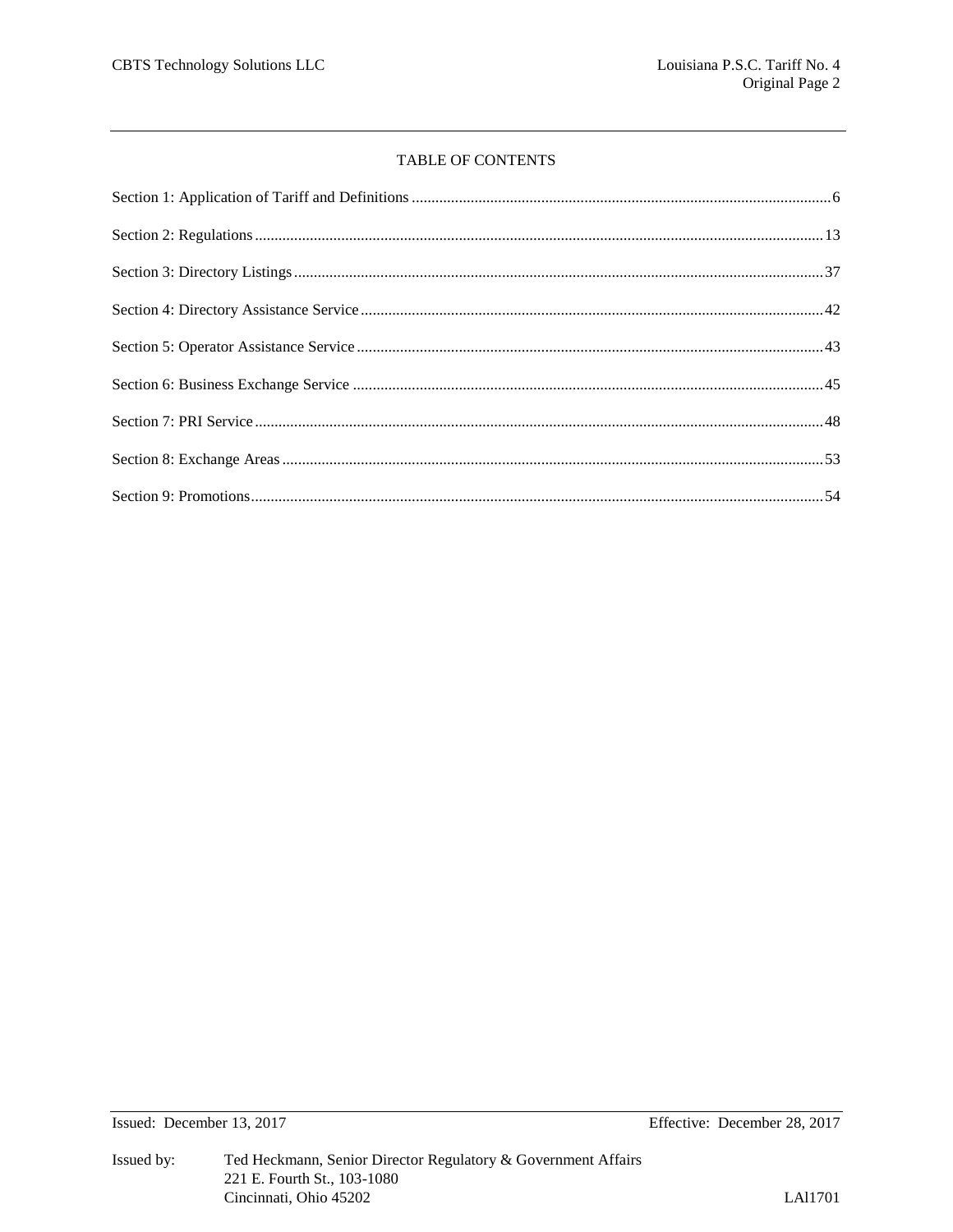#### TABLE OF CONTENTS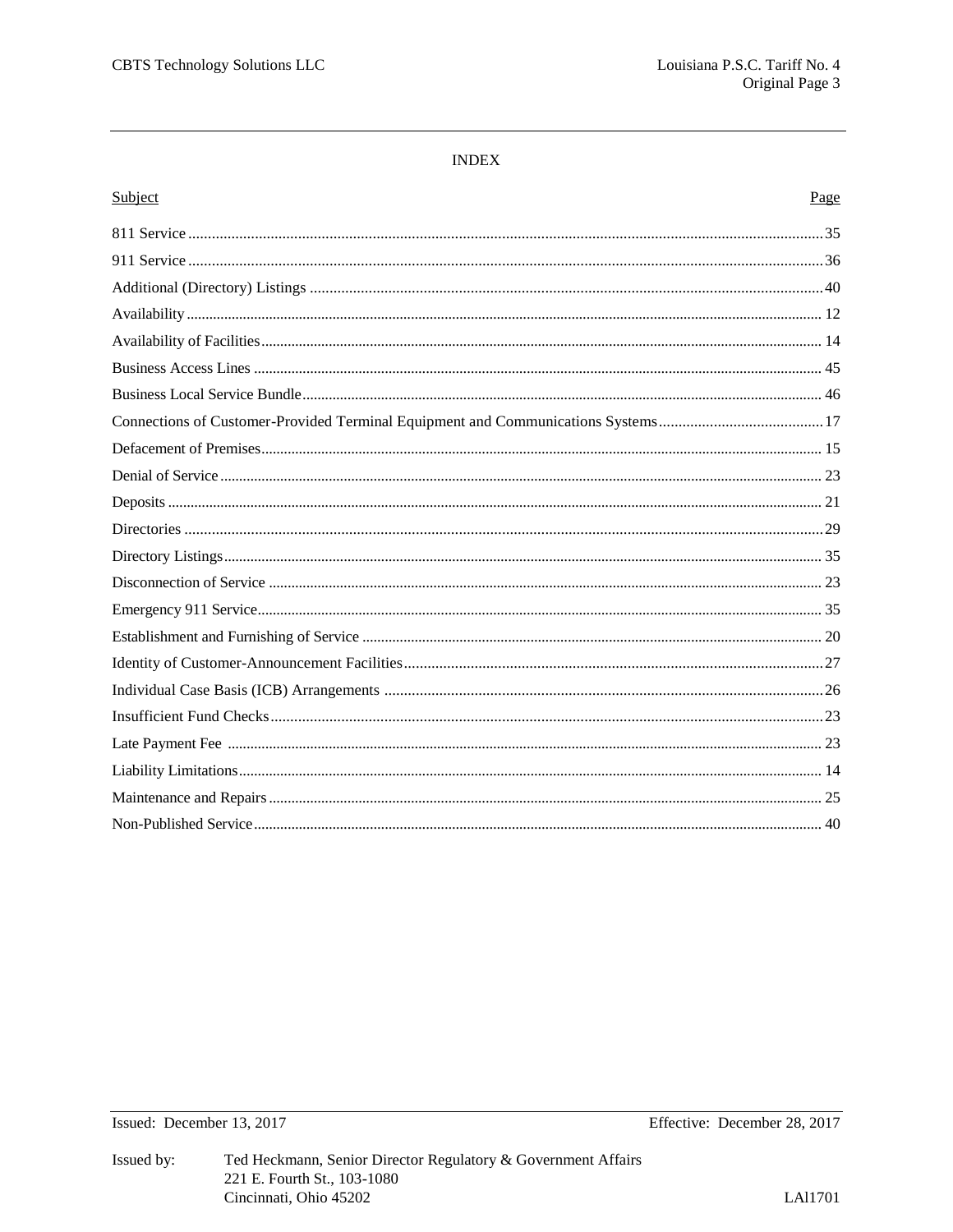#### **INDEX**

| Subject | Page |
|---------|------|
|         |      |
|         |      |
|         |      |
|         |      |
|         |      |
|         |      |
|         |      |
|         |      |
|         |      |
|         |      |
|         |      |
|         |      |
|         |      |
|         |      |
|         |      |
|         |      |
|         |      |
|         |      |
|         |      |
|         |      |
|         |      |
|         |      |
|         |      |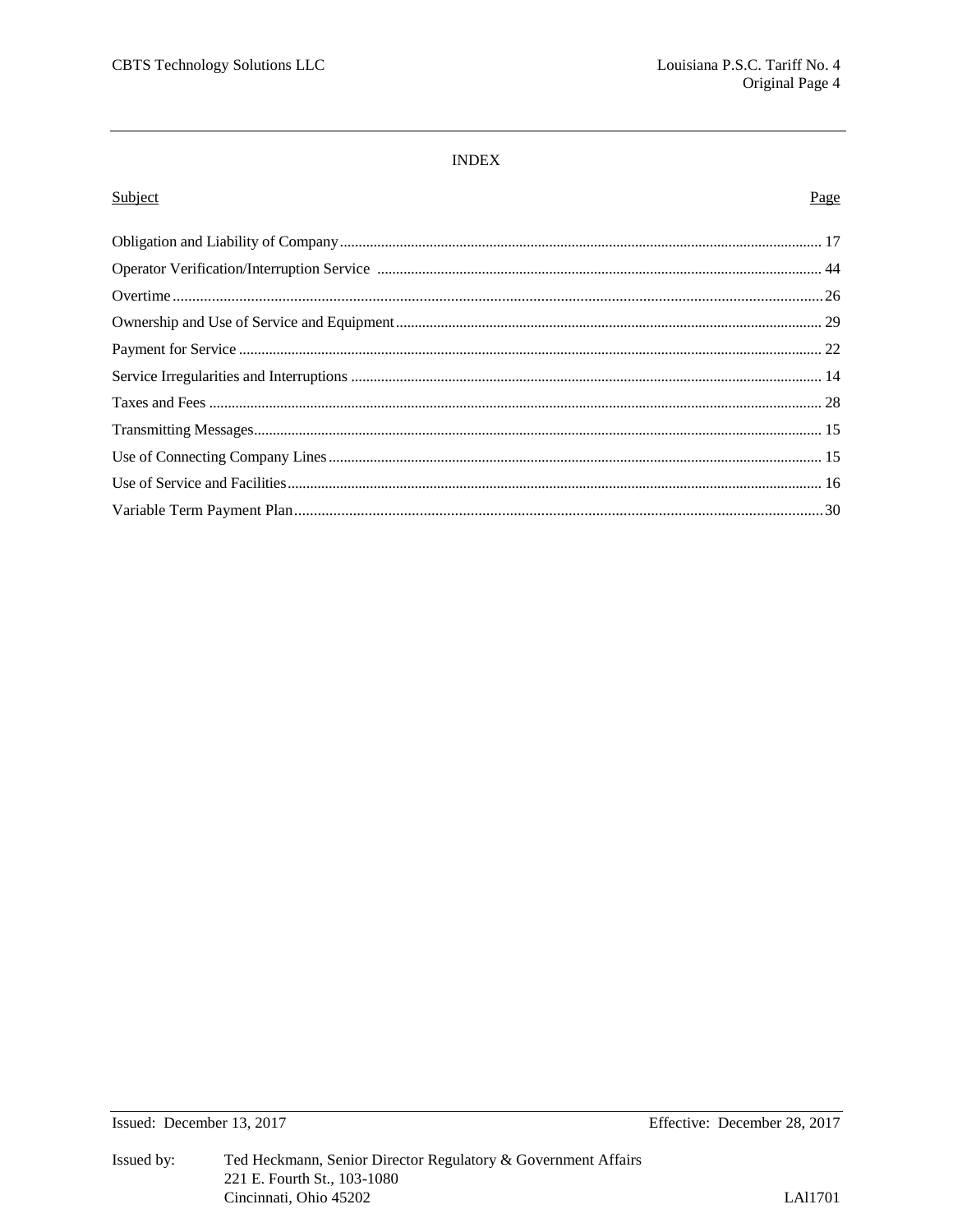#### $\ensuremath{\mathsf{INDEX}}$

#### Subject

# Page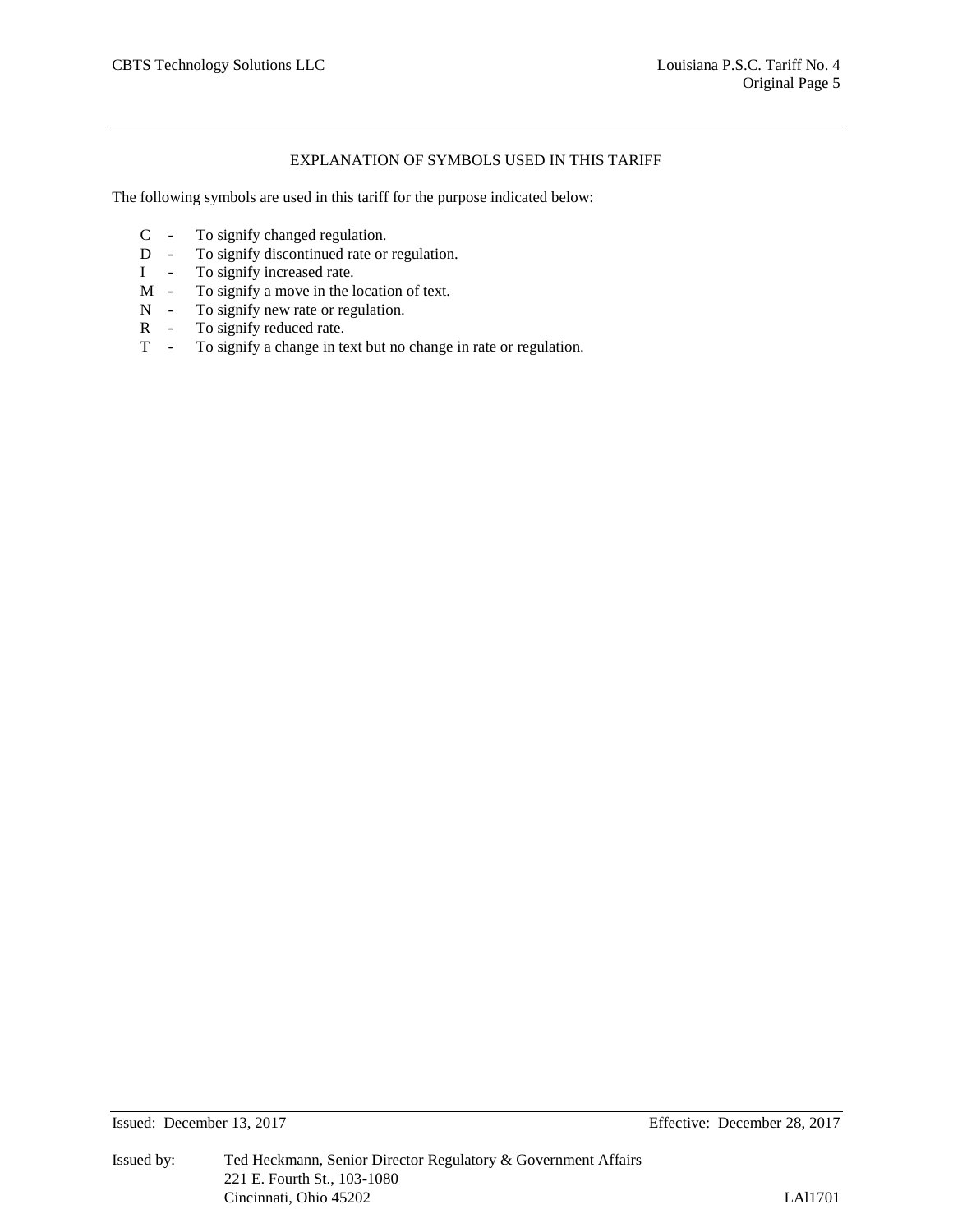#### EXPLANATION OF SYMBOLS USED IN THIS TARIFF

The following symbols are used in this tariff for the purpose indicated below:

- C To signify changed regulation.
- D To signify discontinued rate or regulation.
- I To signify increased rate.
- M To signify a move in the location of text.
- N To signify new rate or regulation.
- R To signify reduced rate.<br>T To signify a change in to
- To signify a change in text but no change in rate or regulation.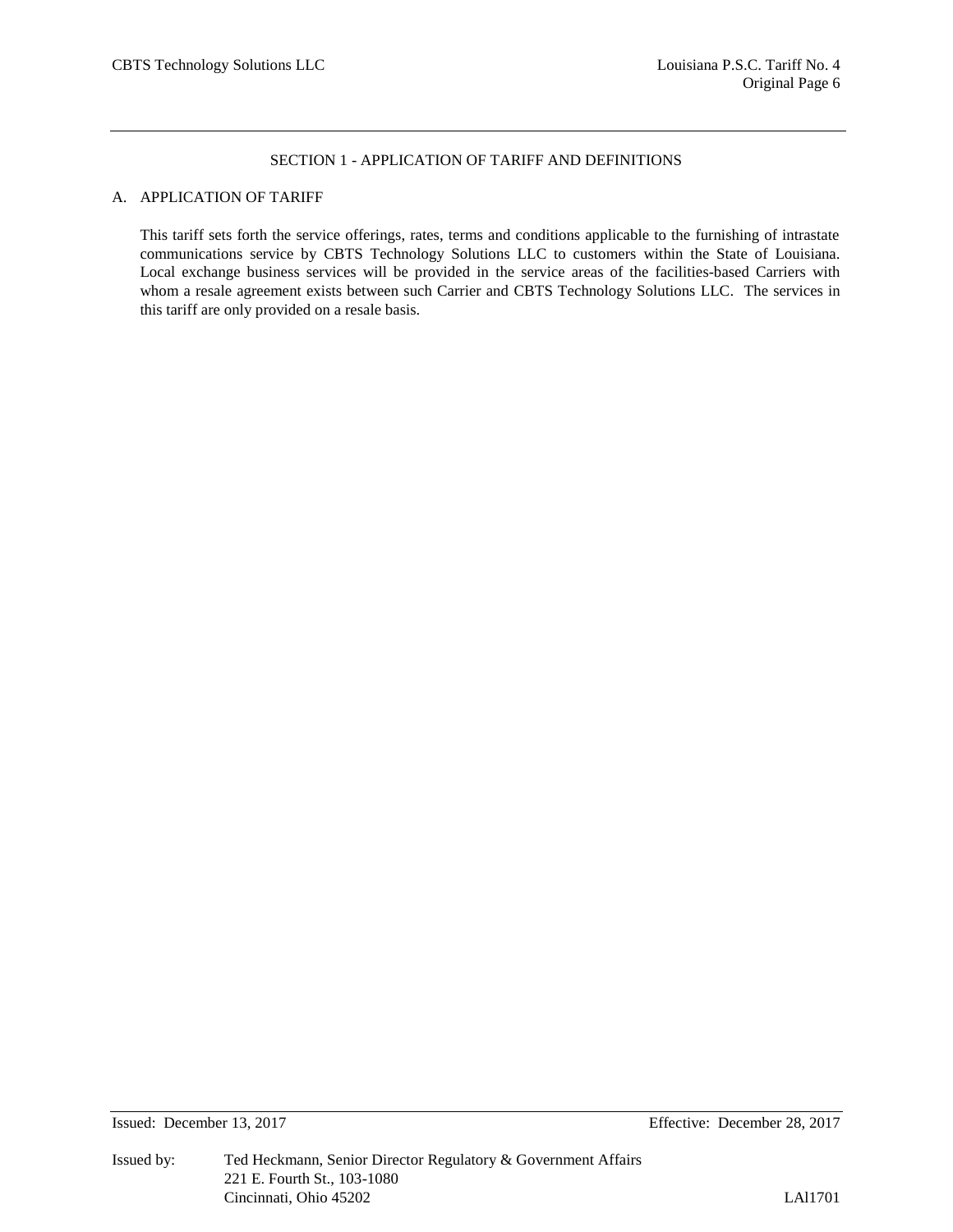## A. APPLICATION OF TARIFF

This tariff sets forth the service offerings, rates, terms and conditions applicable to the furnishing of intrastate communications service by CBTS Technology Solutions LLC to customers within the State of Louisiana. Local exchange business services will be provided in the service areas of the facilities-based Carriers with whom a resale agreement exists between such Carrier and CBTS Technology Solutions LLC. The services in this tariff are only provided on a resale basis.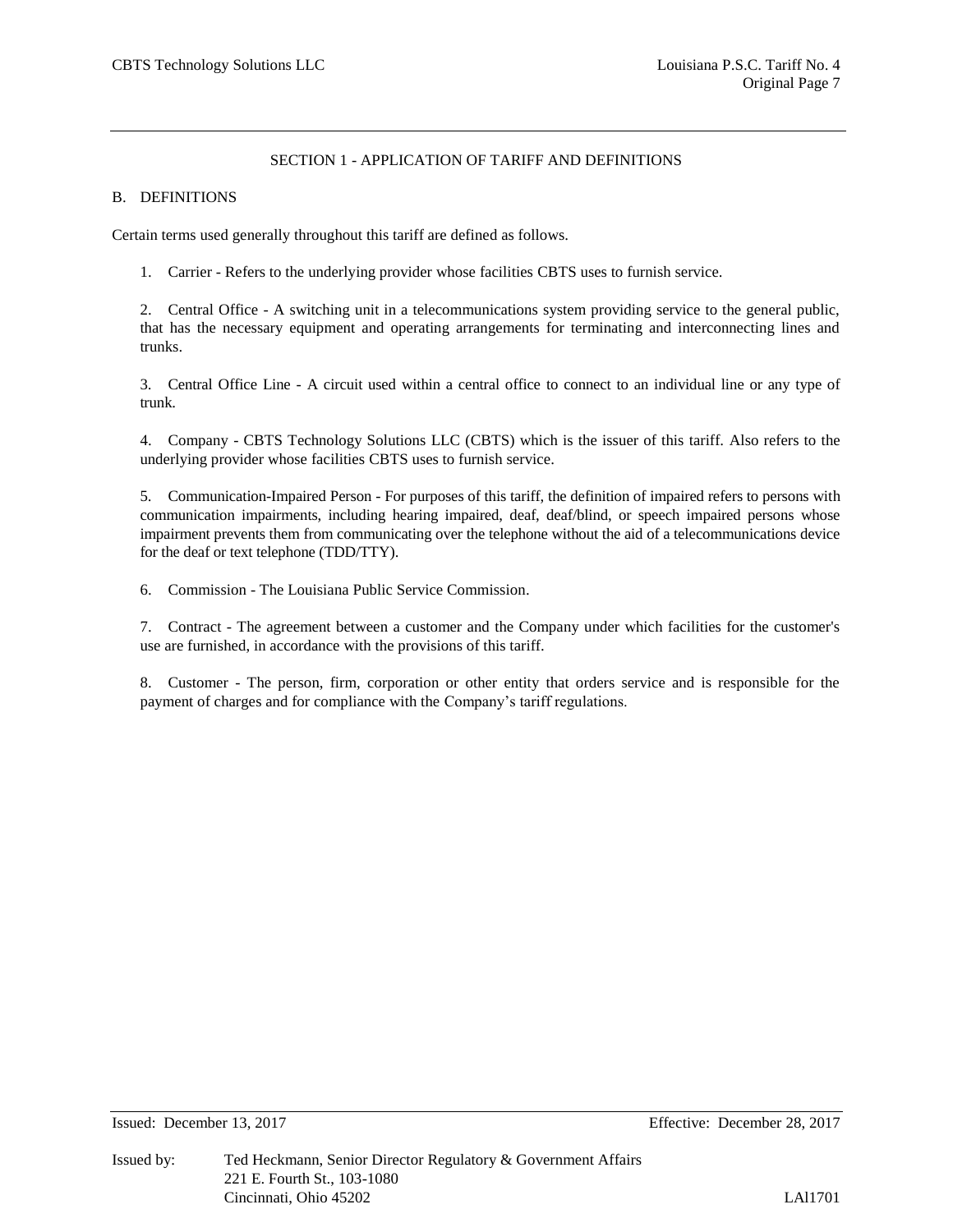#### B. DEFINITIONS

Certain terms used generally throughout this tariff are defined as follows.

1. Carrier - Refers to the underlying provider whose facilities CBTS uses to furnish service.

2. Central Office - A switching unit in a telecommunications system providing service to the general public, that has the necessary equipment and operating arrangements for terminating and interconnecting lines and trunks.

3. Central Office Line - A circuit used within a central office to connect to an individual line or any type of trunk.

4. Company - CBTS Technology Solutions LLC (CBTS) which is the issuer of this tariff. Also refers to the underlying provider whose facilities CBTS uses to furnish service.

5. Communication-Impaired Person - For purposes of this tariff, the definition of impaired refers to persons with communication impairments, including hearing impaired, deaf, deaf/blind, or speech impaired persons whose impairment prevents them from communicating over the telephone without the aid of a telecommunications device for the deaf or text telephone (TDD/TTY).

6. Commission - The Louisiana Public Service Commission.

7. Contract - The agreement between a customer and the Company under which facilities for the customer's use are furnished, in accordance with the provisions of this tariff.

8. Customer - The person, firm, corporation or other entity that orders service and is responsible for the payment of charges and for compliance with the Company's tariff regulations.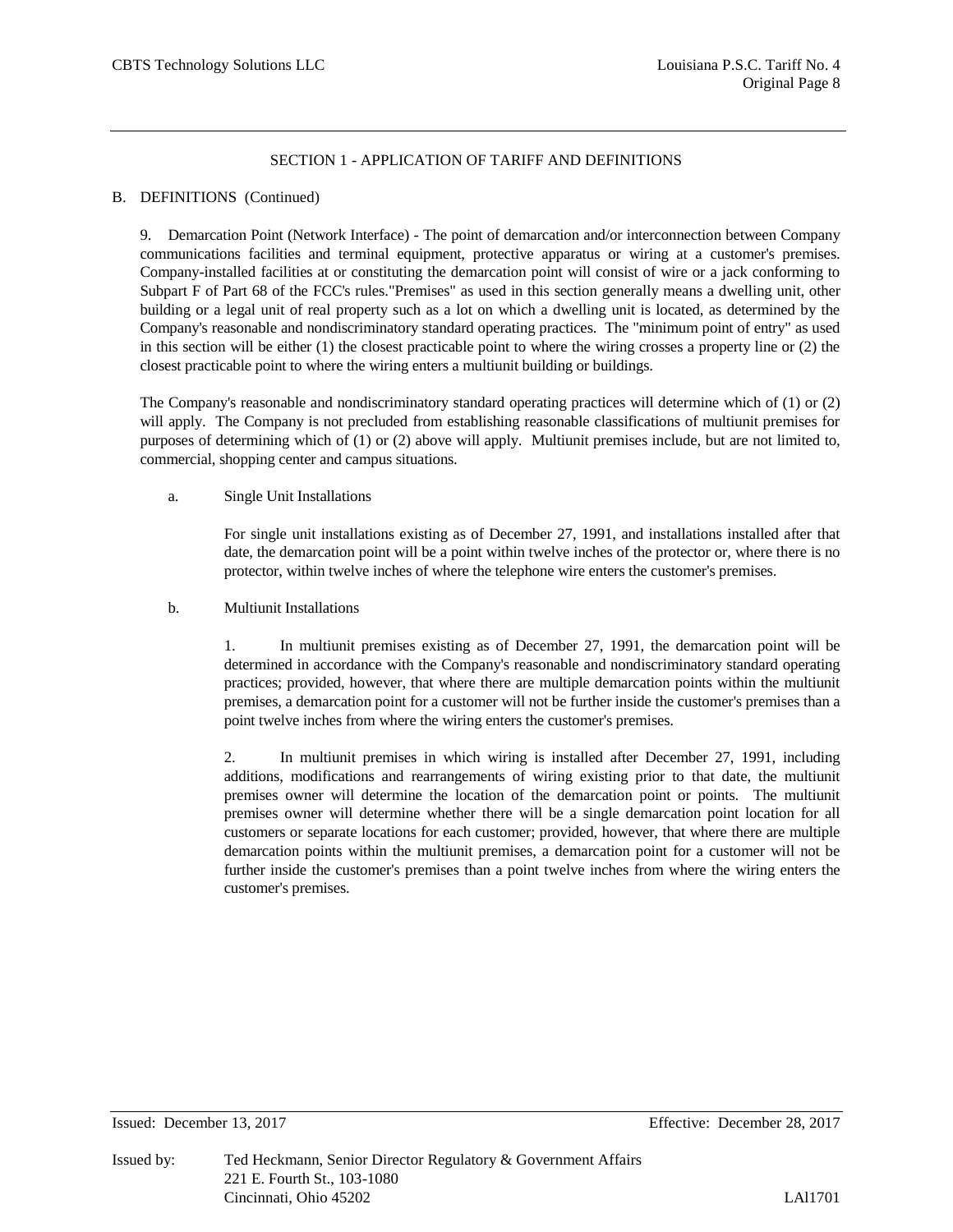#### B. DEFINITIONS (Continued)

9. Demarcation Point (Network Interface) - The point of demarcation and/or interconnection between Company communications facilities and terminal equipment, protective apparatus or wiring at a customer's premises. Company-installed facilities at or constituting the demarcation point will consist of wire or a jack conforming to Subpart F of Part 68 of the FCC's rules."Premises" as used in this section generally means a dwelling unit, other building or a legal unit of real property such as a lot on which a dwelling unit is located, as determined by the Company's reasonable and nondiscriminatory standard operating practices. The "minimum point of entry" as used in this section will be either (1) the closest practicable point to where the wiring crosses a property line or (2) the closest practicable point to where the wiring enters a multiunit building or buildings.

The Company's reasonable and nondiscriminatory standard operating practices will determine which of (1) or (2) will apply. The Company is not precluded from establishing reasonable classifications of multiunit premises for purposes of determining which of (1) or (2) above will apply. Multiunit premises include, but are not limited to, commercial, shopping center and campus situations.

#### a. Single Unit Installations

For single unit installations existing as of December 27, 1991, and installations installed after that date, the demarcation point will be a point within twelve inches of the protector or, where there is no protector, within twelve inches of where the telephone wire enters the customer's premises.

# b. Multiunit Installations

1. In multiunit premises existing as of December 27, 1991, the demarcation point will be determined in accordance with the Company's reasonable and nondiscriminatory standard operating practices; provided, however, that where there are multiple demarcation points within the multiunit premises, a demarcation point for a customer will not be further inside the customer's premises than a point twelve inches from where the wiring enters the customer's premises.

2. In multiunit premises in which wiring is installed after December 27, 1991, including additions, modifications and rearrangements of wiring existing prior to that date, the multiunit premises owner will determine the location of the demarcation point or points. The multiunit premises owner will determine whether there will be a single demarcation point location for all customers or separate locations for each customer; provided, however, that where there are multiple demarcation points within the multiunit premises, a demarcation point for a customer will not be further inside the customer's premises than a point twelve inches from where the wiring enters the customer's premises.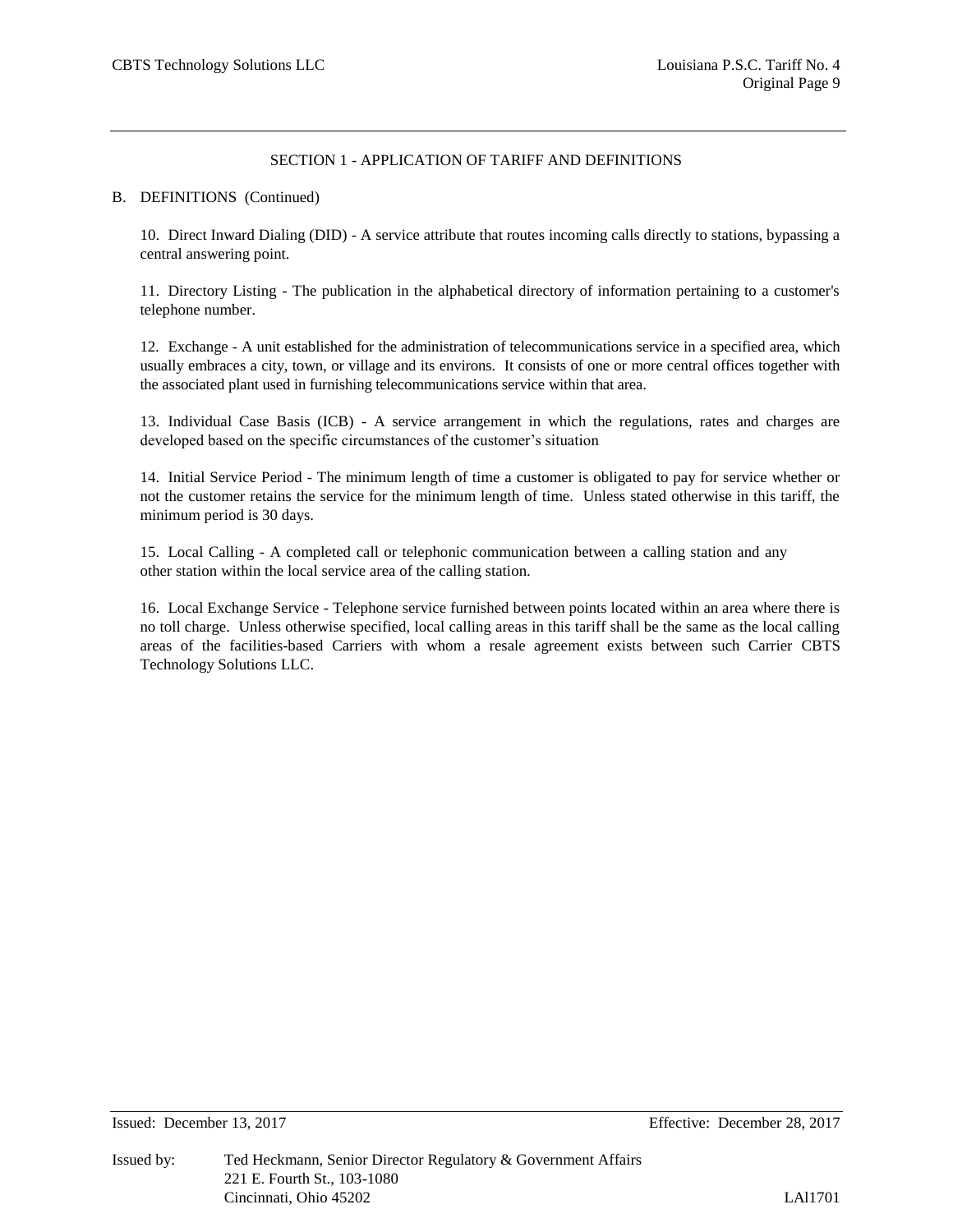#### B. DEFINITIONS (Continued)

10. Direct Inward Dialing (DID) - A service attribute that routes incoming calls directly to stations, bypassing a central answering point.

11. Directory Listing - The publication in the alphabetical directory of information pertaining to a customer's telephone number.

12. Exchange - A unit established for the administration of telecommunications service in a specified area, which usually embraces a city, town, or village and its environs. It consists of one or more central offices together with the associated plant used in furnishing telecommunications service within that area.

13. Individual Case Basis (ICB) - A service arrangement in which the regulations, rates and charges are developed based on the specific circumstances of the customer's situation

14. Initial Service Period - The minimum length of time a customer is obligated to pay for service whether or not the customer retains the service for the minimum length of time. Unless stated otherwise in this tariff, the minimum period is 30 days.

15. Local Calling - A completed call or telephonic communication between a calling station and any other station within the local service area of the calling station.

16. Local Exchange Service - Telephone service furnished between points located within an area where there is no toll charge. Unless otherwise specified, local calling areas in this tariff shall be the same as the local calling areas of the facilities-based Carriers with whom a resale agreement exists between such Carrier CBTS Technology Solutions LLC.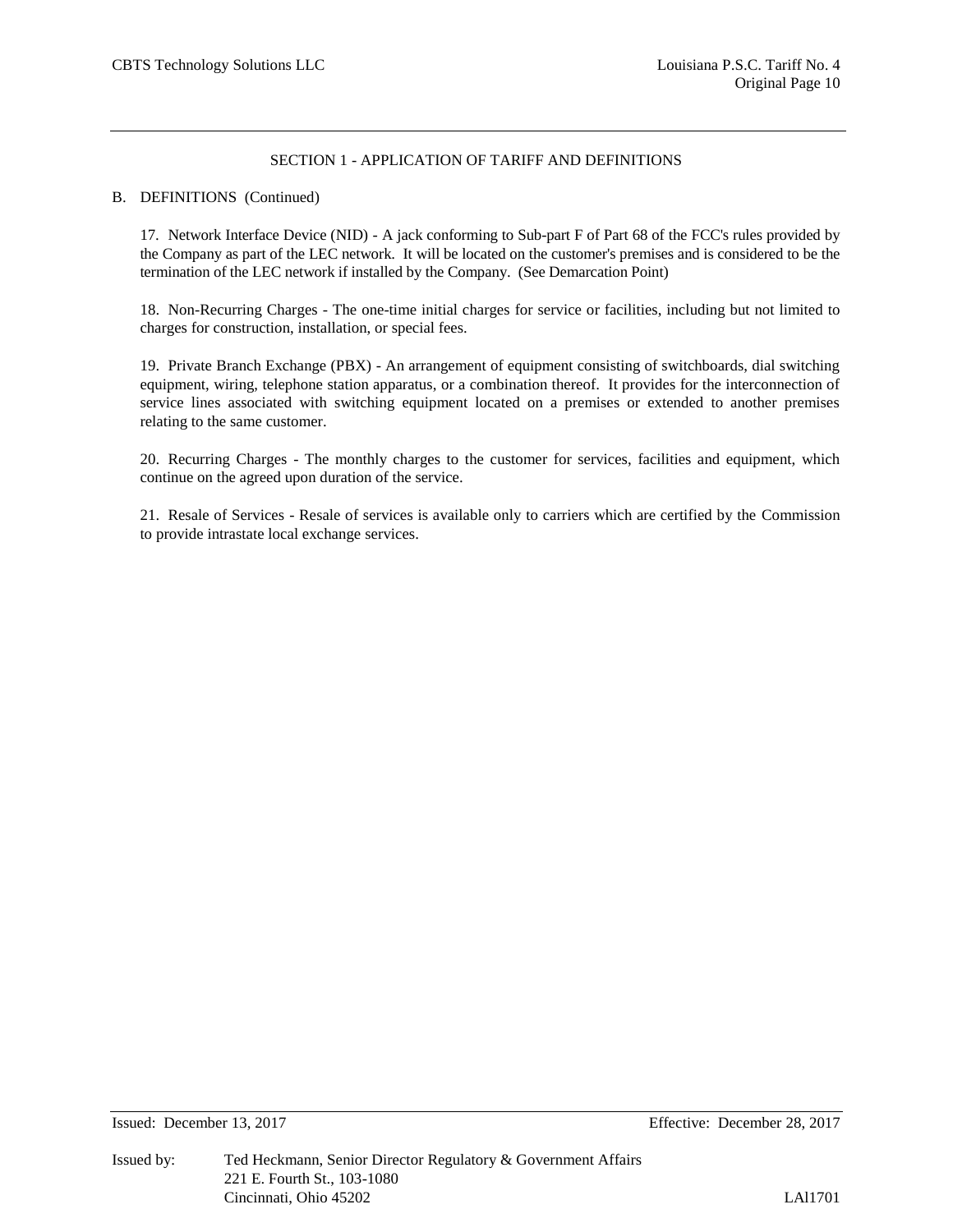#### B. DEFINITIONS (Continued)

17. Network Interface Device (NID) - A jack conforming to Sub-part F of Part 68 of the FCC's rules provided by the Company as part of the LEC network. It will be located on the customer's premises and is considered to be the termination of the LEC network if installed by the Company. (See Demarcation Point)

18. Non-Recurring Charges - The one-time initial charges for service or facilities, including but not limited to charges for construction, installation, or special fees.

19. Private Branch Exchange (PBX) - An arrangement of equipment consisting of switchboards, dial switching equipment, wiring, telephone station apparatus, or a combination thereof. It provides for the interconnection of service lines associated with switching equipment located on a premises or extended to another premises relating to the same customer.

20. Recurring Charges - The monthly charges to the customer for services, facilities and equipment, which continue on the agreed upon duration of the service.

21. Resale of Services - Resale of services is available only to carriers which are certified by the Commission to provide intrastate local exchange services.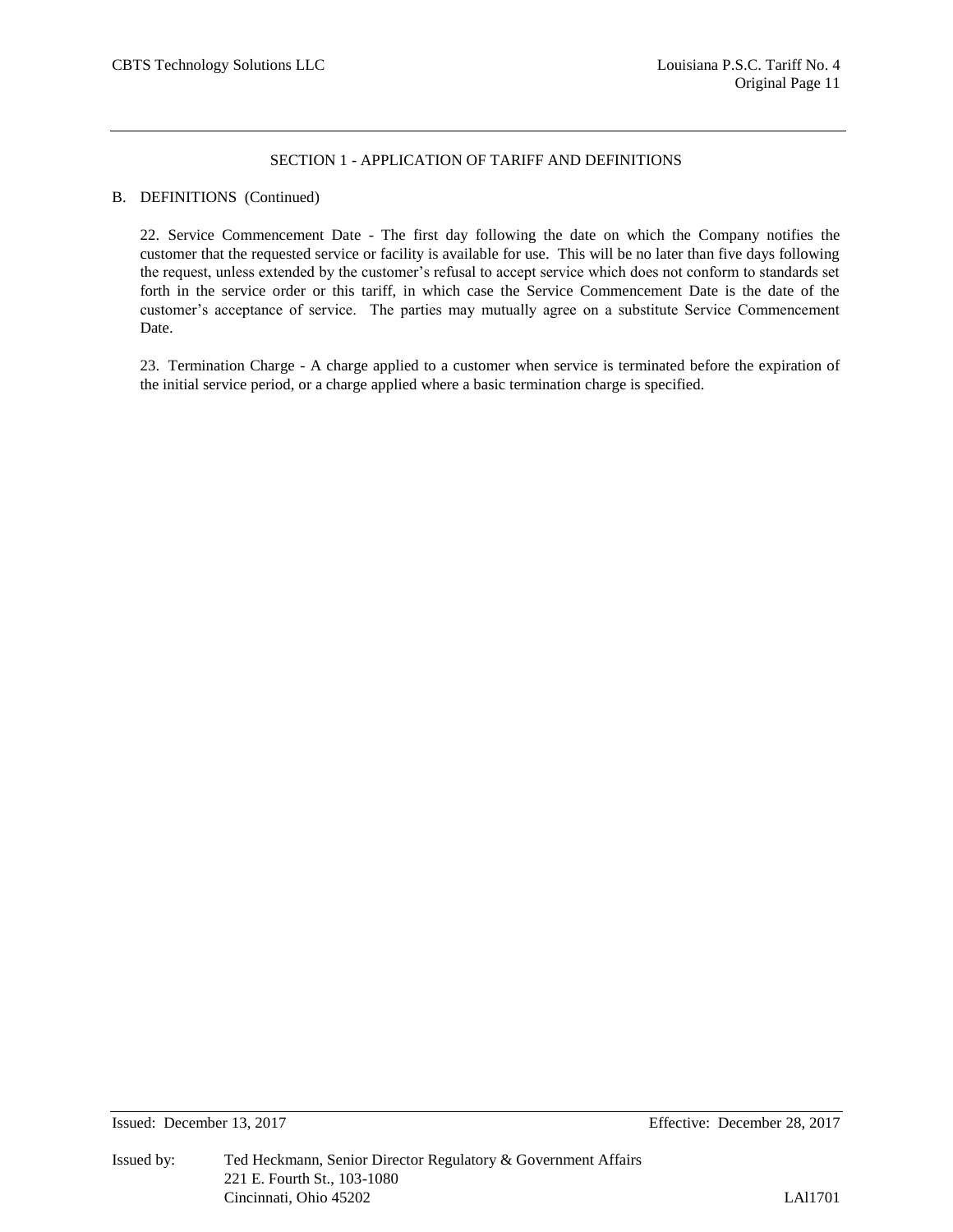#### B. DEFINITIONS (Continued)

22. Service Commencement Date - The first day following the date on which the Company notifies the customer that the requested service or facility is available for use. This will be no later than five days following the request, unless extended by the customer's refusal to accept service which does not conform to standards set forth in the service order or this tariff, in which case the Service Commencement Date is the date of the customer's acceptance of service. The parties may mutually agree on a substitute Service Commencement Date.

23. Termination Charge - A charge applied to a customer when service is terminated before the expiration of the initial service period, or a charge applied where a basic termination charge is specified.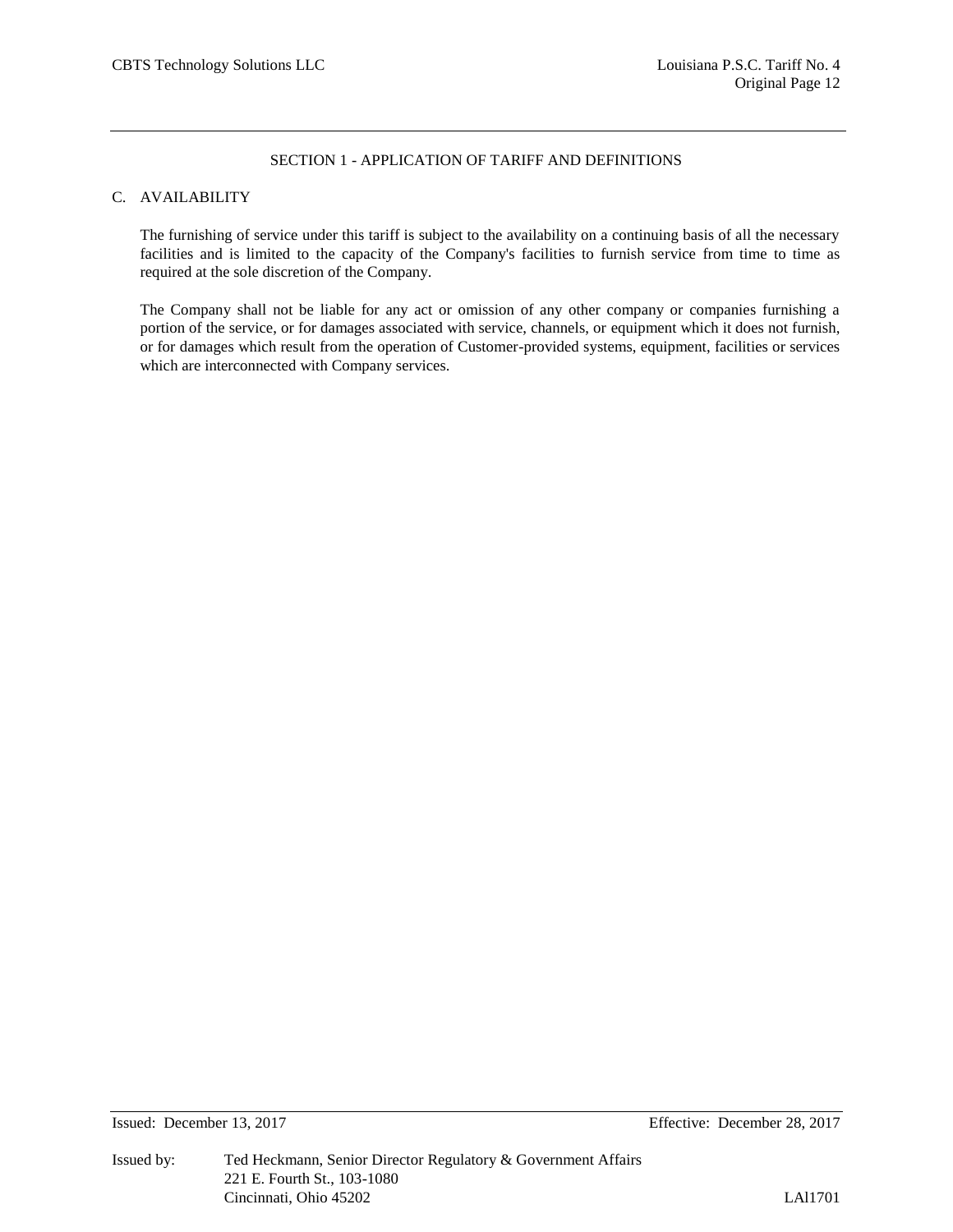# C. AVAILABILITY

The furnishing of service under this tariff is subject to the availability on a continuing basis of all the necessary facilities and is limited to the capacity of the Company's facilities to furnish service from time to time as required at the sole discretion of the Company.

The Company shall not be liable for any act or omission of any other company or companies furnishing a portion of the service, or for damages associated with service, channels, or equipment which it does not furnish, or for damages which result from the operation of Customer-provided systems, equipment, facilities or services which are interconnected with Company services.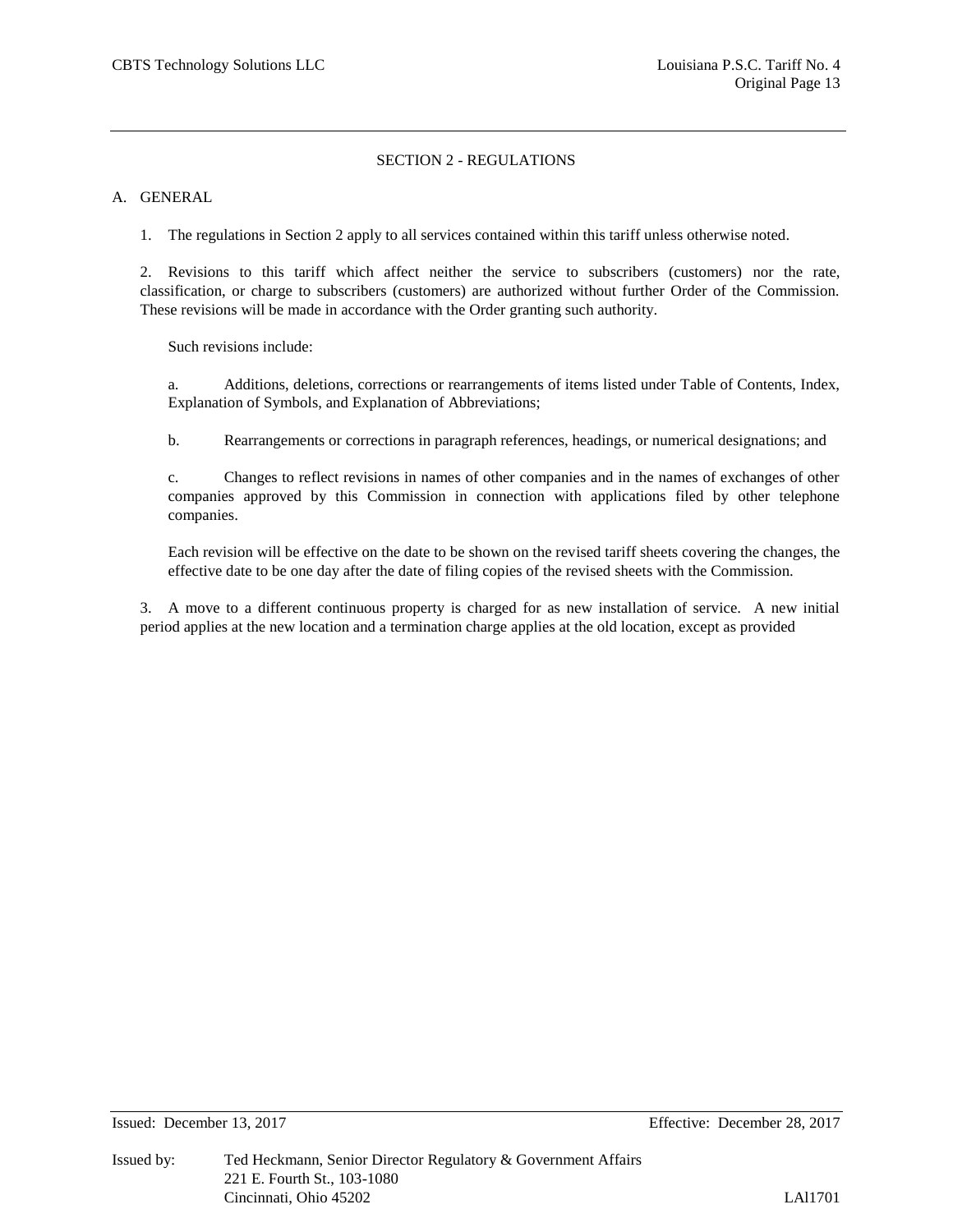#### A. GENERAL

1. The regulations in Section 2 apply to all services contained within this tariff unless otherwise noted.

2. Revisions to this tariff which affect neither the service to subscribers (customers) nor the rate, classification, or charge to subscribers (customers) are authorized without further Order of the Commission. These revisions will be made in accordance with the Order granting such authority.

Such revisions include:

a. Additions, deletions, corrections or rearrangements of items listed under Table of Contents, Index, Explanation of Symbols, and Explanation of Abbreviations;

b. Rearrangements or corrections in paragraph references, headings, or numerical designations; and

c. Changes to reflect revisions in names of other companies and in the names of exchanges of other companies approved by this Commission in connection with applications filed by other telephone companies.

Each revision will be effective on the date to be shown on the revised tariff sheets covering the changes, the effective date to be one day after the date of filing copies of the revised sheets with the Commission.

3. A move to a different continuous property is charged for as new installation of service. A new initial period applies at the new location and a termination charge applies at the old location, except as provided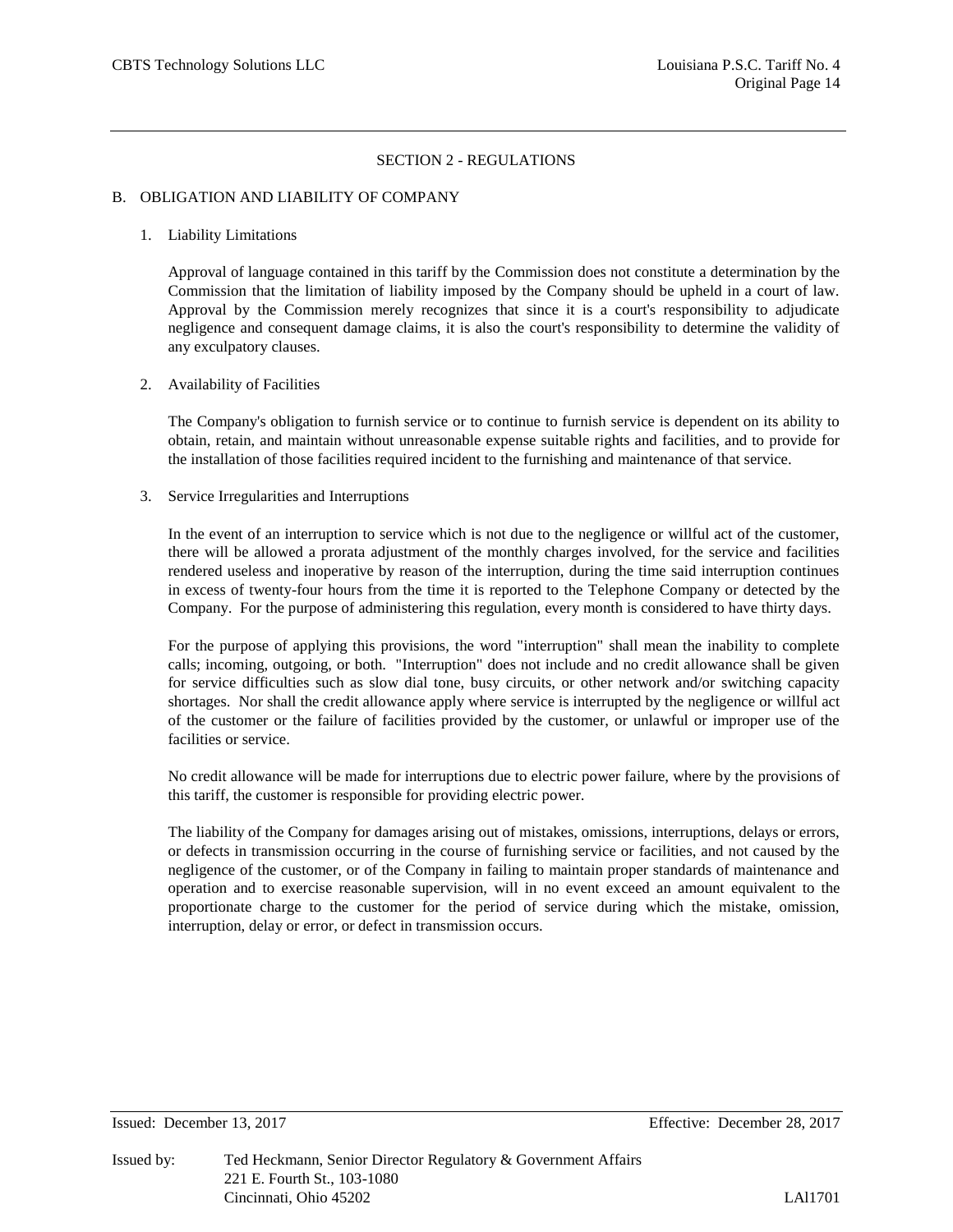#### B. OBLIGATION AND LIABILITY OF COMPANY

#### 1. Liability Limitations

Approval of language contained in this tariff by the Commission does not constitute a determination by the Commission that the limitation of liability imposed by the Company should be upheld in a court of law. Approval by the Commission merely recognizes that since it is a court's responsibility to adjudicate negligence and consequent damage claims, it is also the court's responsibility to determine the validity of any exculpatory clauses.

#### 2. Availability of Facilities

The Company's obligation to furnish service or to continue to furnish service is dependent on its ability to obtain, retain, and maintain without unreasonable expense suitable rights and facilities, and to provide for the installation of those facilities required incident to the furnishing and maintenance of that service.

#### 3. Service Irregularities and Interruptions

In the event of an interruption to service which is not due to the negligence or willful act of the customer, there will be allowed a prorata adjustment of the monthly charges involved, for the service and facilities rendered useless and inoperative by reason of the interruption, during the time said interruption continues in excess of twenty-four hours from the time it is reported to the Telephone Company or detected by the Company. For the purpose of administering this regulation, every month is considered to have thirty days.

For the purpose of applying this provisions, the word "interruption" shall mean the inability to complete calls; incoming, outgoing, or both. "Interruption" does not include and no credit allowance shall be given for service difficulties such as slow dial tone, busy circuits, or other network and/or switching capacity shortages. Nor shall the credit allowance apply where service is interrupted by the negligence or willful act of the customer or the failure of facilities provided by the customer, or unlawful or improper use of the facilities or service.

No credit allowance will be made for interruptions due to electric power failure, where by the provisions of this tariff, the customer is responsible for providing electric power.

The liability of the Company for damages arising out of mistakes, omissions, interruptions, delays or errors, or defects in transmission occurring in the course of furnishing service or facilities, and not caused by the negligence of the customer, or of the Company in failing to maintain proper standards of maintenance and operation and to exercise reasonable supervision, will in no event exceed an amount equivalent to the proportionate charge to the customer for the period of service during which the mistake, omission, interruption, delay or error, or defect in transmission occurs.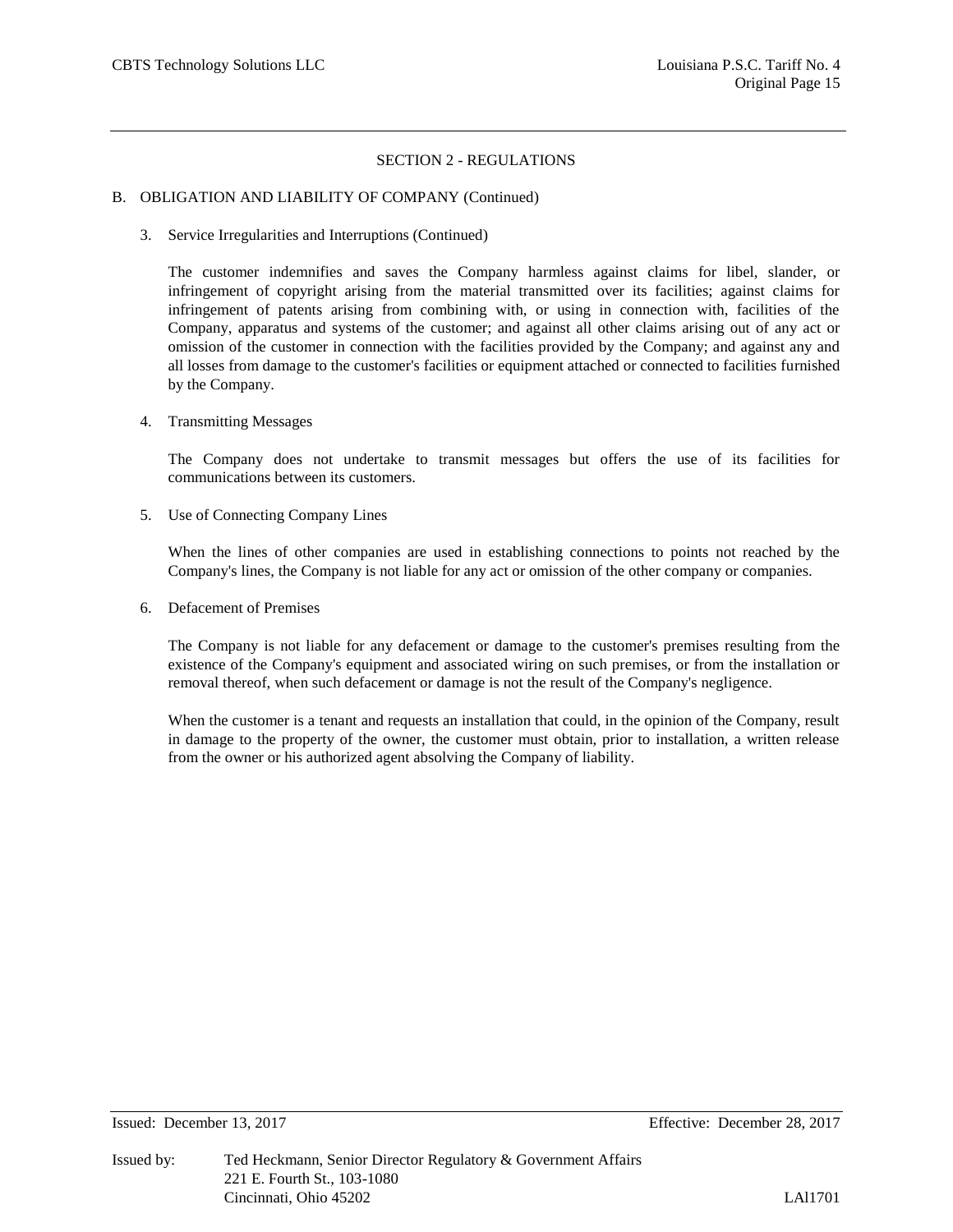#### B. OBLIGATION AND LIABILITY OF COMPANY (Continued)

3. Service Irregularities and Interruptions (Continued)

The customer indemnifies and saves the Company harmless against claims for libel, slander, or infringement of copyright arising from the material transmitted over its facilities; against claims for infringement of patents arising from combining with, or using in connection with, facilities of the Company, apparatus and systems of the customer; and against all other claims arising out of any act or omission of the customer in connection with the facilities provided by the Company; and against any and all losses from damage to the customer's facilities or equipment attached or connected to facilities furnished by the Company.

4. Transmitting Messages

The Company does not undertake to transmit messages but offers the use of its facilities for communications between its customers.

5. Use of Connecting Company Lines

When the lines of other companies are used in establishing connections to points not reached by the Company's lines, the Company is not liable for any act or omission of the other company or companies.

6. Defacement of Premises

The Company is not liable for any defacement or damage to the customer's premises resulting from the existence of the Company's equipment and associated wiring on such premises, or from the installation or removal thereof, when such defacement or damage is not the result of the Company's negligence.

When the customer is a tenant and requests an installation that could, in the opinion of the Company, result in damage to the property of the owner, the customer must obtain, prior to installation, a written release from the owner or his authorized agent absolving the Company of liability.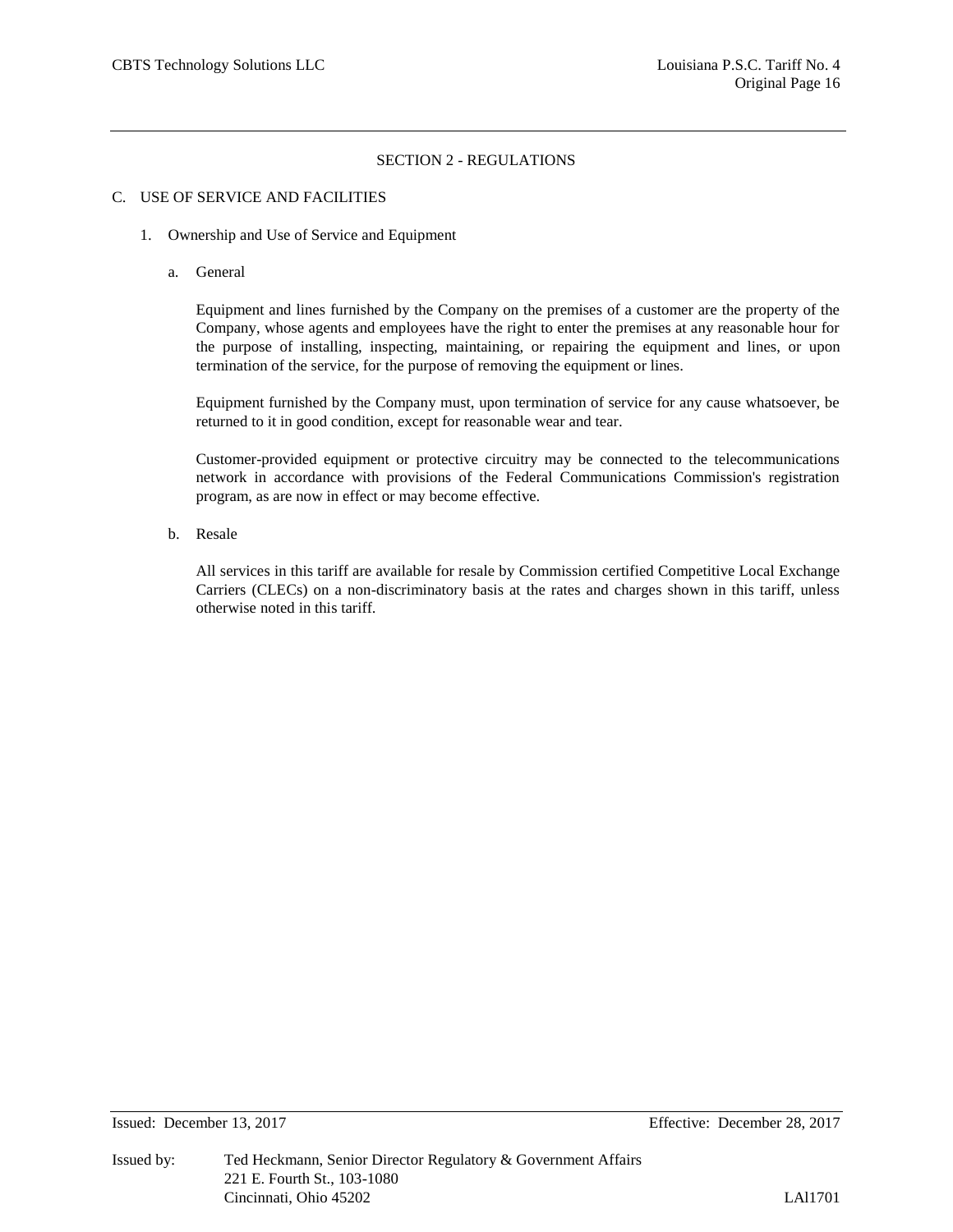#### C. USE OF SERVICE AND FACILITIES

- 1. Ownership and Use of Service and Equipment
	- a. General

Equipment and lines furnished by the Company on the premises of a customer are the property of the Company, whose agents and employees have the right to enter the premises at any reasonable hour for the purpose of installing, inspecting, maintaining, or repairing the equipment and lines, or upon termination of the service, for the purpose of removing the equipment or lines.

Equipment furnished by the Company must, upon termination of service for any cause whatsoever, be returned to it in good condition, except for reasonable wear and tear.

Customer-provided equipment or protective circuitry may be connected to the telecommunications network in accordance with provisions of the Federal Communications Commission's registration program, as are now in effect or may become effective.

b. Resale

All services in this tariff are available for resale by Commission certified Competitive Local Exchange Carriers (CLECs) on a non-discriminatory basis at the rates and charges shown in this tariff, unless otherwise noted in this tariff.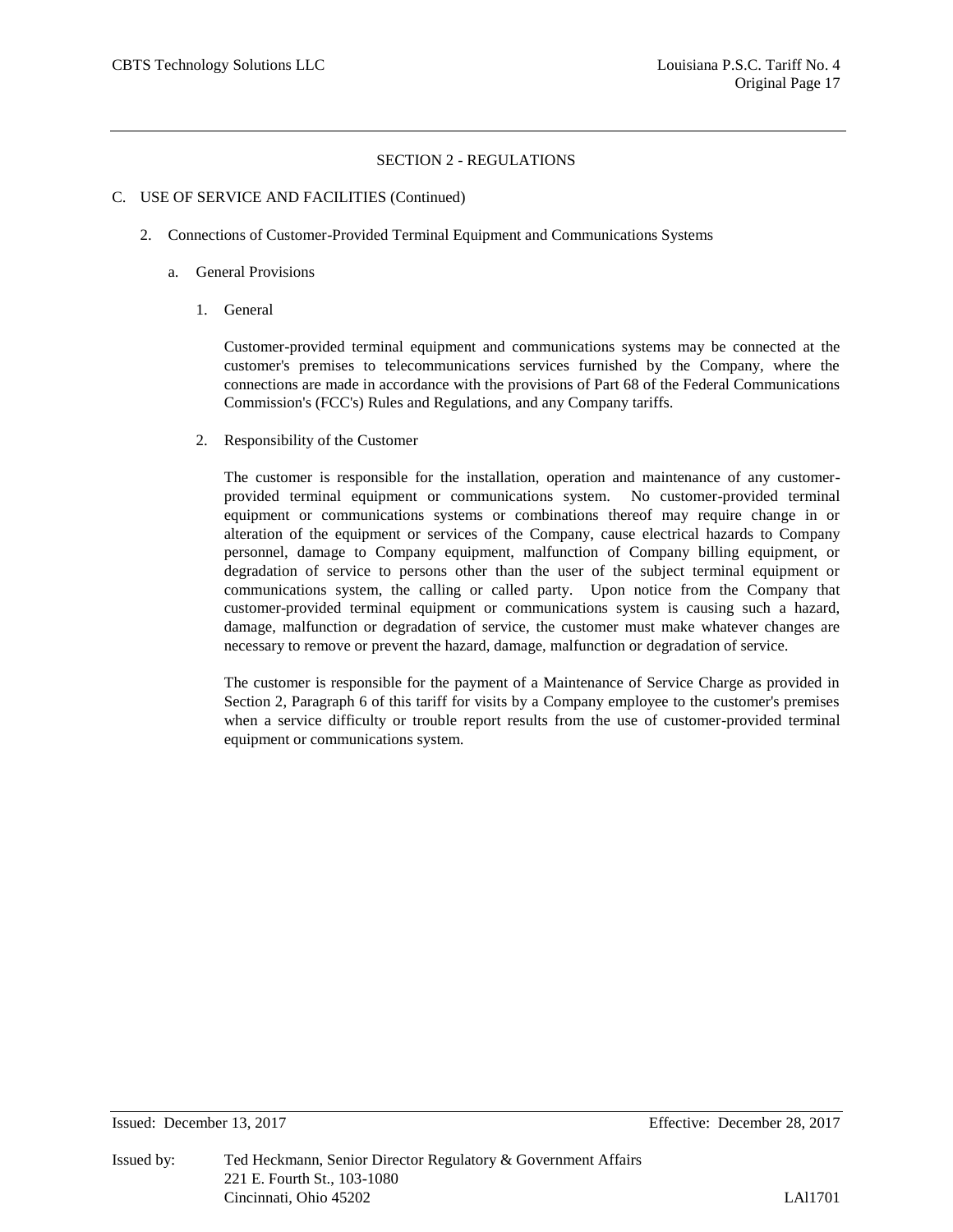## C. USE OF SERVICE AND FACILITIES (Continued)

- 2. Connections of Customer-Provided Terminal Equipment and Communications Systems
	- a. General Provisions
		- 1. General

Customer-provided terminal equipment and communications systems may be connected at the customer's premises to telecommunications services furnished by the Company, where the connections are made in accordance with the provisions of Part 68 of the Federal Communications Commission's (FCC's) Rules and Regulations, and any Company tariffs.

2. Responsibility of the Customer

The customer is responsible for the installation, operation and maintenance of any customerprovided terminal equipment or communications system. No customer-provided terminal equipment or communications systems or combinations thereof may require change in or alteration of the equipment or services of the Company, cause electrical hazards to Company personnel, damage to Company equipment, malfunction of Company billing equipment, or degradation of service to persons other than the user of the subject terminal equipment or communications system, the calling or called party. Upon notice from the Company that customer-provided terminal equipment or communications system is causing such a hazard, damage, malfunction or degradation of service, the customer must make whatever changes are necessary to remove or prevent the hazard, damage, malfunction or degradation of service.

The customer is responsible for the payment of a Maintenance of Service Charge as provided in Section 2, Paragraph 6 of this tariff for visits by a Company employee to the customer's premises when a service difficulty or trouble report results from the use of customer-provided terminal equipment or communications system.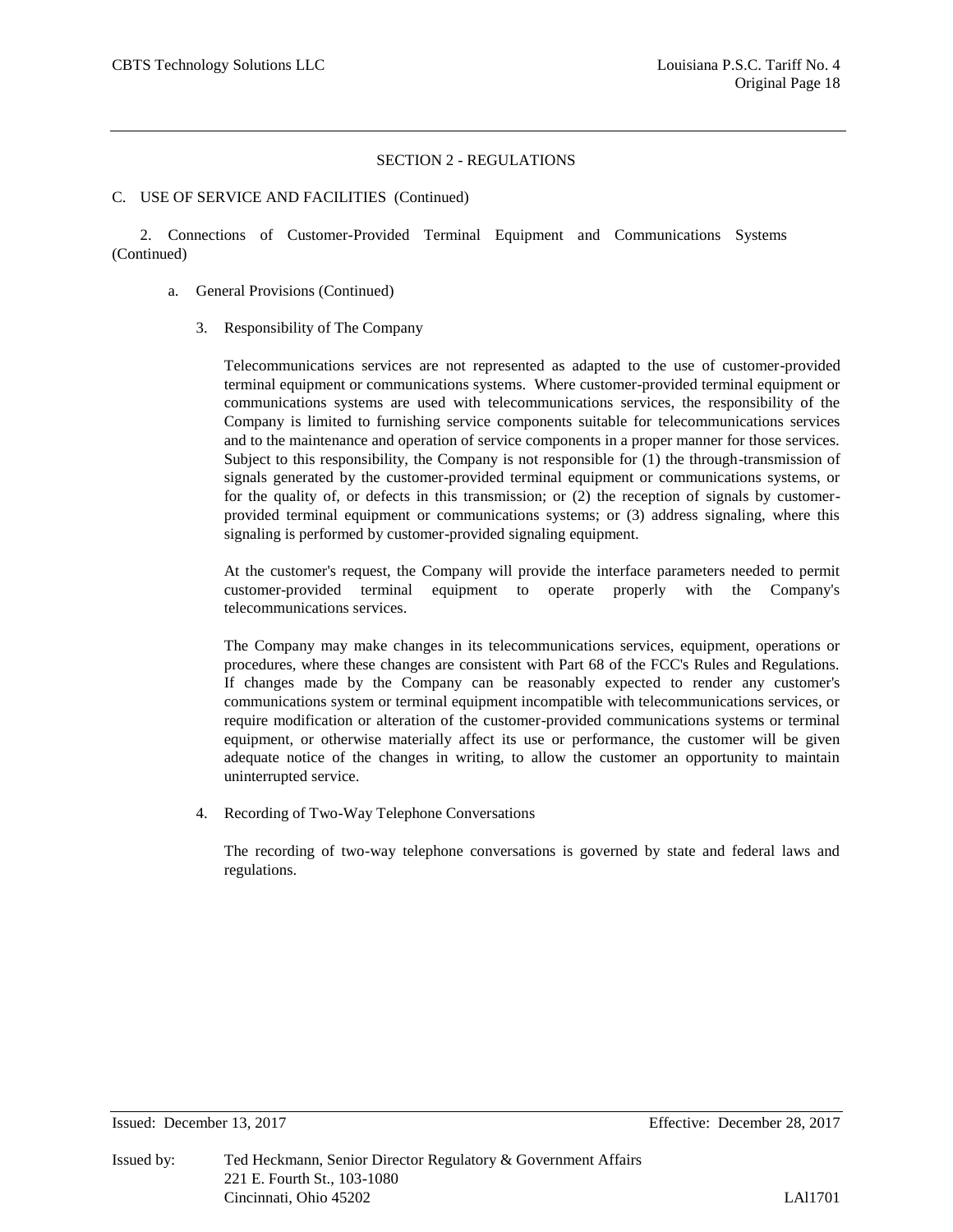#### C. USE OF SERVICE AND FACILITIES (Continued)

2. Connections of Customer-Provided Terminal Equipment and Communications Systems (Continued)

- a. General Provisions (Continued)
	- 3. Responsibility of The Company

Telecommunications services are not represented as adapted to the use of customer-provided terminal equipment or communications systems. Where customer-provided terminal equipment or communications systems are used with telecommunications services, the responsibility of the Company is limited to furnishing service components suitable for telecommunications services and to the maintenance and operation of service components in a proper manner for those services. Subject to this responsibility, the Company is not responsible for (1) the through-transmission of signals generated by the customer-provided terminal equipment or communications systems, or for the quality of, or defects in this transmission; or (2) the reception of signals by customerprovided terminal equipment or communications systems; or (3) address signaling, where this signaling is performed by customer-provided signaling equipment.

At the customer's request, the Company will provide the interface parameters needed to permit customer-provided terminal equipment to operate properly with the Company's telecommunications services.

The Company may make changes in its telecommunications services, equipment, operations or procedures, where these changes are consistent with Part 68 of the FCC's Rules and Regulations. If changes made by the Company can be reasonably expected to render any customer's communications system or terminal equipment incompatible with telecommunications services, or require modification or alteration of the customer-provided communications systems or terminal equipment, or otherwise materially affect its use or performance, the customer will be given adequate notice of the changes in writing, to allow the customer an opportunity to maintain uninterrupted service.

4. Recording of Two-Way Telephone Conversations

The recording of two-way telephone conversations is governed by state and federal laws and regulations.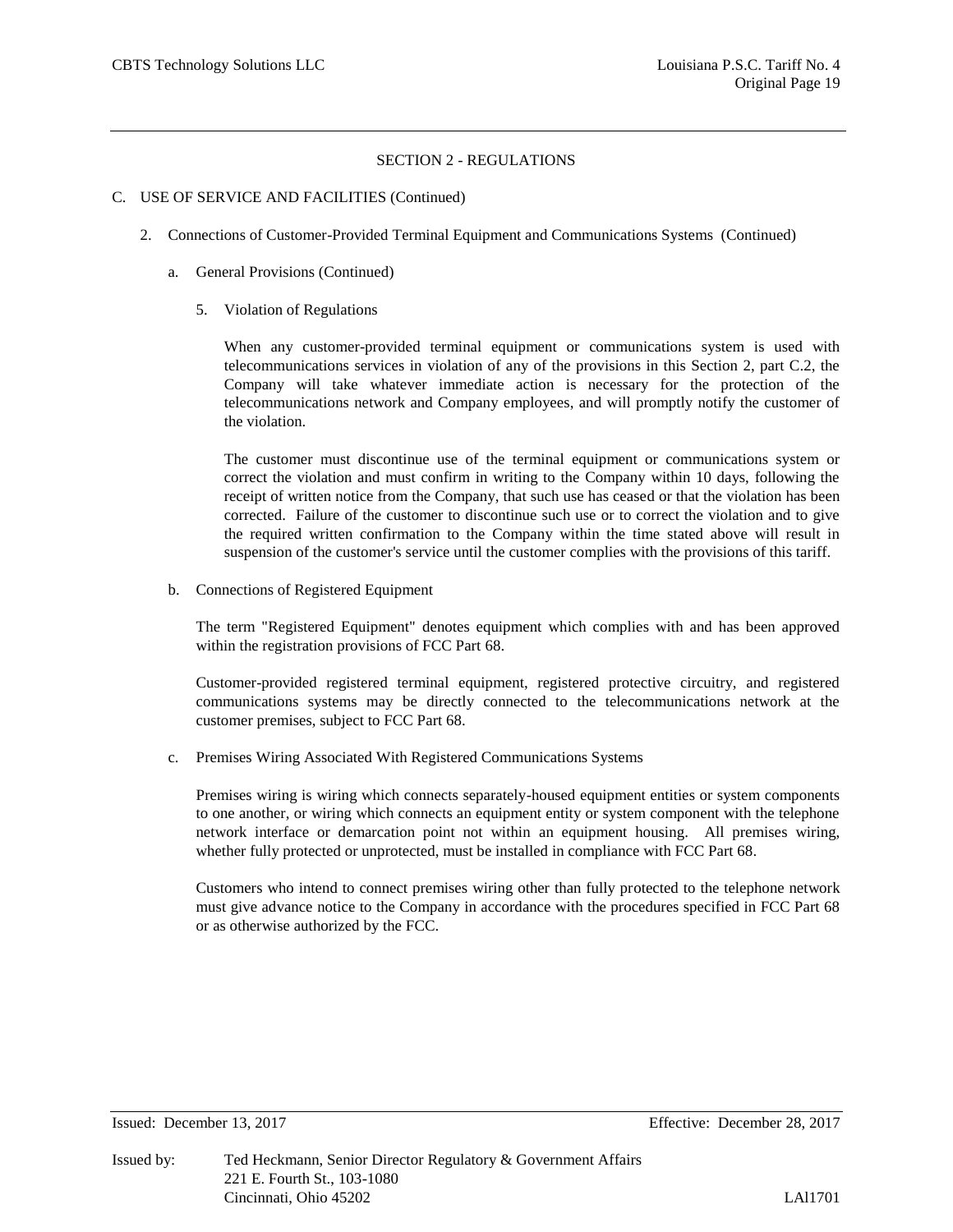#### C. USE OF SERVICE AND FACILITIES (Continued)

- 2. Connections of Customer-Provided Terminal Equipment and Communications Systems (Continued)
	- a. General Provisions (Continued)
		- 5. Violation of Regulations

When any customer-provided terminal equipment or communications system is used with telecommunications services in violation of any of the provisions in this Section 2, part C.2, the Company will take whatever immediate action is necessary for the protection of the telecommunications network and Company employees, and will promptly notify the customer of the violation.

The customer must discontinue use of the terminal equipment or communications system or correct the violation and must confirm in writing to the Company within 10 days, following the receipt of written notice from the Company, that such use has ceased or that the violation has been corrected. Failure of the customer to discontinue such use or to correct the violation and to give the required written confirmation to the Company within the time stated above will result in suspension of the customer's service until the customer complies with the provisions of this tariff.

b. Connections of Registered Equipment

The term "Registered Equipment" denotes equipment which complies with and has been approved within the registration provisions of FCC Part 68.

Customer-provided registered terminal equipment, registered protective circuitry, and registered communications systems may be directly connected to the telecommunications network at the customer premises, subject to FCC Part 68.

c. Premises Wiring Associated With Registered Communications Systems

Premises wiring is wiring which connects separately-housed equipment entities or system components to one another, or wiring which connects an equipment entity or system component with the telephone network interface or demarcation point not within an equipment housing. All premises wiring, whether fully protected or unprotected, must be installed in compliance with FCC Part 68.

Customers who intend to connect premises wiring other than fully protected to the telephone network must give advance notice to the Company in accordance with the procedures specified in FCC Part 68 or as otherwise authorized by the FCC.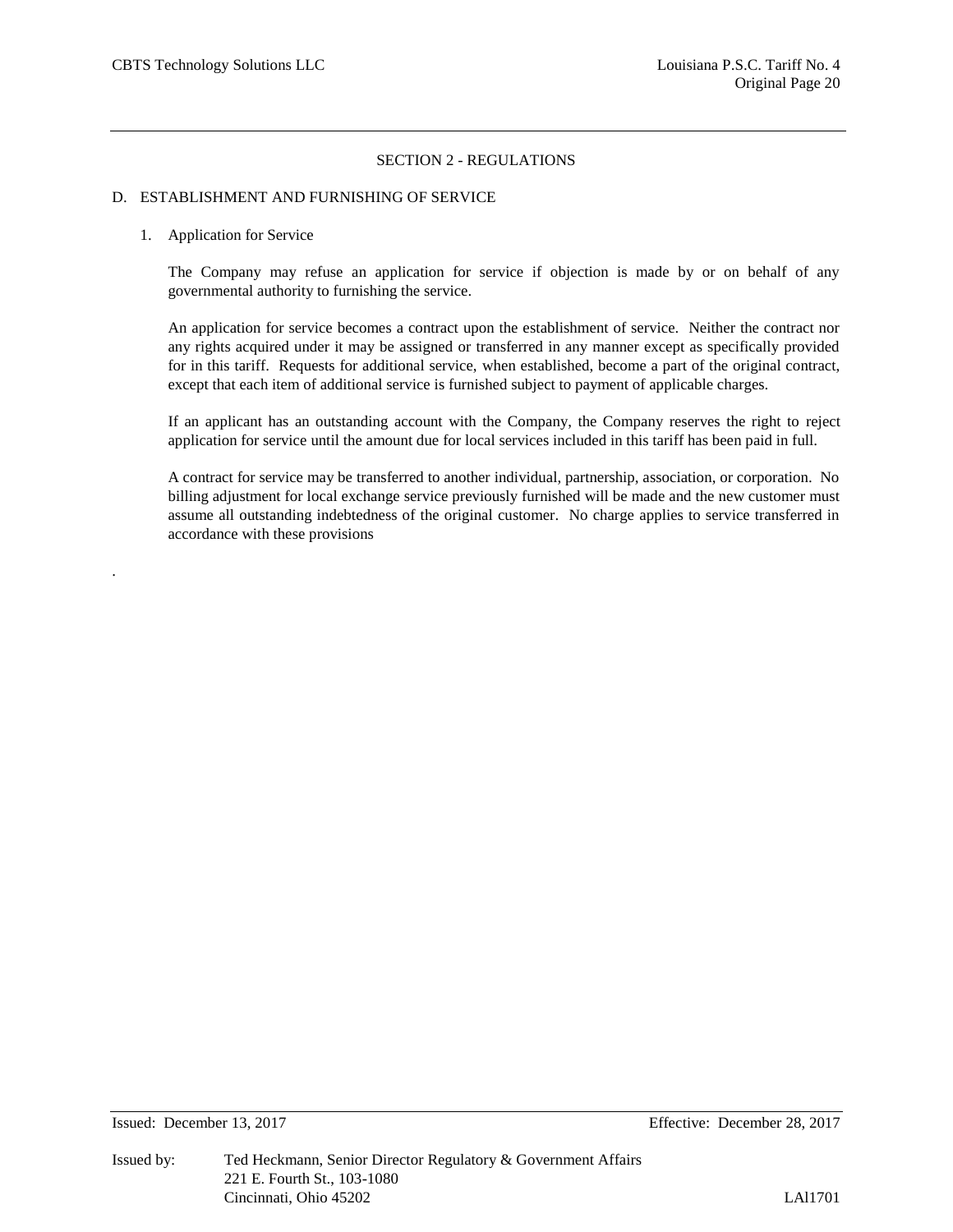## D. ESTABLISHMENT AND FURNISHING OF SERVICE

#### 1. Application for Service

.

The Company may refuse an application for service if objection is made by or on behalf of any governmental authority to furnishing the service.

An application for service becomes a contract upon the establishment of service. Neither the contract nor any rights acquired under it may be assigned or transferred in any manner except as specifically provided for in this tariff. Requests for additional service, when established, become a part of the original contract, except that each item of additional service is furnished subject to payment of applicable charges.

If an applicant has an outstanding account with the Company, the Company reserves the right to reject application for service until the amount due for local services included in this tariff has been paid in full.

A contract for service may be transferred to another individual, partnership, association, or corporation. No billing adjustment for local exchange service previously furnished will be made and the new customer must assume all outstanding indebtedness of the original customer. No charge applies to service transferred in accordance with these provisions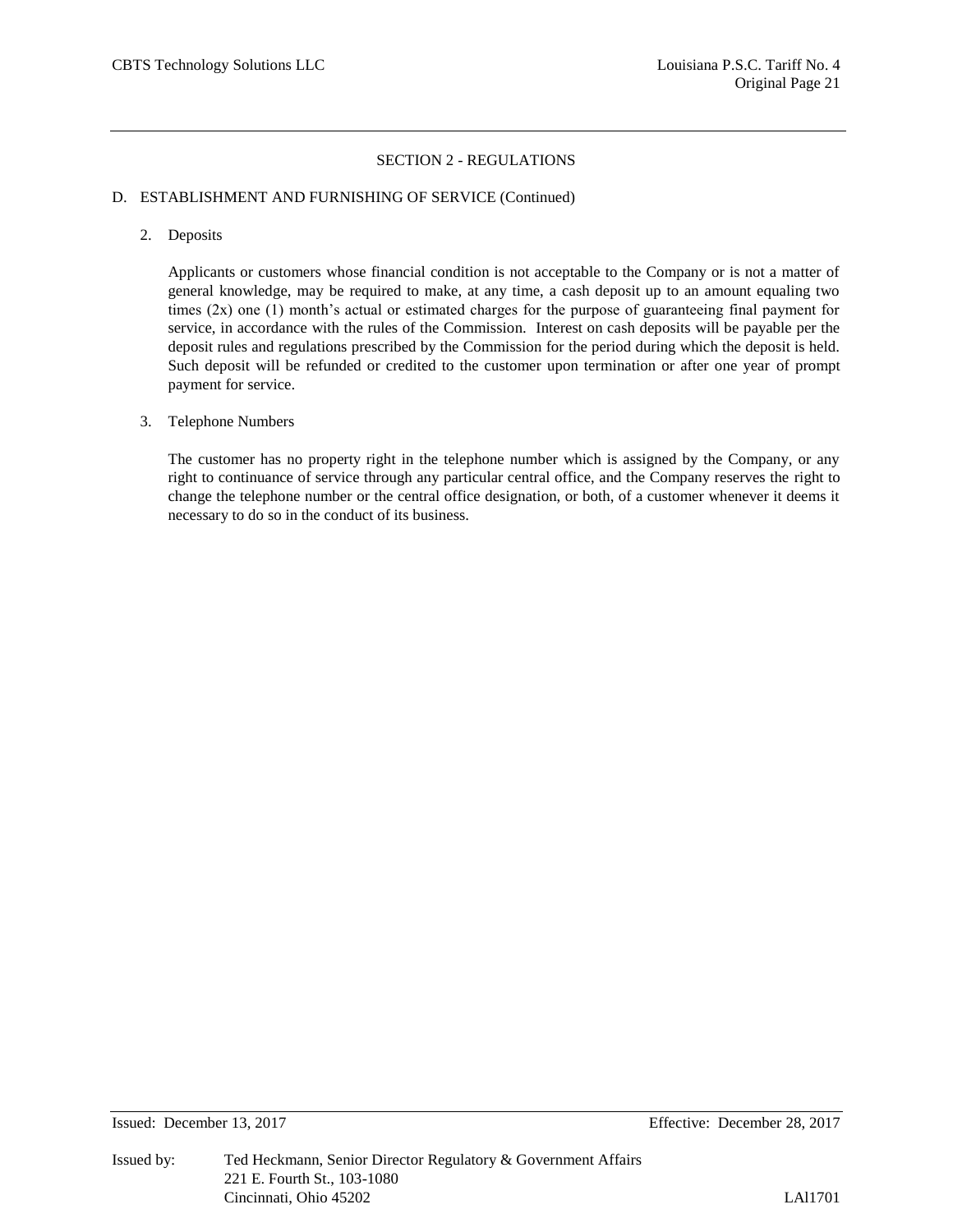## D. ESTABLISHMENT AND FURNISHING OF SERVICE (Continued)

2. Deposits

Applicants or customers whose financial condition is not acceptable to the Company or is not a matter of general knowledge, may be required to make, at any time, a cash deposit up to an amount equaling two times  $(2x)$  one  $(1)$  month's actual or estimated charges for the purpose of guaranteeing final payment for service, in accordance with the rules of the Commission. Interest on cash deposits will be payable per the deposit rules and regulations prescribed by the Commission for the period during which the deposit is held. Such deposit will be refunded or credited to the customer upon termination or after one year of prompt payment for service.

#### 3. Telephone Numbers

The customer has no property right in the telephone number which is assigned by the Company, or any right to continuance of service through any particular central office, and the Company reserves the right to change the telephone number or the central office designation, or both, of a customer whenever it deems it necessary to do so in the conduct of its business.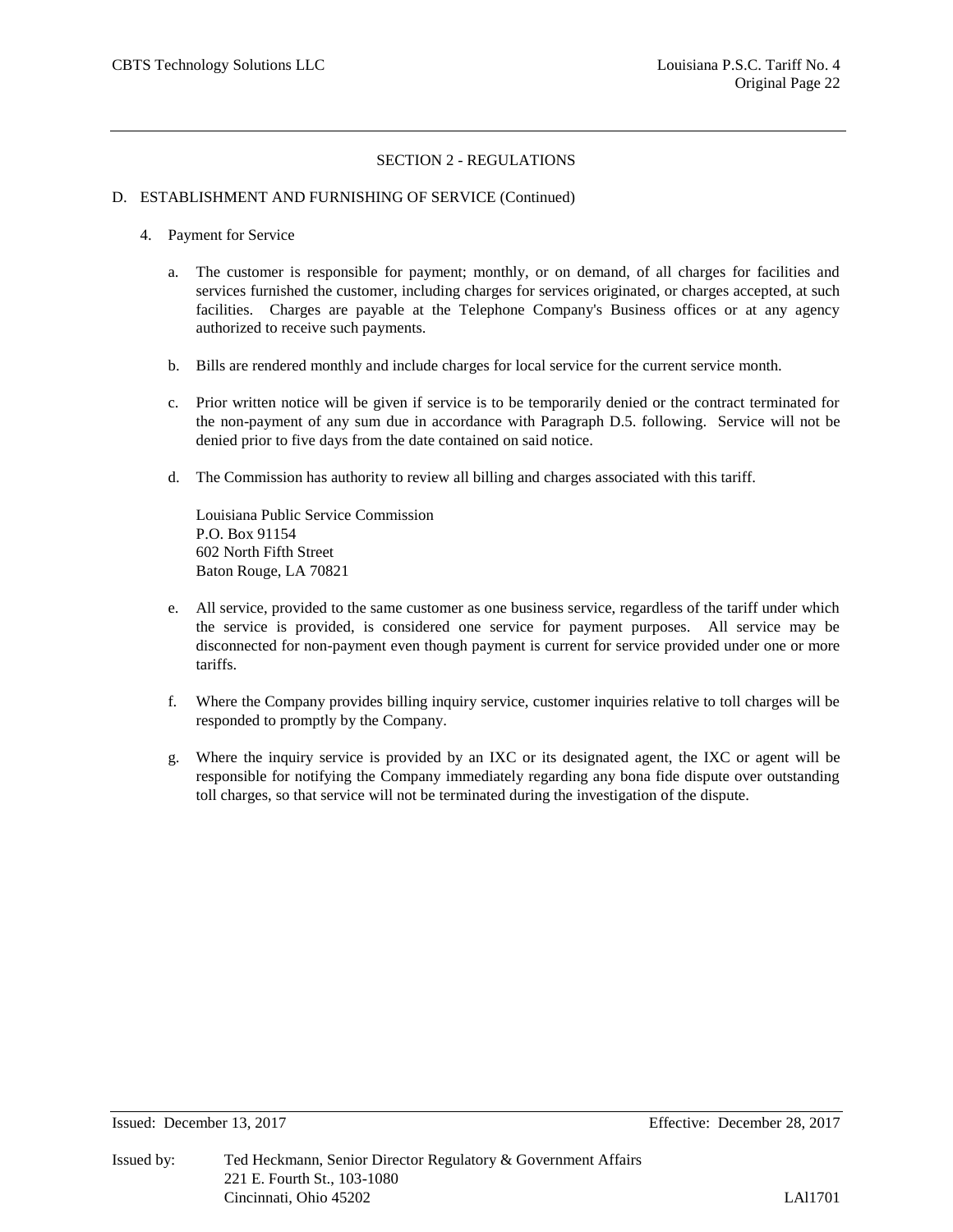#### D. ESTABLISHMENT AND FURNISHING OF SERVICE (Continued)

- 4. Payment for Service
	- a. The customer is responsible for payment; monthly, or on demand, of all charges for facilities and services furnished the customer, including charges for services originated, or charges accepted, at such facilities. Charges are payable at the Telephone Company's Business offices or at any agency authorized to receive such payments.
	- b. Bills are rendered monthly and include charges for local service for the current service month.
	- c. Prior written notice will be given if service is to be temporarily denied or the contract terminated for the non-payment of any sum due in accordance with Paragraph D.5. following. Service will not be denied prior to five days from the date contained on said notice.
	- d. The Commission has authority to review all billing and charges associated with this tariff.

Louisiana Public Service Commission P.O. Box 91154 602 North Fifth Street Baton Rouge, LA 70821

- e. All service, provided to the same customer as one business service, regardless of the tariff under which the service is provided, is considered one service for payment purposes. All service may be disconnected for non-payment even though payment is current for service provided under one or more tariffs.
- f. Where the Company provides billing inquiry service, customer inquiries relative to toll charges will be responded to promptly by the Company.
- g. Where the inquiry service is provided by an IXC or its designated agent, the IXC or agent will be responsible for notifying the Company immediately regarding any bona fide dispute over outstanding toll charges, so that service will not be terminated during the investigation of the dispute.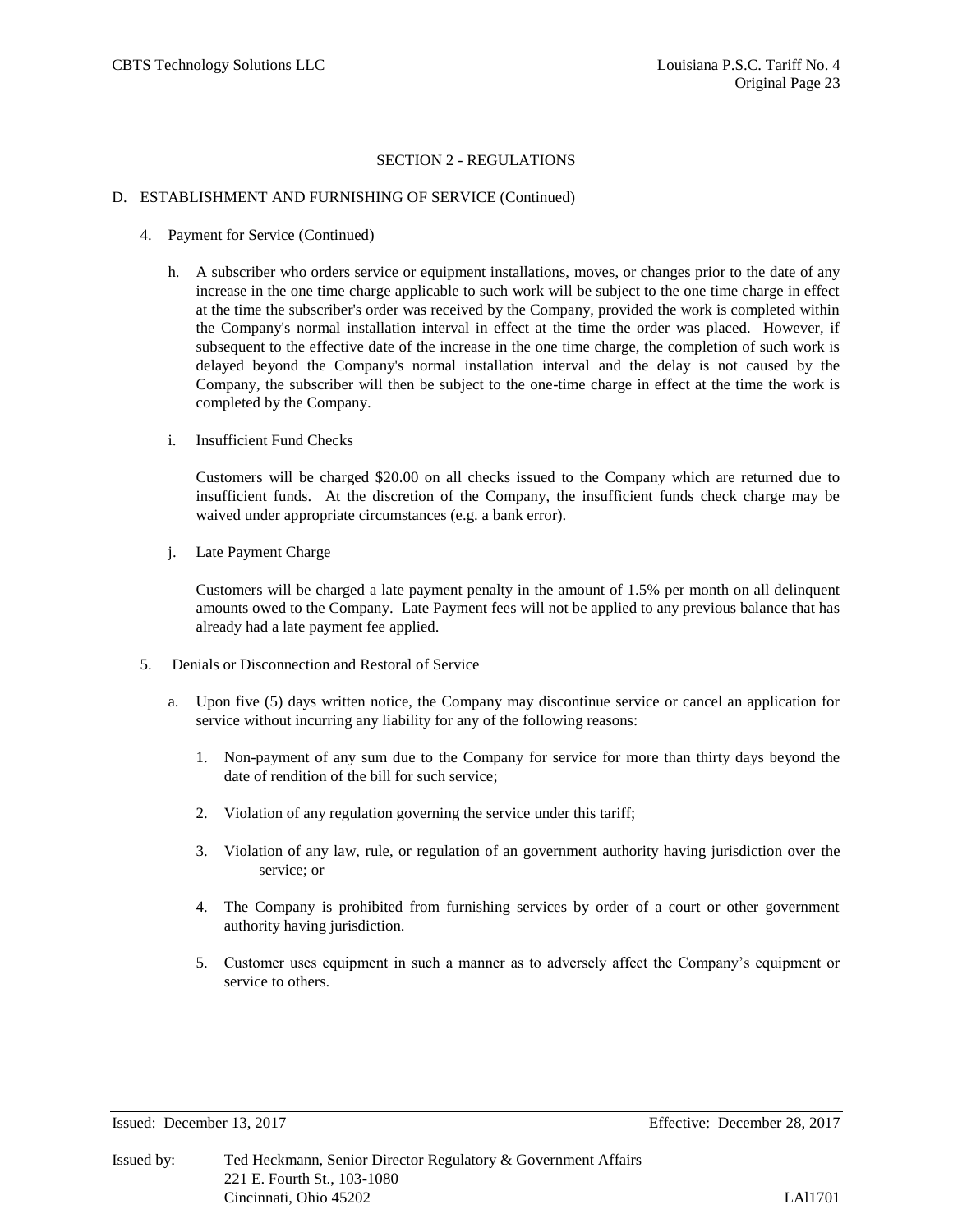#### D. ESTABLISHMENT AND FURNISHING OF SERVICE (Continued)

- 4. Payment for Service (Continued)
	- h. A subscriber who orders service or equipment installations, moves, or changes prior to the date of any increase in the one time charge applicable to such work will be subject to the one time charge in effect at the time the subscriber's order was received by the Company, provided the work is completed within the Company's normal installation interval in effect at the time the order was placed. However, if subsequent to the effective date of the increase in the one time charge, the completion of such work is delayed beyond the Company's normal installation interval and the delay is not caused by the Company, the subscriber will then be subject to the one-time charge in effect at the time the work is completed by the Company.
	- i. Insufficient Fund Checks

Customers will be charged \$20.00 on all checks issued to the Company which are returned due to insufficient funds. At the discretion of the Company, the insufficient funds check charge may be waived under appropriate circumstances (e.g. a bank error).

j. Late Payment Charge

Customers will be charged a late payment penalty in the amount of 1.5% per month on all delinquent amounts owed to the Company. Late Payment fees will not be applied to any previous balance that has already had a late payment fee applied.

- 5. Denials or Disconnection and Restoral of Service
	- a. Upon five (5) days written notice, the Company may discontinue service or cancel an application for service without incurring any liability for any of the following reasons:
		- 1. Non-payment of any sum due to the Company for service for more than thirty days beyond the date of rendition of the bill for such service;
		- 2. Violation of any regulation governing the service under this tariff;
		- 3. Violation of any law, rule, or regulation of an government authority having jurisdiction over the service; or
		- 4. The Company is prohibited from furnishing services by order of a court or other government authority having jurisdiction.
		- 5. Customer uses equipment in such a manner as to adversely affect the Company's equipment or service to others.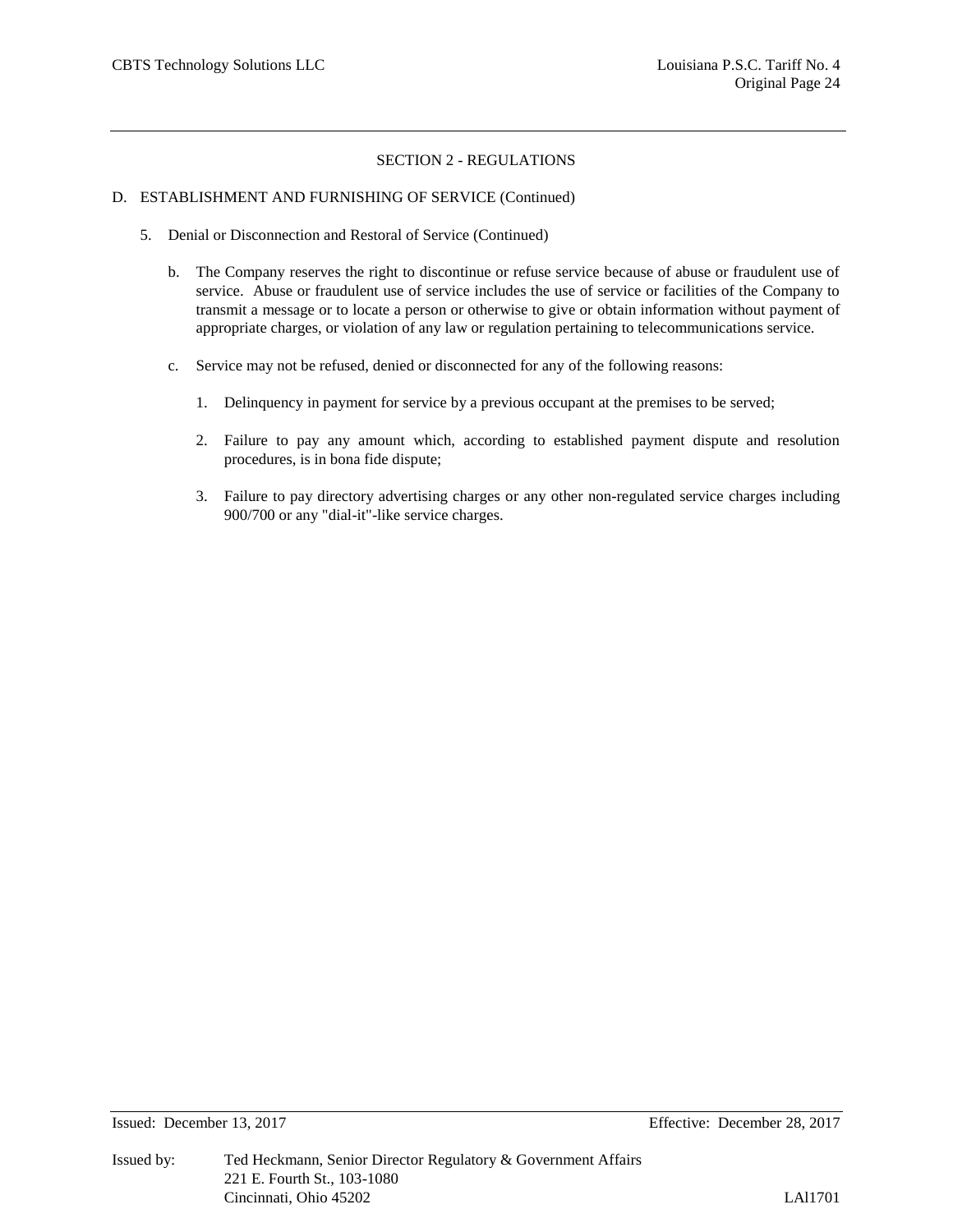#### D. ESTABLISHMENT AND FURNISHING OF SERVICE (Continued)

- 5. Denial or Disconnection and Restoral of Service (Continued)
	- b. The Company reserves the right to discontinue or refuse service because of abuse or fraudulent use of service. Abuse or fraudulent use of service includes the use of service or facilities of the Company to transmit a message or to locate a person or otherwise to give or obtain information without payment of appropriate charges, or violation of any law or regulation pertaining to telecommunications service.
	- c. Service may not be refused, denied or disconnected for any of the following reasons:
		- 1. Delinquency in payment for service by a previous occupant at the premises to be served;
		- 2. Failure to pay any amount which, according to established payment dispute and resolution procedures, is in bona fide dispute;
		- 3. Failure to pay directory advertising charges or any other non-regulated service charges including 900/700 or any "dial-it"-like service charges.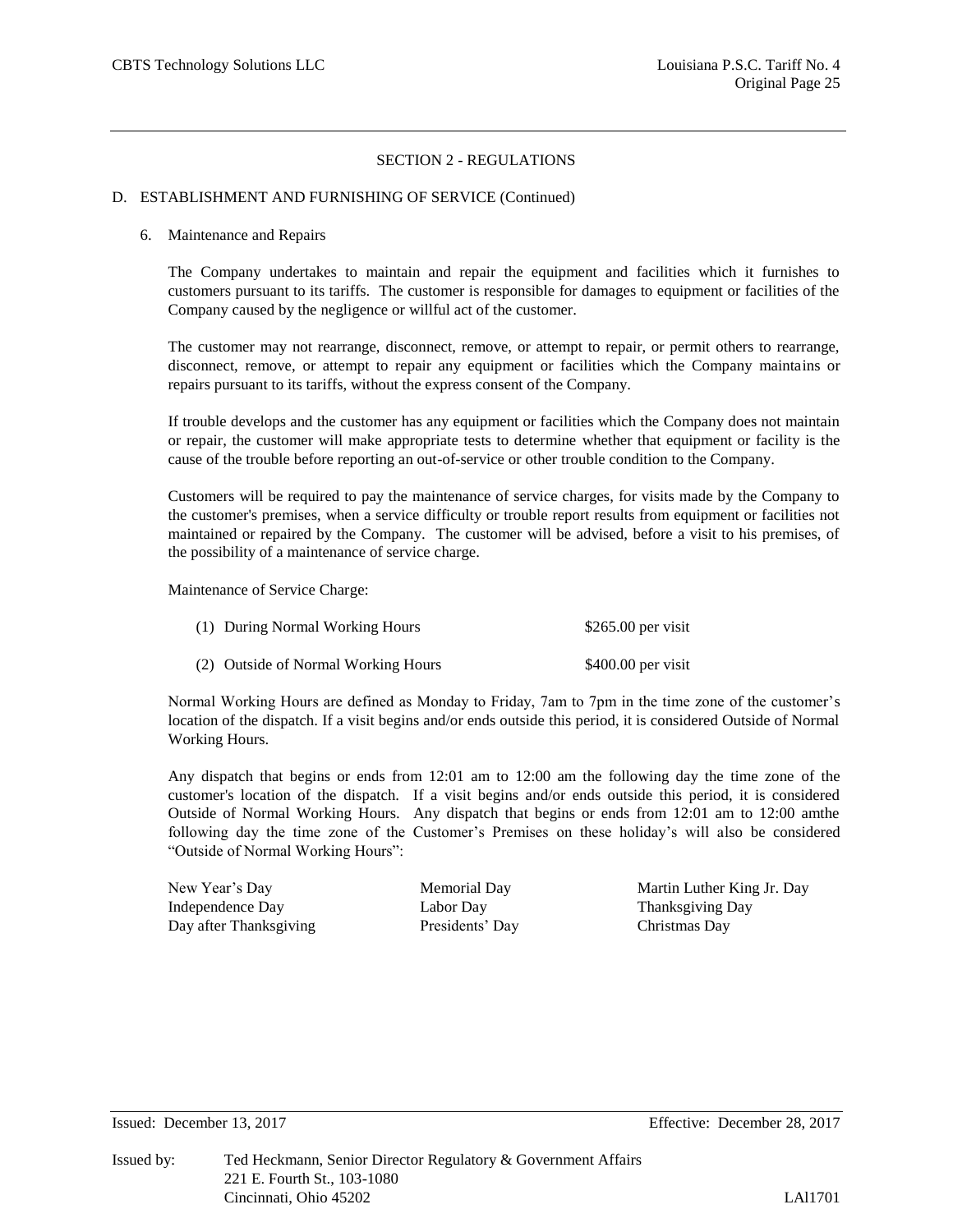## D. ESTABLISHMENT AND FURNISHING OF SERVICE (Continued)

#### 6. Maintenance and Repairs

The Company undertakes to maintain and repair the equipment and facilities which it furnishes to customers pursuant to its tariffs. The customer is responsible for damages to equipment or facilities of the Company caused by the negligence or willful act of the customer.

The customer may not rearrange, disconnect, remove, or attempt to repair, or permit others to rearrange, disconnect, remove, or attempt to repair any equipment or facilities which the Company maintains or repairs pursuant to its tariffs, without the express consent of the Company.

If trouble develops and the customer has any equipment or facilities which the Company does not maintain or repair, the customer will make appropriate tests to determine whether that equipment or facility is the cause of the trouble before reporting an out-of-service or other trouble condition to the Company.

Customers will be required to pay the maintenance of service charges, for visits made by the Company to the customer's premises, when a service difficulty or trouble report results from equipment or facilities not maintained or repaired by the Company. The customer will be advised, before a visit to his premises, of the possibility of a maintenance of service charge.

Maintenance of Service Charge:

| (1) During Normal Working Hours     | \$265.00 per visit  |
|-------------------------------------|---------------------|
| (2) Outside of Normal Working Hours | $$400.00$ per visit |

Normal Working Hours are defined as Monday to Friday, 7am to 7pm in the time zone of the customer's location of the dispatch. If a visit begins and/or ends outside this period, it is considered Outside of Normal Working Hours.

Any dispatch that begins or ends from 12:01 am to 12:00 am the following day the time zone of the customer's location of the dispatch. If a visit begins and/or ends outside this period, it is considered Outside of Normal Working Hours. Any dispatch that begins or ends from 12:01 am to 12:00 amthe following day the time zone of the Customer's Premises on these holiday's will also be considered "Outside of Normal Working Hours":

| New Year's Day         |  |
|------------------------|--|
| Independence Day       |  |
| Day after Thanksgiving |  |

Presidents' Day Christmas Day

Memorial Day Martin Luther King Jr. Day Labor Day Thanksgiving Day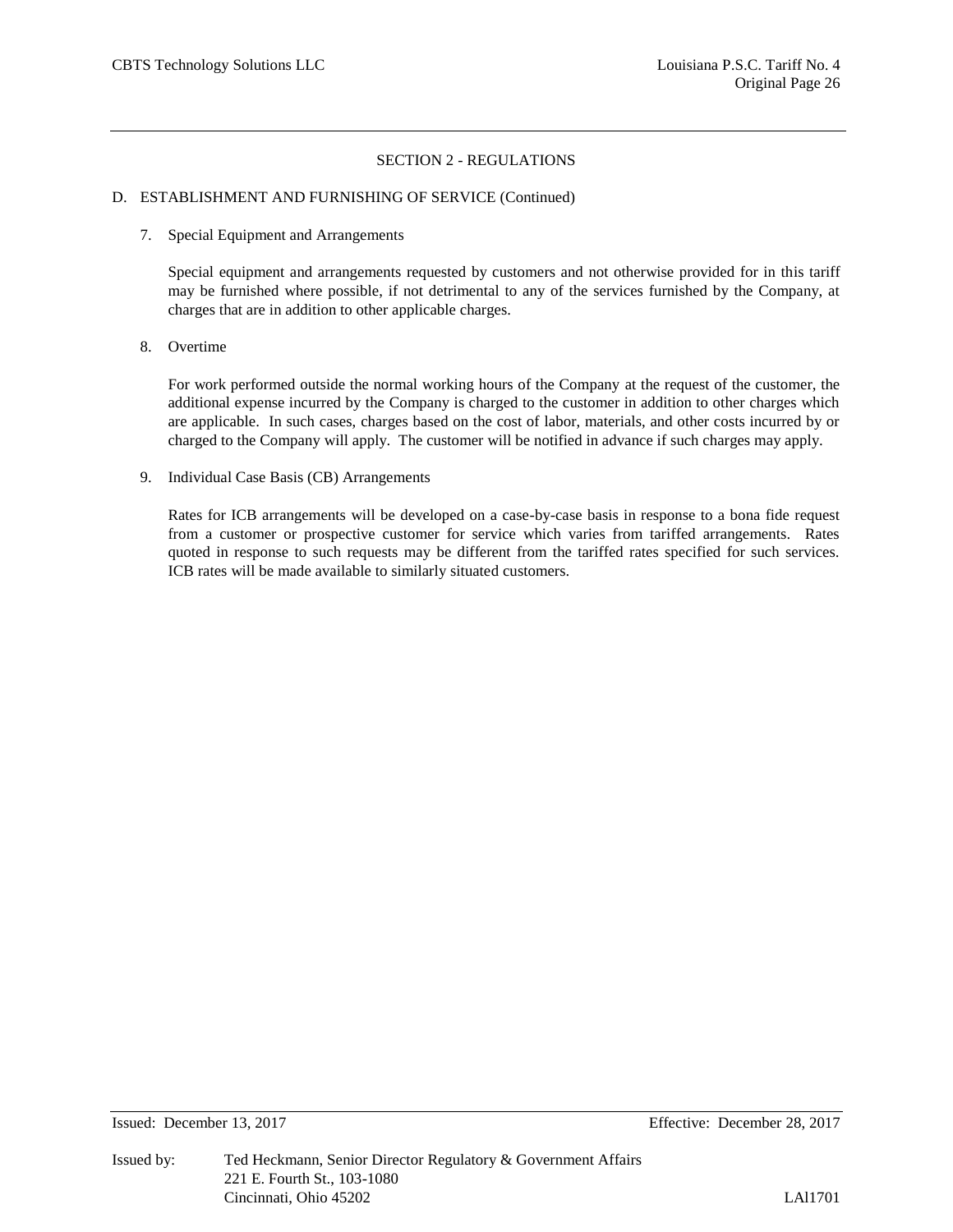## D. ESTABLISHMENT AND FURNISHING OF SERVICE (Continued)

7. Special Equipment and Arrangements

Special equipment and arrangements requested by customers and not otherwise provided for in this tariff may be furnished where possible, if not detrimental to any of the services furnished by the Company, at charges that are in addition to other applicable charges.

8. Overtime

For work performed outside the normal working hours of the Company at the request of the customer, the additional expense incurred by the Company is charged to the customer in addition to other charges which are applicable. In such cases, charges based on the cost of labor, materials, and other costs incurred by or charged to the Company will apply. The customer will be notified in advance if such charges may apply.

9. Individual Case Basis (CB) Arrangements

Rates for ICB arrangements will be developed on a case-by-case basis in response to a bona fide request from a customer or prospective customer for service which varies from tariffed arrangements. Rates quoted in response to such requests may be different from the tariffed rates specified for such services. ICB rates will be made available to similarly situated customers.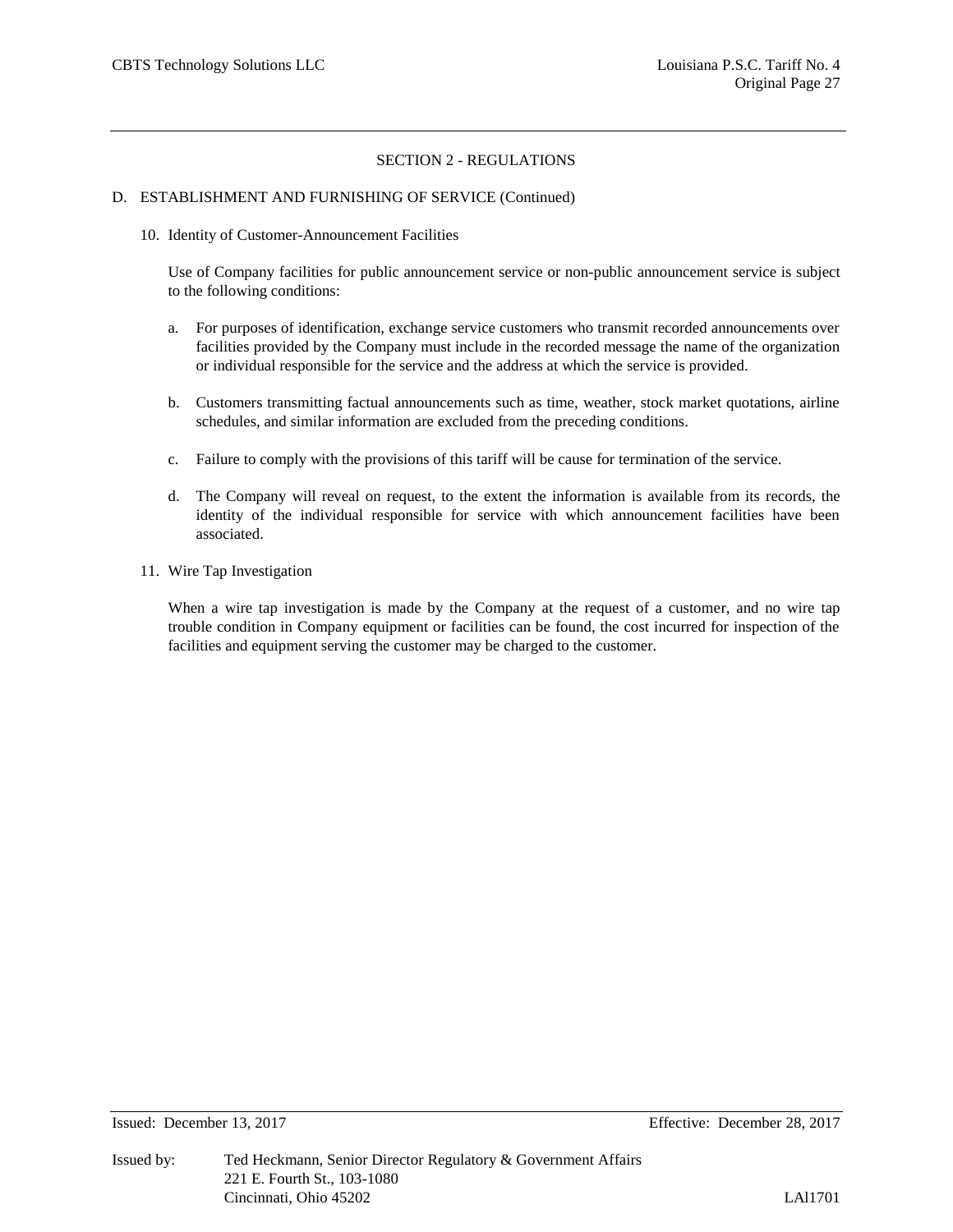#### D. ESTABLISHMENT AND FURNISHING OF SERVICE (Continued)

10. Identity of Customer-Announcement Facilities

Use of Company facilities for public announcement service or non-public announcement service is subject to the following conditions:

- a. For purposes of identification, exchange service customers who transmit recorded announcements over facilities provided by the Company must include in the recorded message the name of the organization or individual responsible for the service and the address at which the service is provided.
- b. Customers transmitting factual announcements such as time, weather, stock market quotations, airline schedules, and similar information are excluded from the preceding conditions.
- c. Failure to comply with the provisions of this tariff will be cause for termination of the service.
- d. The Company will reveal on request, to the extent the information is available from its records, the identity of the individual responsible for service with which announcement facilities have been associated.
- 11. Wire Tap Investigation

When a wire tap investigation is made by the Company at the request of a customer, and no wire tap trouble condition in Company equipment or facilities can be found, the cost incurred for inspection of the facilities and equipment serving the customer may be charged to the customer.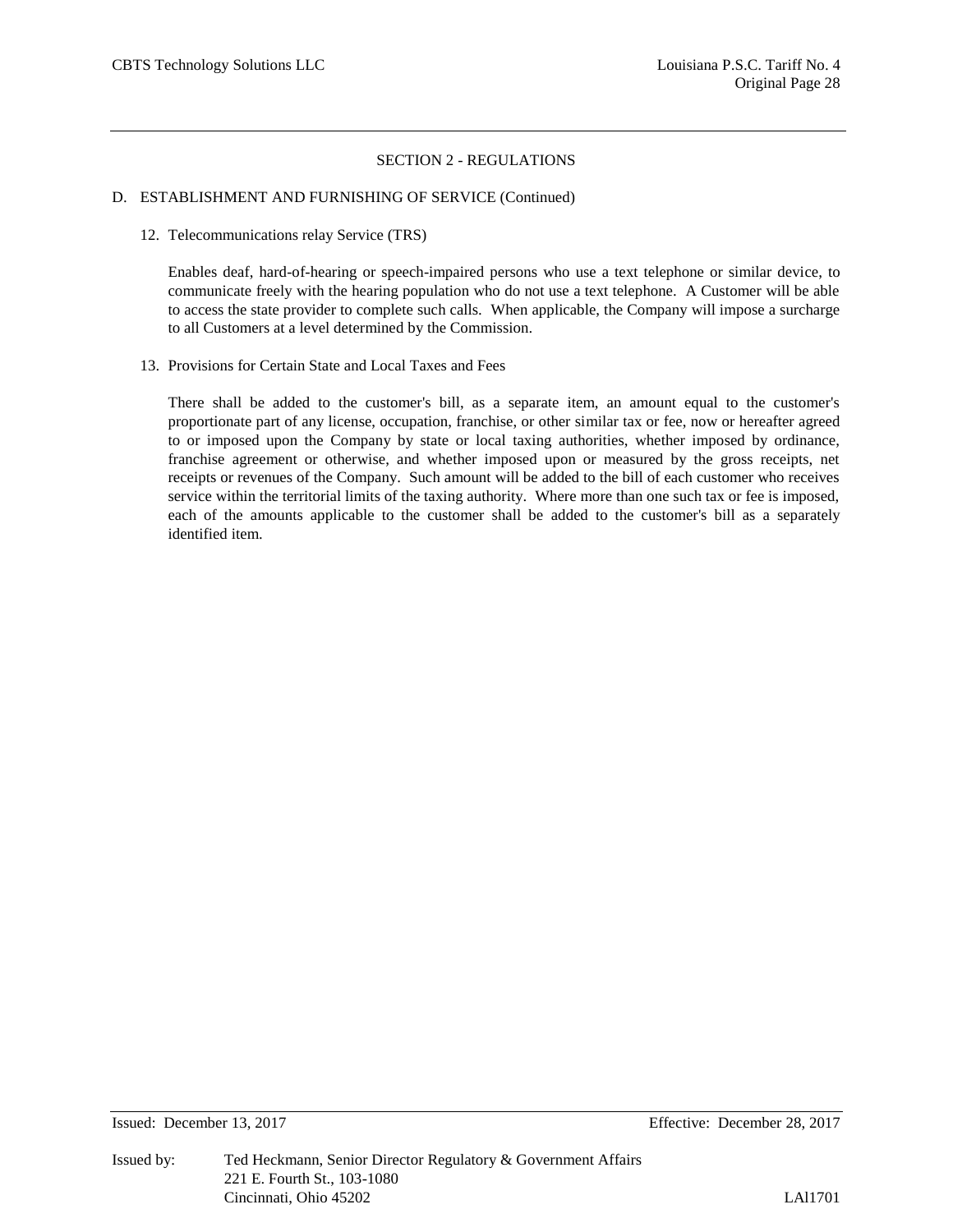## D. ESTABLISHMENT AND FURNISHING OF SERVICE (Continued)

12. Telecommunications relay Service (TRS)

Enables deaf, hard-of-hearing or speech-impaired persons who use a text telephone or similar device, to communicate freely with the hearing population who do not use a text telephone. A Customer will be able to access the state provider to complete such calls. When applicable, the Company will impose a surcharge to all Customers at a level determined by the Commission.

13. Provisions for Certain State and Local Taxes and Fees

There shall be added to the customer's bill, as a separate item, an amount equal to the customer's proportionate part of any license, occupation, franchise, or other similar tax or fee, now or hereafter agreed to or imposed upon the Company by state or local taxing authorities, whether imposed by ordinance, franchise agreement or otherwise, and whether imposed upon or measured by the gross receipts, net receipts or revenues of the Company. Such amount will be added to the bill of each customer who receives service within the territorial limits of the taxing authority. Where more than one such tax or fee is imposed, each of the amounts applicable to the customer shall be added to the customer's bill as a separately identified item.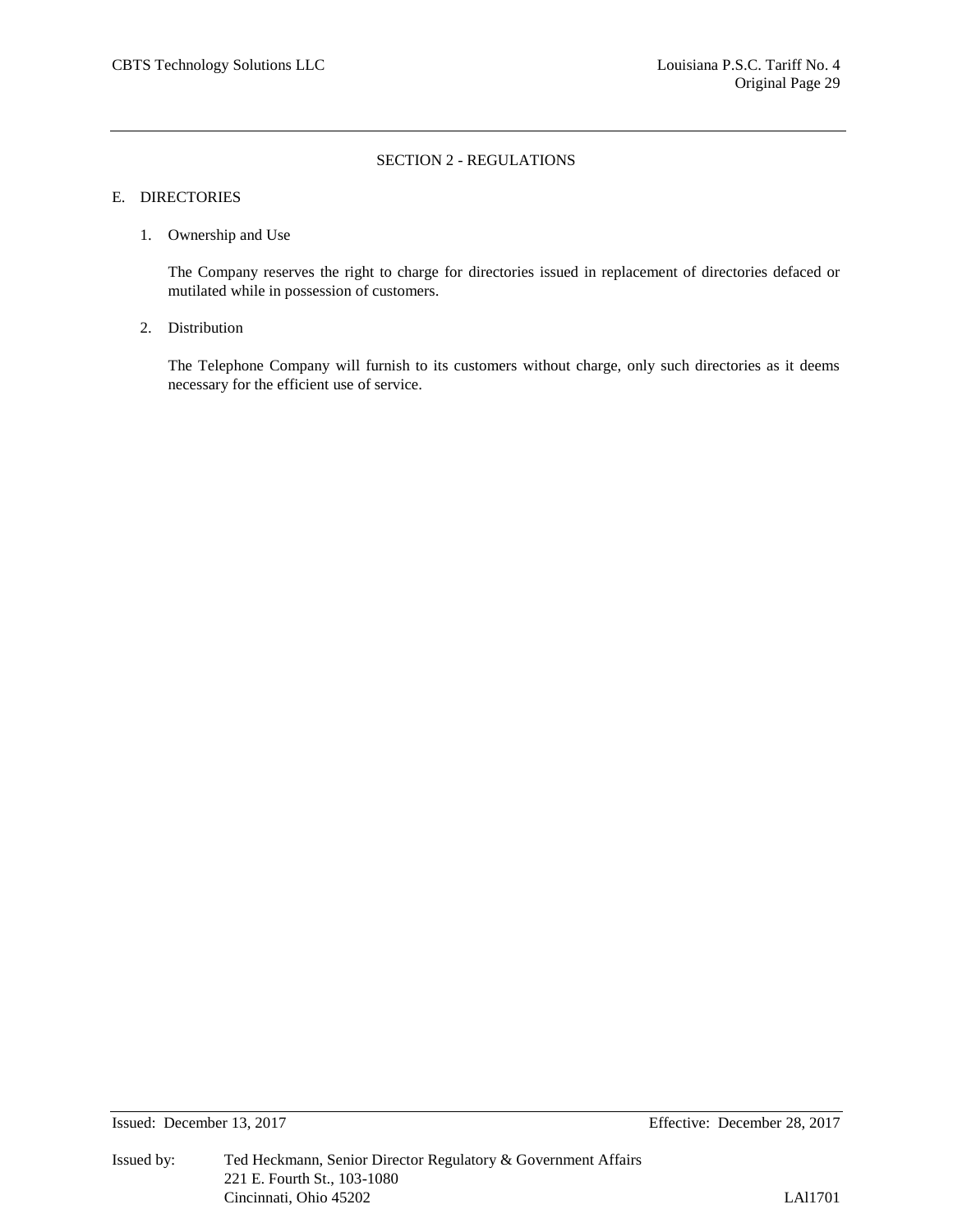#### E. DIRECTORIES

1. Ownership and Use

The Company reserves the right to charge for directories issued in replacement of directories defaced or mutilated while in possession of customers.

2. Distribution

The Telephone Company will furnish to its customers without charge, only such directories as it deems necessary for the efficient use of service.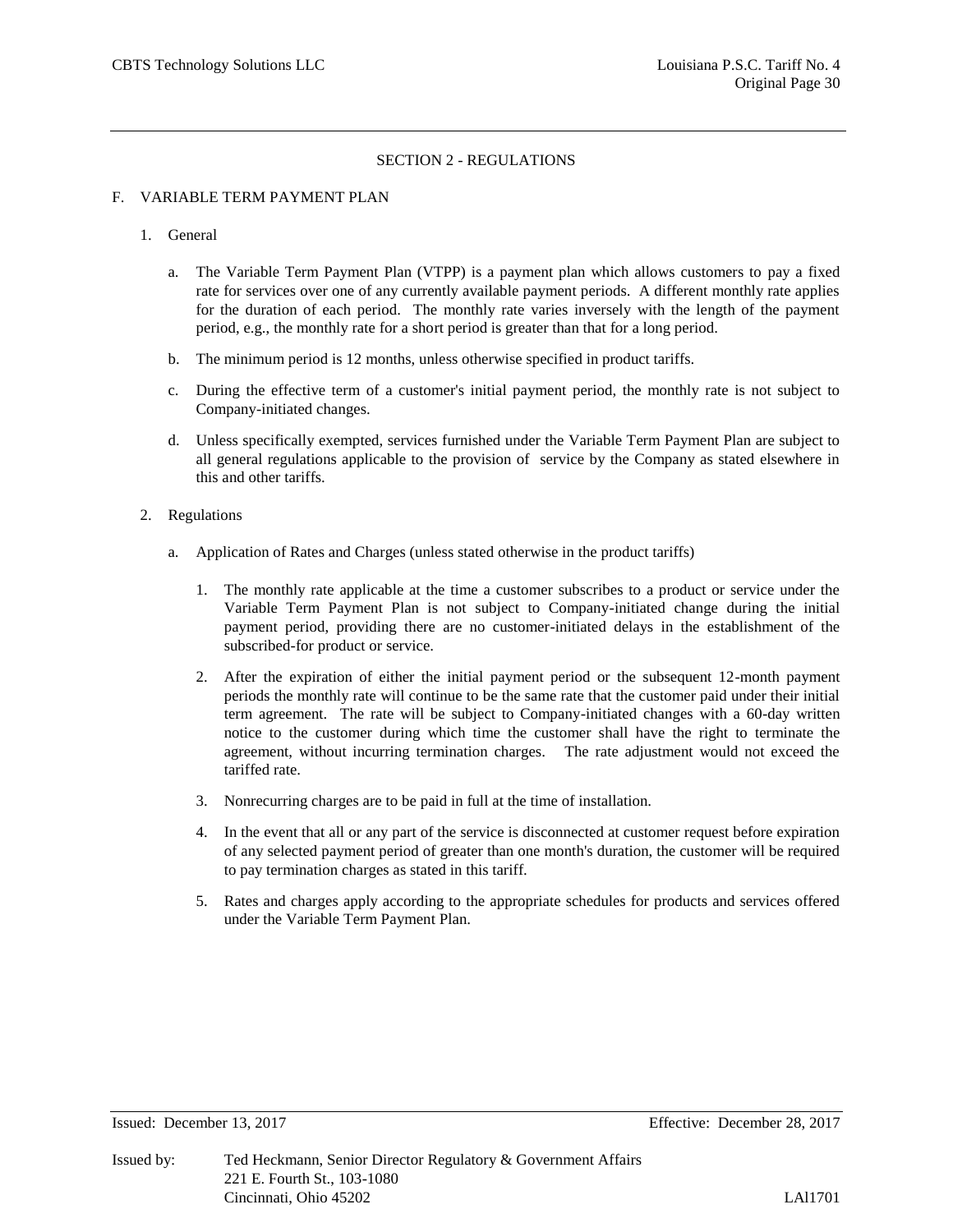#### F. VARIABLE TERM PAYMENT PLAN

#### 1. General

- a. The Variable Term Payment Plan (VTPP) is a payment plan which allows customers to pay a fixed rate for services over one of any currently available payment periods. A different monthly rate applies for the duration of each period. The monthly rate varies inversely with the length of the payment period, e.g., the monthly rate for a short period is greater than that for a long period.
- b. The minimum period is 12 months, unless otherwise specified in product tariffs.
- c. During the effective term of a customer's initial payment period, the monthly rate is not subject to Company-initiated changes.
- d. Unless specifically exempted, services furnished under the Variable Term Payment Plan are subject to all general regulations applicable to the provision of service by the Company as stated elsewhere in this and other tariffs.

#### 2. Regulations

- a. Application of Rates and Charges (unless stated otherwise in the product tariffs)
	- 1. The monthly rate applicable at the time a customer subscribes to a product or service under the Variable Term Payment Plan is not subject to Company-initiated change during the initial payment period, providing there are no customer-initiated delays in the establishment of the subscribed-for product or service.
	- 2. After the expiration of either the initial payment period or the subsequent 12-month payment periods the monthly rate will continue to be the same rate that the customer paid under their initial term agreement. The rate will be subject to Company-initiated changes with a 60-day written notice to the customer during which time the customer shall have the right to terminate the agreement, without incurring termination charges. The rate adjustment would not exceed the tariffed rate.
	- 3. Nonrecurring charges are to be paid in full at the time of installation.
	- 4. In the event that all or any part of the service is disconnected at customer request before expiration of any selected payment period of greater than one month's duration, the customer will be required to pay termination charges as stated in this tariff.
	- 5. Rates and charges apply according to the appropriate schedules for products and services offered under the Variable Term Payment Plan.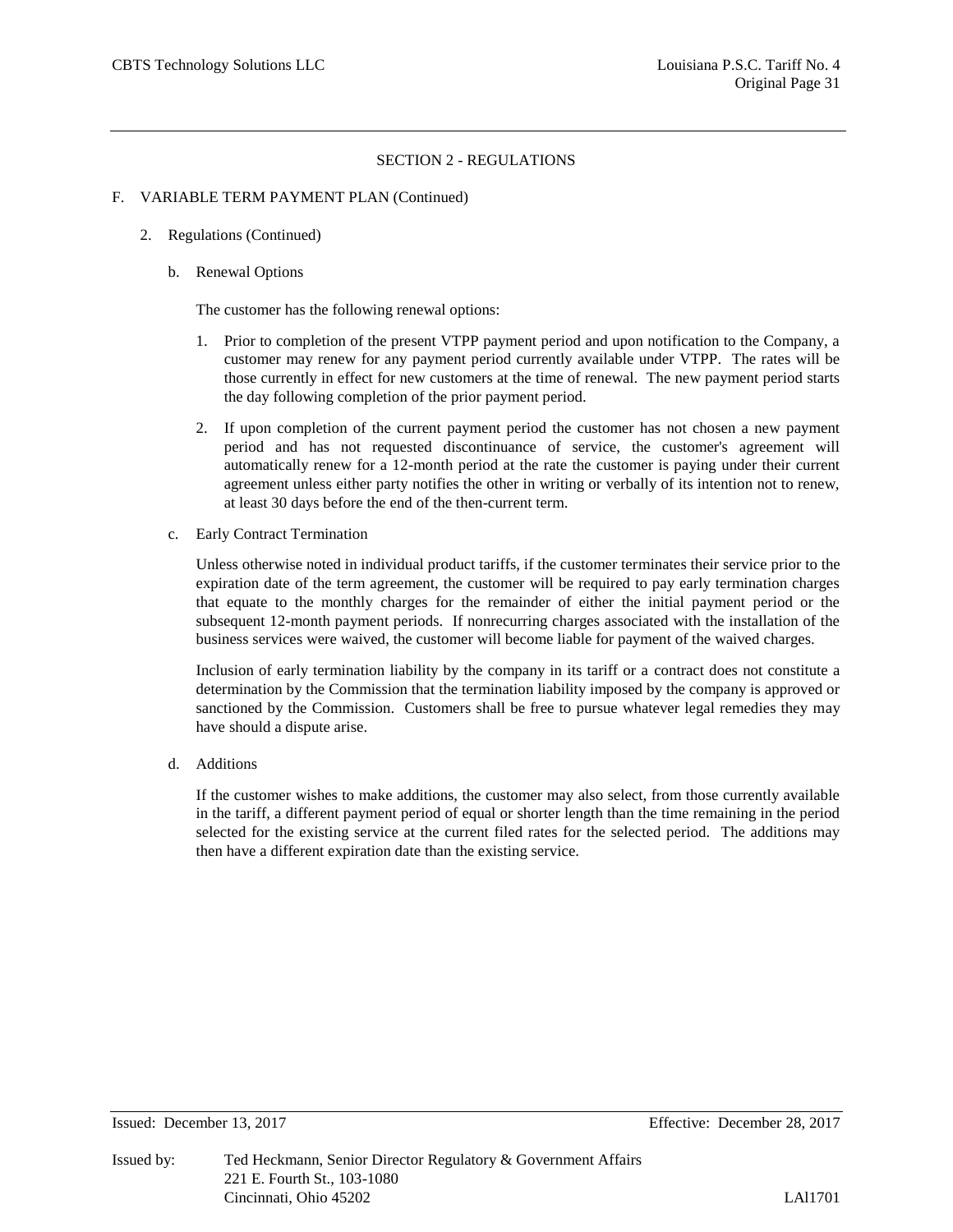#### F. VARIABLE TERM PAYMENT PLAN (Continued)

- 2. Regulations (Continued)
	- b. Renewal Options

The customer has the following renewal options:

- 1. Prior to completion of the present VTPP payment period and upon notification to the Company, a customer may renew for any payment period currently available under VTPP. The rates will be those currently in effect for new customers at the time of renewal. The new payment period starts the day following completion of the prior payment period.
- 2. If upon completion of the current payment period the customer has not chosen a new payment period and has not requested discontinuance of service, the customer's agreement will automatically renew for a 12-month period at the rate the customer is paying under their current agreement unless either party notifies the other in writing or verbally of its intention not to renew, at least 30 days before the end of the then-current term.
- c. Early Contract Termination

Unless otherwise noted in individual product tariffs, if the customer terminates their service prior to the expiration date of the term agreement, the customer will be required to pay early termination charges that equate to the monthly charges for the remainder of either the initial payment period or the subsequent 12-month payment periods. If nonrecurring charges associated with the installation of the business services were waived, the customer will become liable for payment of the waived charges.

Inclusion of early termination liability by the company in its tariff or a contract does not constitute a determination by the Commission that the termination liability imposed by the company is approved or sanctioned by the Commission. Customers shall be free to pursue whatever legal remedies they may have should a dispute arise.

d. Additions

If the customer wishes to make additions, the customer may also select, from those currently available in the tariff, a different payment period of equal or shorter length than the time remaining in the period selected for the existing service at the current filed rates for the selected period. The additions may then have a different expiration date than the existing service.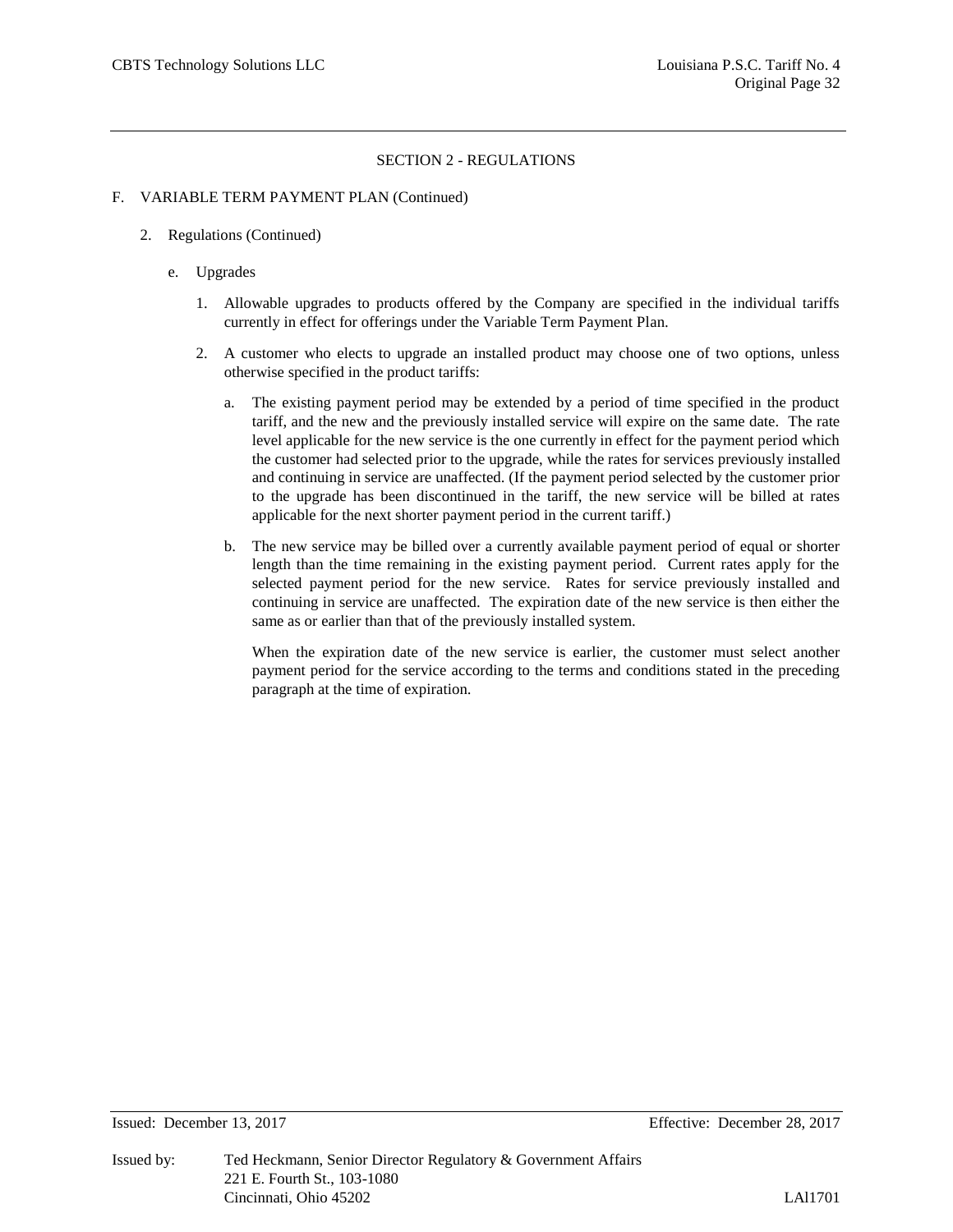#### F. VARIABLE TERM PAYMENT PLAN (Continued)

- 2. Regulations (Continued)
	- e. Upgrades
		- 1. Allowable upgrades to products offered by the Company are specified in the individual tariffs currently in effect for offerings under the Variable Term Payment Plan.
		- 2. A customer who elects to upgrade an installed product may choose one of two options, unless otherwise specified in the product tariffs:
			- a. The existing payment period may be extended by a period of time specified in the product tariff, and the new and the previously installed service will expire on the same date. The rate level applicable for the new service is the one currently in effect for the payment period which the customer had selected prior to the upgrade, while the rates for services previously installed and continuing in service are unaffected. (If the payment period selected by the customer prior to the upgrade has been discontinued in the tariff, the new service will be billed at rates applicable for the next shorter payment period in the current tariff.)
			- b. The new service may be billed over a currently available payment period of equal or shorter length than the time remaining in the existing payment period. Current rates apply for the selected payment period for the new service. Rates for service previously installed and continuing in service are unaffected. The expiration date of the new service is then either the same as or earlier than that of the previously installed system.

When the expiration date of the new service is earlier, the customer must select another payment period for the service according to the terms and conditions stated in the preceding paragraph at the time of expiration.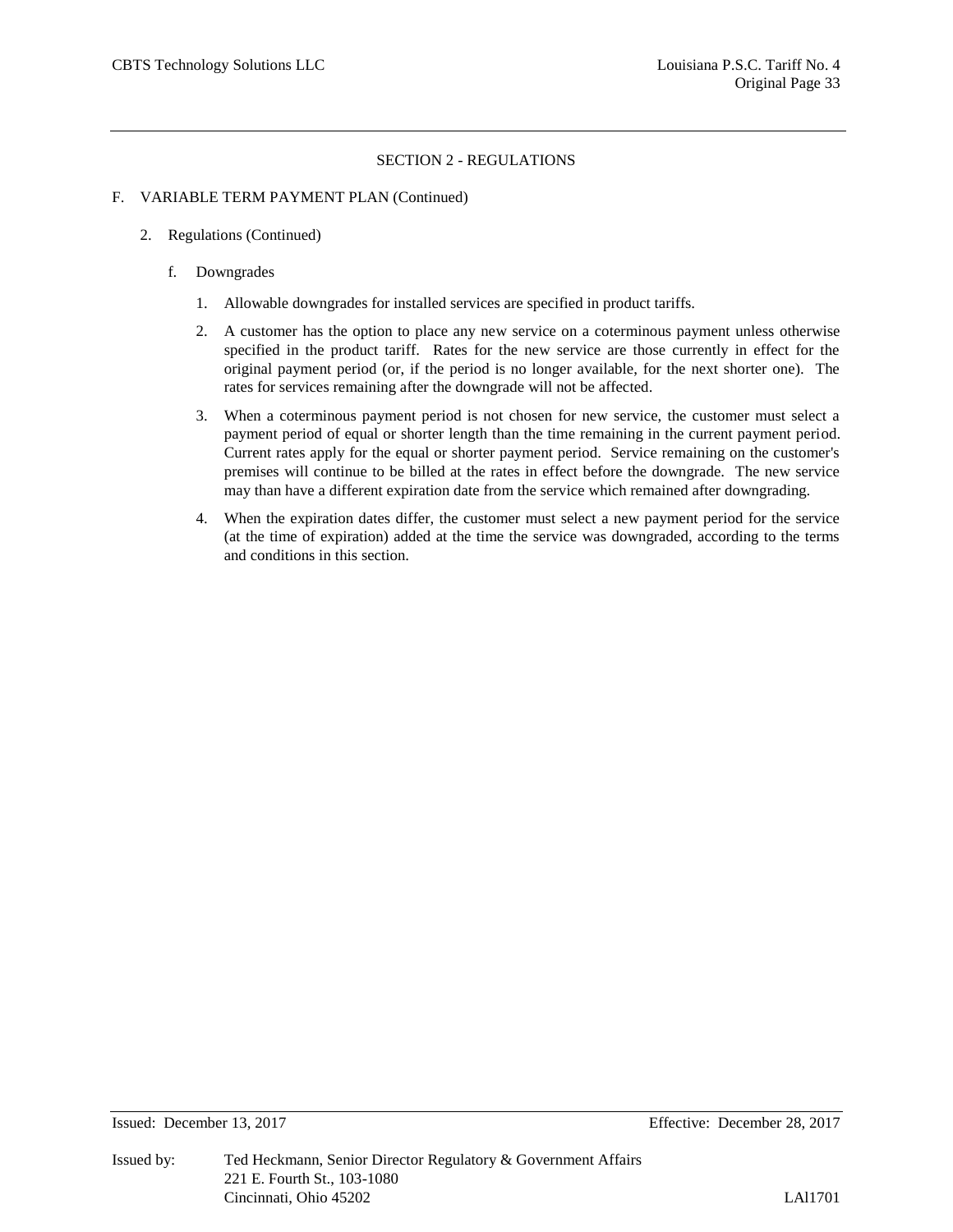#### F. VARIABLE TERM PAYMENT PLAN (Continued)

- 2. Regulations (Continued)
	- f. Downgrades
		- 1. Allowable downgrades for installed services are specified in product tariffs.
		- 2. A customer has the option to place any new service on a coterminous payment unless otherwise specified in the product tariff. Rates for the new service are those currently in effect for the original payment period (or, if the period is no longer available, for the next shorter one). The rates for services remaining after the downgrade will not be affected.
		- 3. When a coterminous payment period is not chosen for new service, the customer must select a payment period of equal or shorter length than the time remaining in the current payment period. Current rates apply for the equal or shorter payment period. Service remaining on the customer's premises will continue to be billed at the rates in effect before the downgrade. The new service may than have a different expiration date from the service which remained after downgrading.
		- 4. When the expiration dates differ, the customer must select a new payment period for the service (at the time of expiration) added at the time the service was downgraded, according to the terms and conditions in this section.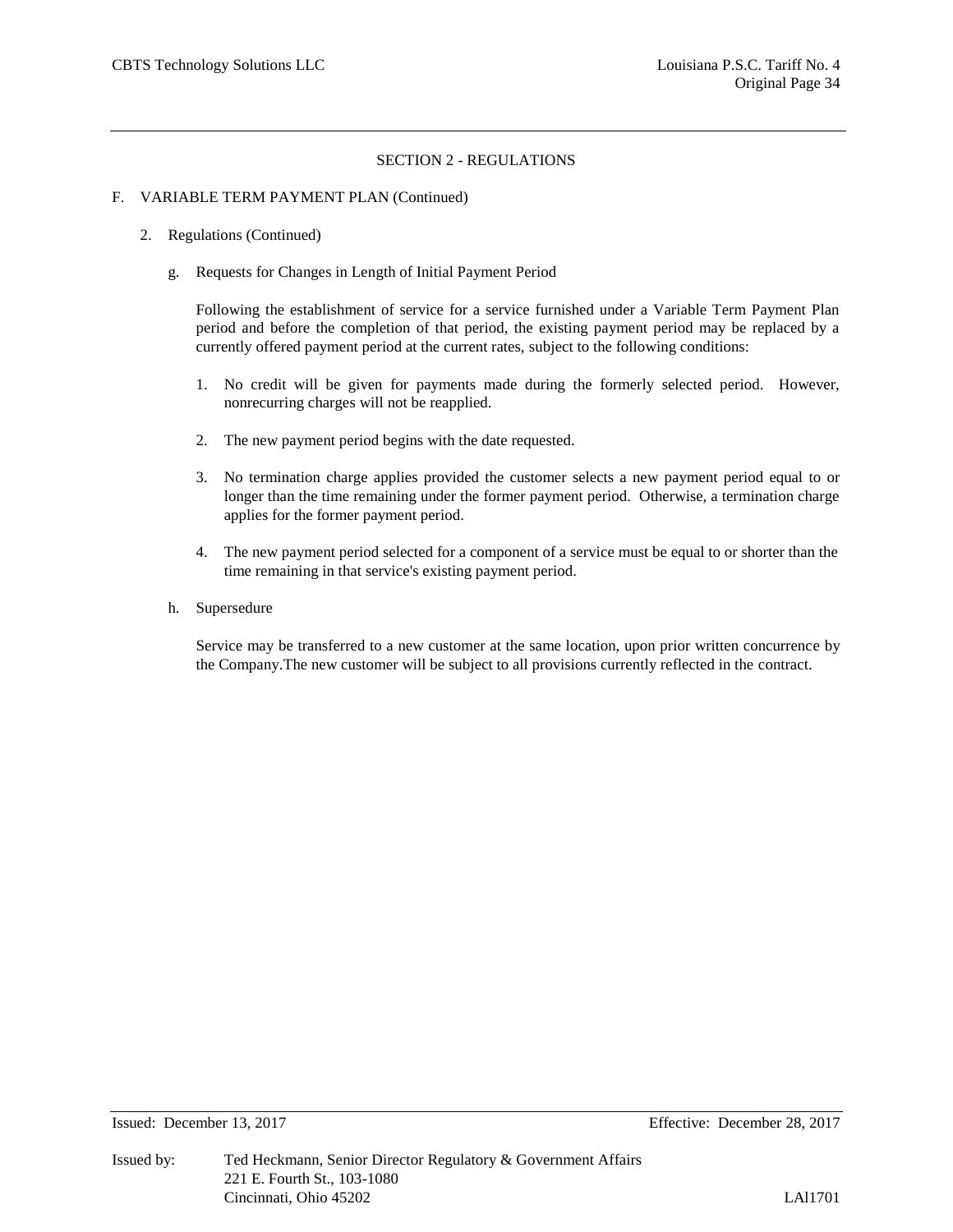#### F. VARIABLE TERM PAYMENT PLAN (Continued)

- 2. Regulations (Continued)
	- g. Requests for Changes in Length of Initial Payment Period

Following the establishment of service for a service furnished under a Variable Term Payment Plan period and before the completion of that period, the existing payment period may be replaced by a currently offered payment period at the current rates, subject to the following conditions:

- 1. No credit will be given for payments made during the formerly selected period. However, nonrecurring charges will not be reapplied.
- 2. The new payment period begins with the date requested.
- 3. No termination charge applies provided the customer selects a new payment period equal to or longer than the time remaining under the former payment period. Otherwise, a termination charge applies for the former payment period.
- 4. The new payment period selected for a component of a service must be equal to or shorter than the time remaining in that service's existing payment period.
- h. Supersedure

Service may be transferred to a new customer at the same location, upon prior written concurrence by the Company.The new customer will be subject to all provisions currently reflected in the contract.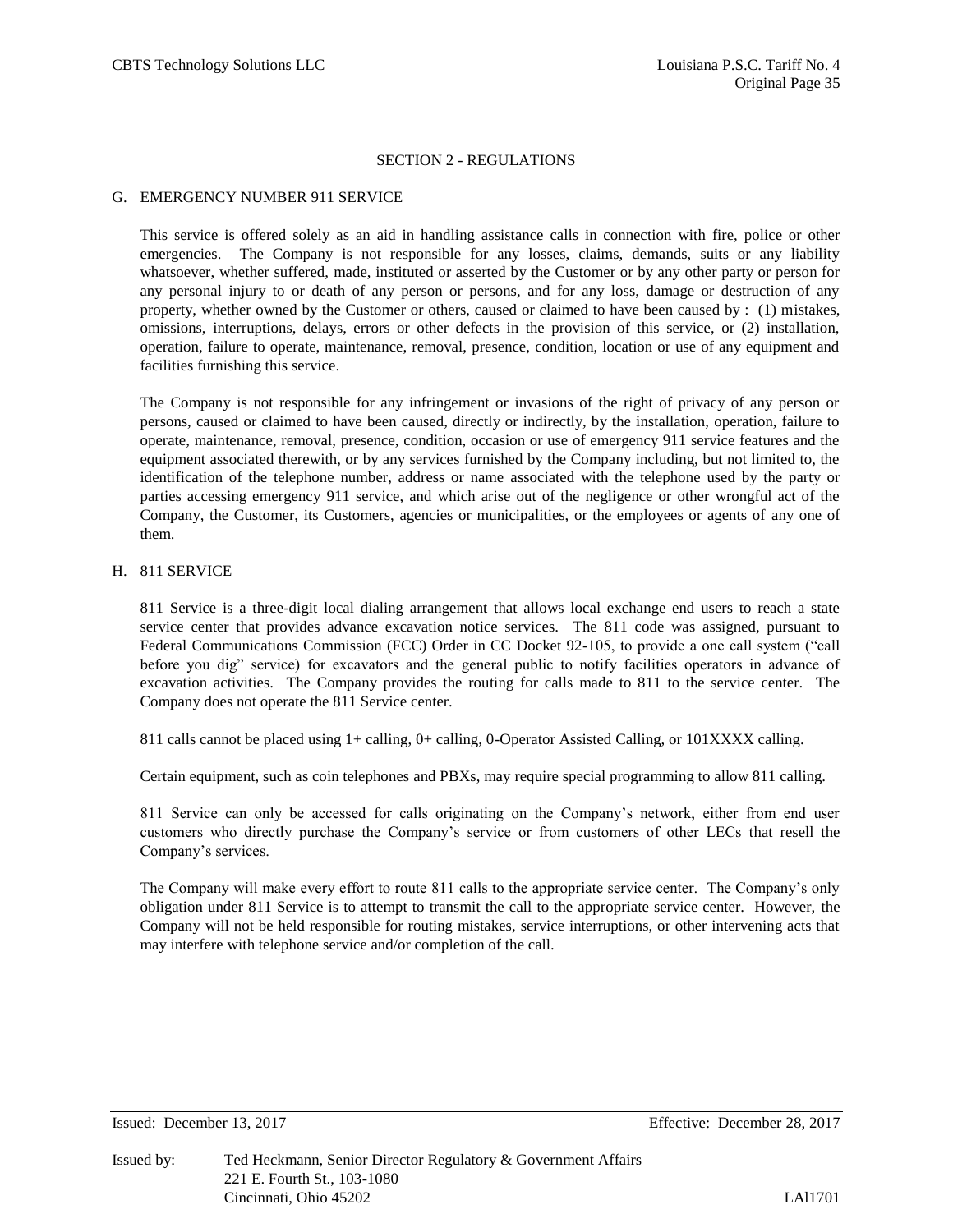#### G. EMERGENCY NUMBER 911 SERVICE

This service is offered solely as an aid in handling assistance calls in connection with fire, police or other emergencies. The Company is not responsible for any losses, claims, demands, suits or any liability whatsoever, whether suffered, made, instituted or asserted by the Customer or by any other party or person for any personal injury to or death of any person or persons, and for any loss, damage or destruction of any property, whether owned by the Customer or others, caused or claimed to have been caused by : (1) mistakes, omissions, interruptions, delays, errors or other defects in the provision of this service, or (2) installation, operation, failure to operate, maintenance, removal, presence, condition, location or use of any equipment and facilities furnishing this service.

The Company is not responsible for any infringement or invasions of the right of privacy of any person or persons, caused or claimed to have been caused, directly or indirectly, by the installation, operation, failure to operate, maintenance, removal, presence, condition, occasion or use of emergency 911 service features and the equipment associated therewith, or by any services furnished by the Company including, but not limited to, the identification of the telephone number, address or name associated with the telephone used by the party or parties accessing emergency 911 service, and which arise out of the negligence or other wrongful act of the Company, the Customer, its Customers, agencies or municipalities, or the employees or agents of any one of them.

#### H. 811 SERVICE

811 Service is a three-digit local dialing arrangement that allows local exchange end users to reach a state service center that provides advance excavation notice services. The 811 code was assigned, pursuant to Federal Communications Commission (FCC) Order in CC Docket 92-105, to provide a one call system ("call before you dig" service) for excavators and the general public to notify facilities operators in advance of excavation activities. The Company provides the routing for calls made to 811 to the service center. The Company does not operate the 811 Service center.

811 calls cannot be placed using 1+ calling, 0+ calling, 0-Operator Assisted Calling, or 101XXXX calling.

Certain equipment, such as coin telephones and PBXs, may require special programming to allow 811 calling.

811 Service can only be accessed for calls originating on the Company's network, either from end user customers who directly purchase the Company's service or from customers of other LECs that resell the Company's services.

The Company will make every effort to route 811 calls to the appropriate service center. The Company's only obligation under 811 Service is to attempt to transmit the call to the appropriate service center. However, the Company will not be held responsible for routing mistakes, service interruptions, or other intervening acts that may interfere with telephone service and/or completion of the call.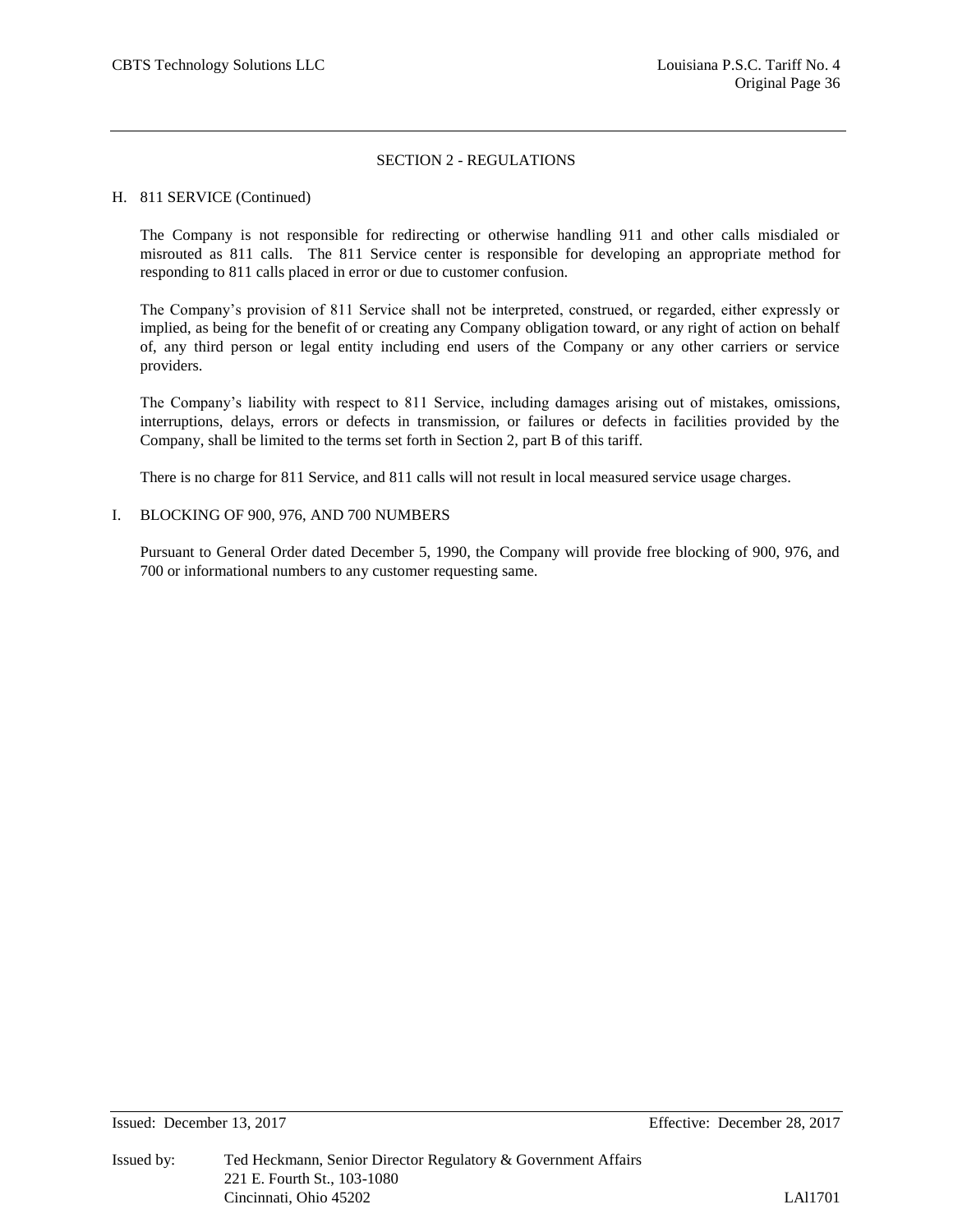#### H. 811 SERVICE (Continued)

The Company is not responsible for redirecting or otherwise handling 911 and other calls misdialed or misrouted as 811 calls. The 811 Service center is responsible for developing an appropriate method for responding to 811 calls placed in error or due to customer confusion.

The Company's provision of 811 Service shall not be interpreted, construed, or regarded, either expressly or implied, as being for the benefit of or creating any Company obligation toward, or any right of action on behalf of, any third person or legal entity including end users of the Company or any other carriers or service providers.

The Company's liability with respect to 811 Service, including damages arising out of mistakes, omissions, interruptions, delays, errors or defects in transmission, or failures or defects in facilities provided by the Company, shall be limited to the terms set forth in Section 2, part B of this tariff.

There is no charge for 811 Service, and 811 calls will not result in local measured service usage charges.

#### I. BLOCKING OF 900, 976, AND 700 NUMBERS

Pursuant to General Order dated December 5, 1990, the Company will provide free blocking of 900, 976, and 700 or informational numbers to any customer requesting same.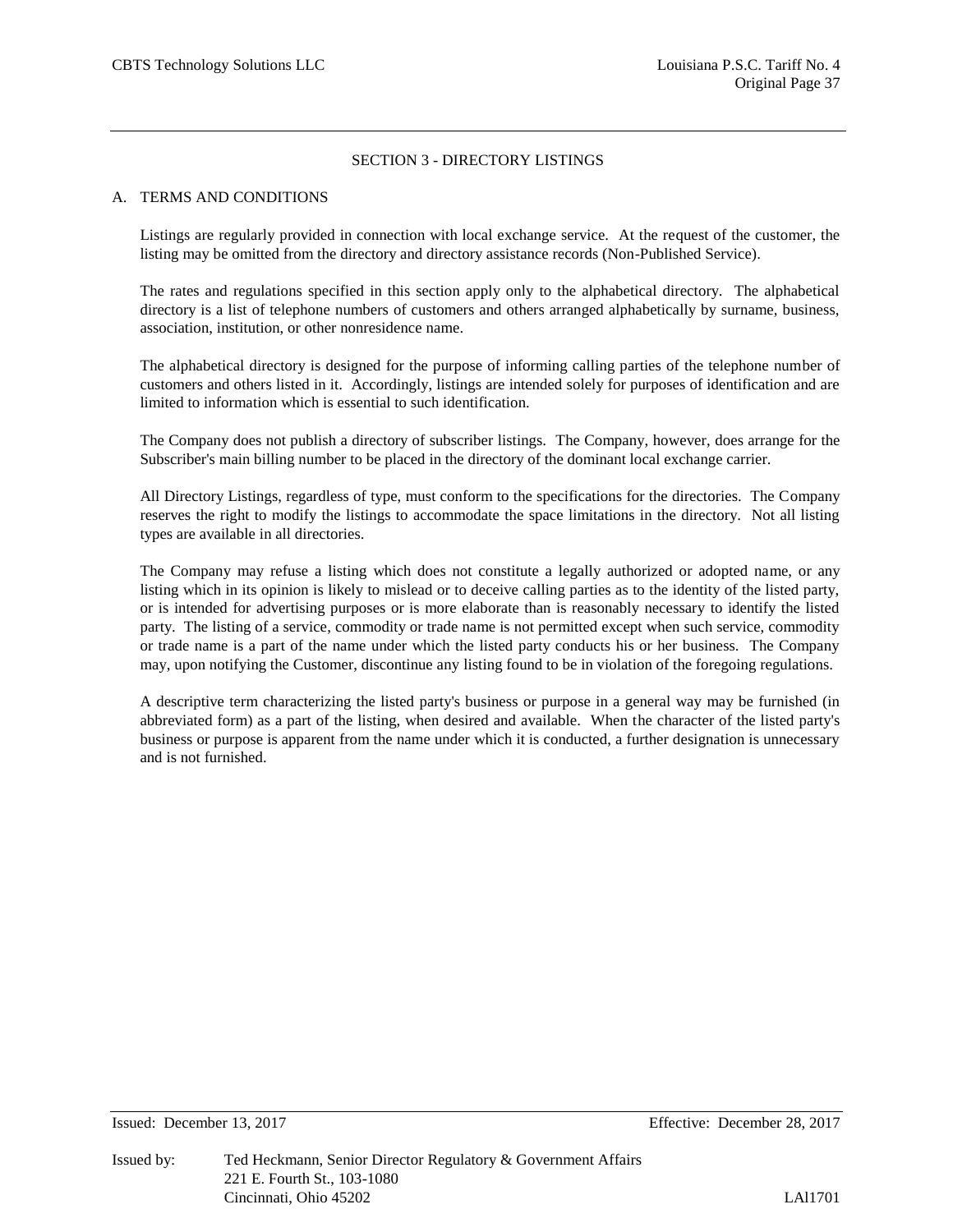#### A. TERMS AND CONDITIONS

Listings are regularly provided in connection with local exchange service. At the request of the customer, the listing may be omitted from the directory and directory assistance records (Non-Published Service).

The rates and regulations specified in this section apply only to the alphabetical directory. The alphabetical directory is a list of telephone numbers of customers and others arranged alphabetically by surname, business, association, institution, or other nonresidence name.

The alphabetical directory is designed for the purpose of informing calling parties of the telephone number of customers and others listed in it. Accordingly, listings are intended solely for purposes of identification and are limited to information which is essential to such identification.

The Company does not publish a directory of subscriber listings. The Company, however, does arrange for the Subscriber's main billing number to be placed in the directory of the dominant local exchange carrier.

All Directory Listings, regardless of type, must conform to the specifications for the directories. The Company reserves the right to modify the listings to accommodate the space limitations in the directory. Not all listing types are available in all directories.

The Company may refuse a listing which does not constitute a legally authorized or adopted name, or any listing which in its opinion is likely to mislead or to deceive calling parties as to the identity of the listed party, or is intended for advertising purposes or is more elaborate than is reasonably necessary to identify the listed party. The listing of a service, commodity or trade name is not permitted except when such service, commodity or trade name is a part of the name under which the listed party conducts his or her business. The Company may, upon notifying the Customer, discontinue any listing found to be in violation of the foregoing regulations.

A descriptive term characterizing the listed party's business or purpose in a general way may be furnished (in abbreviated form) as a part of the listing, when desired and available. When the character of the listed party's business or purpose is apparent from the name under which it is conducted, a further designation is unnecessary and is not furnished.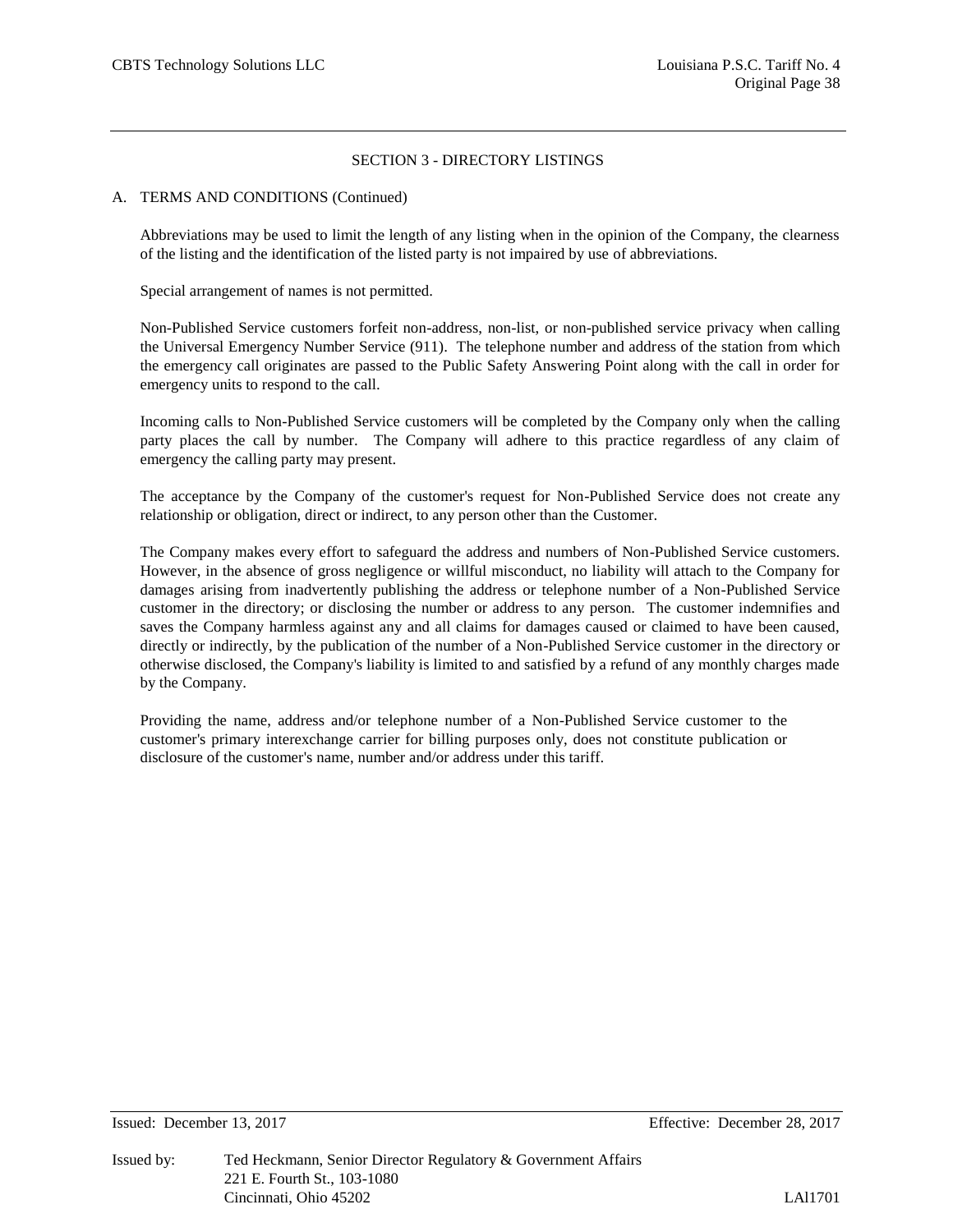## A. TERMS AND CONDITIONS (Continued)

Abbreviations may be used to limit the length of any listing when in the opinion of the Company, the clearness of the listing and the identification of the listed party is not impaired by use of abbreviations.

Special arrangement of names is not permitted.

Non-Published Service customers forfeit non-address, non-list, or non-published service privacy when calling the Universal Emergency Number Service (911). The telephone number and address of the station from which the emergency call originates are passed to the Public Safety Answering Point along with the call in order for emergency units to respond to the call.

Incoming calls to Non-Published Service customers will be completed by the Company only when the calling party places the call by number. The Company will adhere to this practice regardless of any claim of emergency the calling party may present.

The acceptance by the Company of the customer's request for Non-Published Service does not create any relationship or obligation, direct or indirect, to any person other than the Customer.

The Company makes every effort to safeguard the address and numbers of Non-Published Service customers. However, in the absence of gross negligence or willful misconduct, no liability will attach to the Company for damages arising from inadvertently publishing the address or telephone number of a Non-Published Service customer in the directory; or disclosing the number or address to any person. The customer indemnifies and saves the Company harmless against any and all claims for damages caused or claimed to have been caused, directly or indirectly, by the publication of the number of a Non-Published Service customer in the directory or otherwise disclosed, the Company's liability is limited to and satisfied by a refund of any monthly charges made by the Company.

Providing the name, address and/or telephone number of a Non-Published Service customer to the customer's primary interexchange carrier for billing purposes only, does not constitute publication or disclosure of the customer's name, number and/or address under this tariff.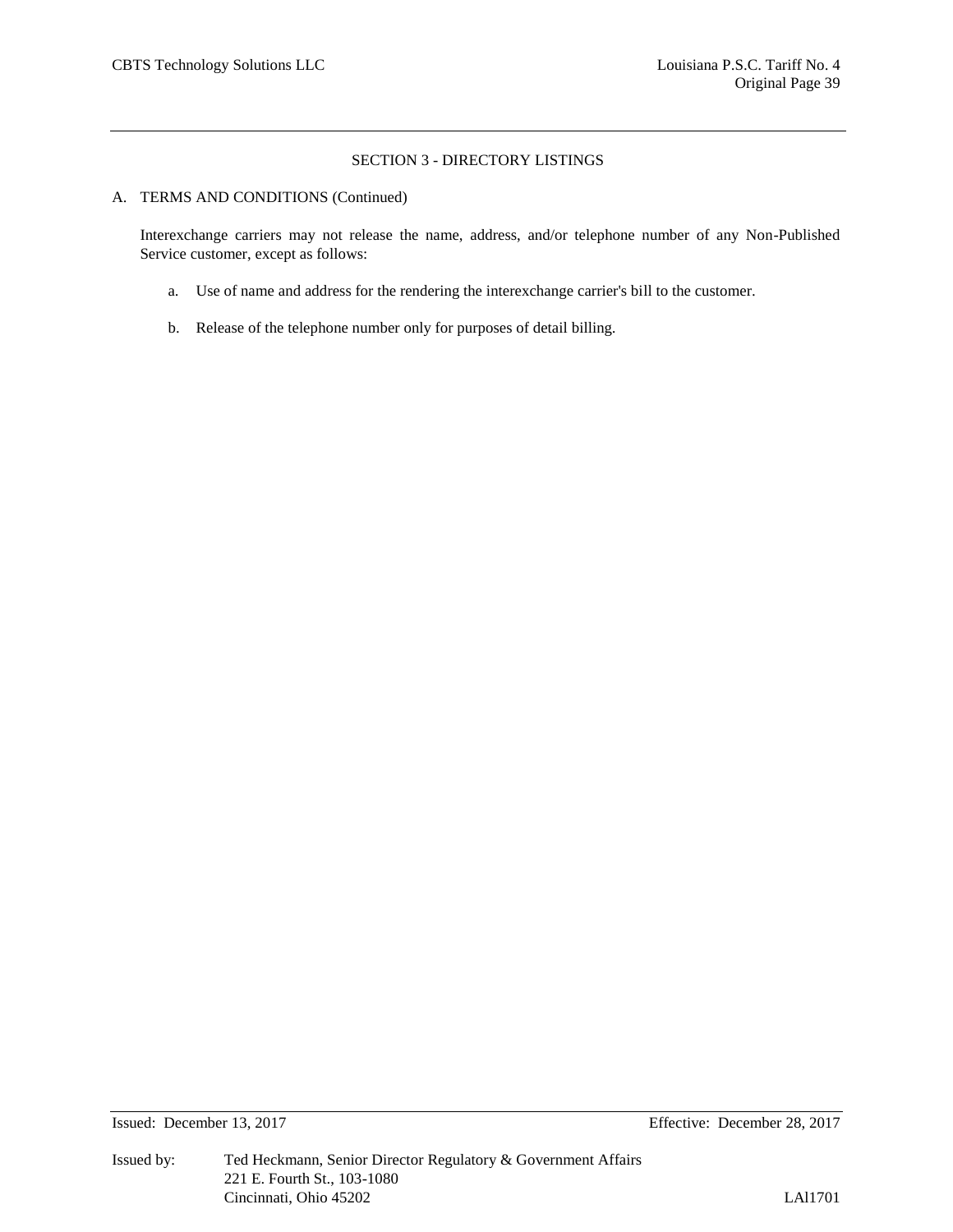#### A. TERMS AND CONDITIONS (Continued)

Interexchange carriers may not release the name, address, and/or telephone number of any Non-Published Service customer, except as follows:

- a. Use of name and address for the rendering the interexchange carrier's bill to the customer.
- b. Release of the telephone number only for purposes of detail billing.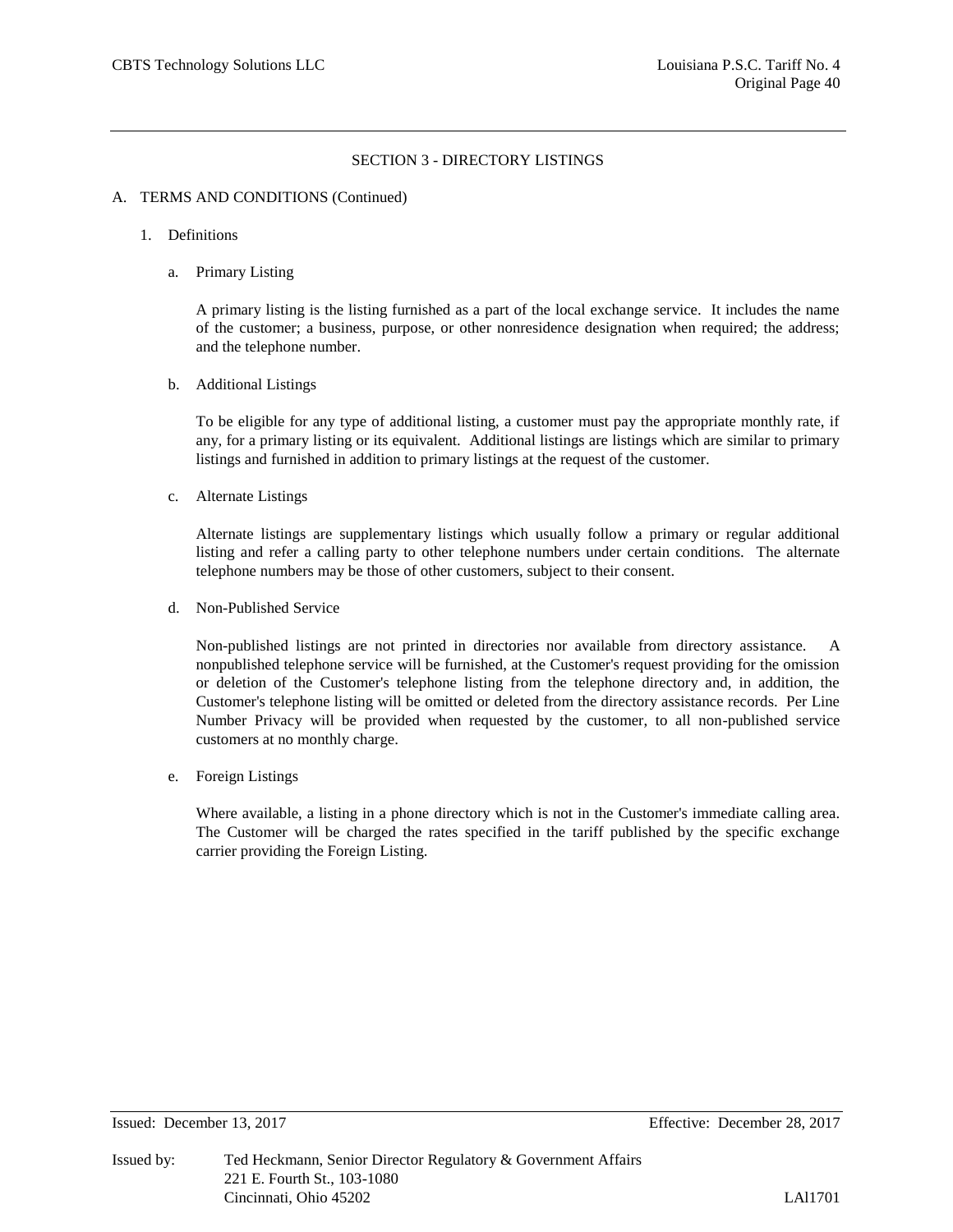#### A. TERMS AND CONDITIONS (Continued)

- 1. Definitions
	- a. Primary Listing

A primary listing is the listing furnished as a part of the local exchange service. It includes the name of the customer; a business, purpose, or other nonresidence designation when required; the address; and the telephone number.

b. Additional Listings

To be eligible for any type of additional listing, a customer must pay the appropriate monthly rate, if any, for a primary listing or its equivalent. Additional listings are listings which are similar to primary listings and furnished in addition to primary listings at the request of the customer.

c. Alternate Listings

Alternate listings are supplementary listings which usually follow a primary or regular additional listing and refer a calling party to other telephone numbers under certain conditions. The alternate telephone numbers may be those of other customers, subject to their consent.

d. Non-Published Service

Non-published listings are not printed in directories nor available from directory assistance. A nonpublished telephone service will be furnished, at the Customer's request providing for the omission or deletion of the Customer's telephone listing from the telephone directory and, in addition, the Customer's telephone listing will be omitted or deleted from the directory assistance records. Per Line Number Privacy will be provided when requested by the customer, to all non-published service customers at no monthly charge.

e. Foreign Listings

Where available, a listing in a phone directory which is not in the Customer's immediate calling area. The Customer will be charged the rates specified in the tariff published by the specific exchange carrier providing the Foreign Listing.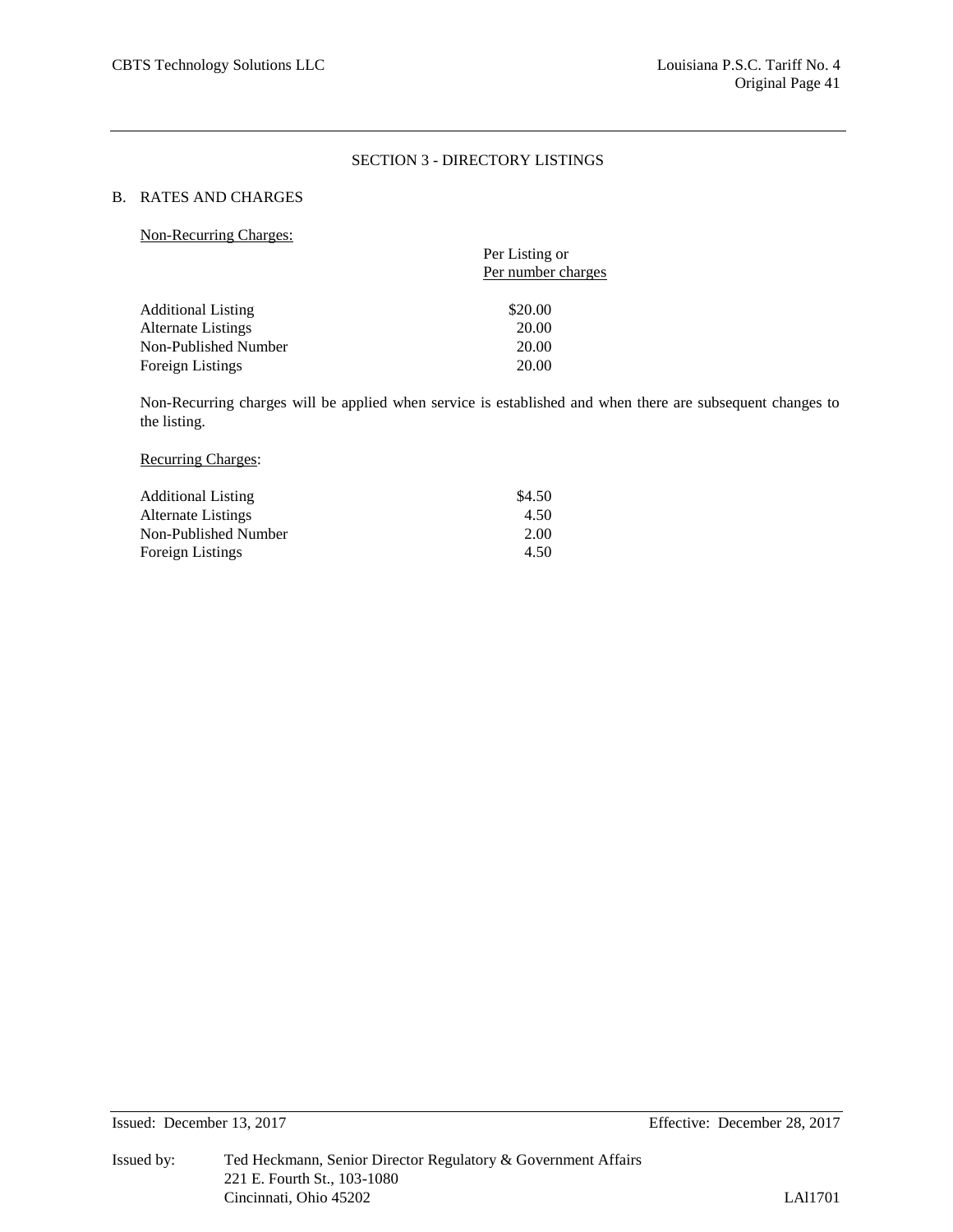# B. RATES AND CHARGES

Non-Recurring Charges:

|                                                 | Per Listing or     |
|-------------------------------------------------|--------------------|
|                                                 | Per number charges |
|                                                 | \$20.00            |
| <b>Additional Listing</b><br>Alternate Listings | 20.00              |
| Non-Published Number                            | 20.00              |
| <b>Foreign Listings</b>                         | 20.00              |

Non-Recurring charges will be applied when service is established and when there are subsequent changes to the listing.

#### Recurring Charges:

| <b>Additional Listing</b> | \$4.50 |
|---------------------------|--------|
| Alternate Listings        | 4.50   |
| Non-Published Number      | 2.00   |
| <b>Foreign Listings</b>   | 4.50   |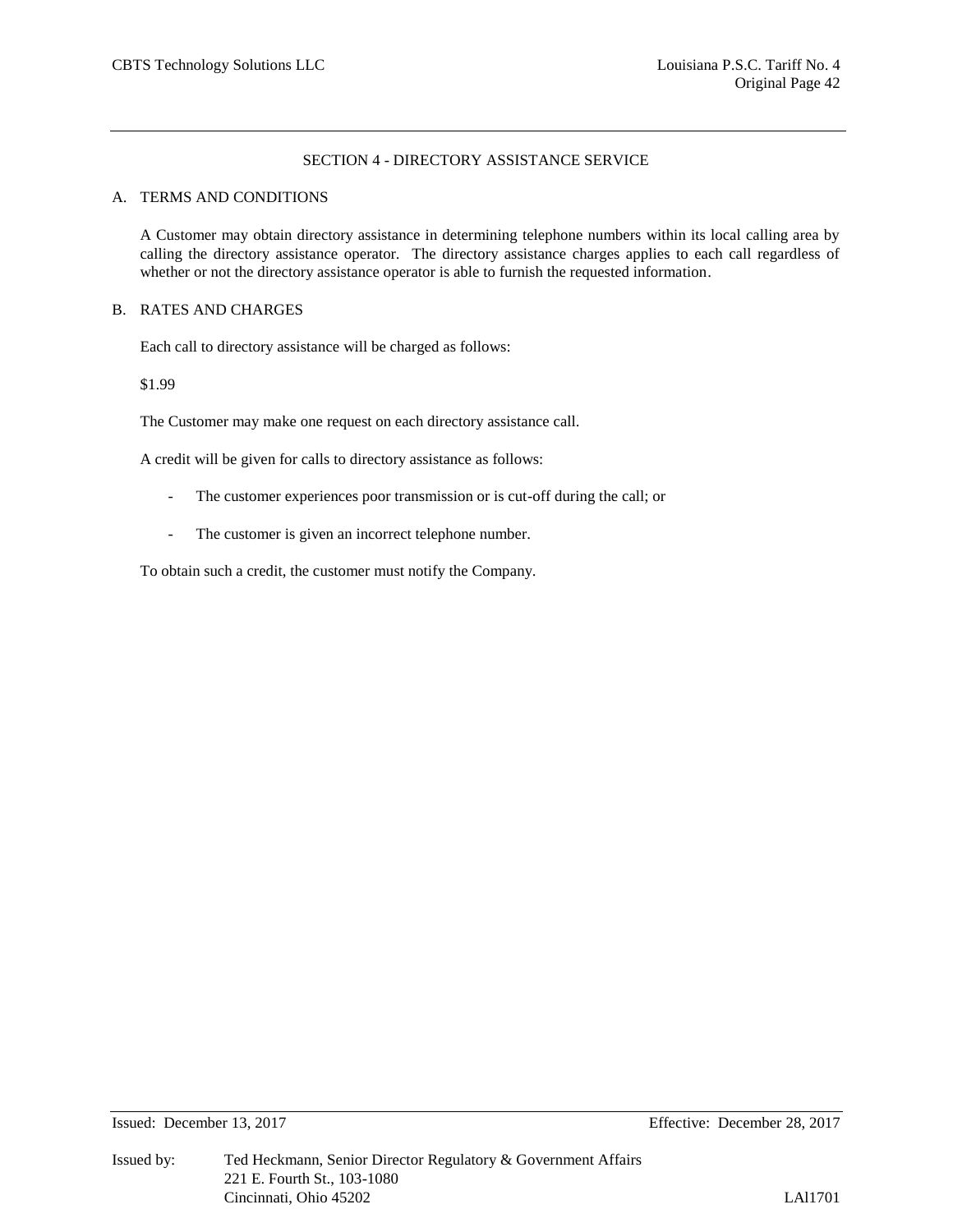## SECTION 4 - DIRECTORY ASSISTANCE SERVICE

#### A. TERMS AND CONDITIONS

A Customer may obtain directory assistance in determining telephone numbers within its local calling area by calling the directory assistance operator. The directory assistance charges applies to each call regardless of whether or not the directory assistance operator is able to furnish the requested information.

# B. RATES AND CHARGES

Each call to directory assistance will be charged as follows:

\$1.99

The Customer may make one request on each directory assistance call.

A credit will be given for calls to directory assistance as follows:

- The customer experiences poor transmission or is cut-off during the call; or
- The customer is given an incorrect telephone number.

To obtain such a credit, the customer must notify the Company.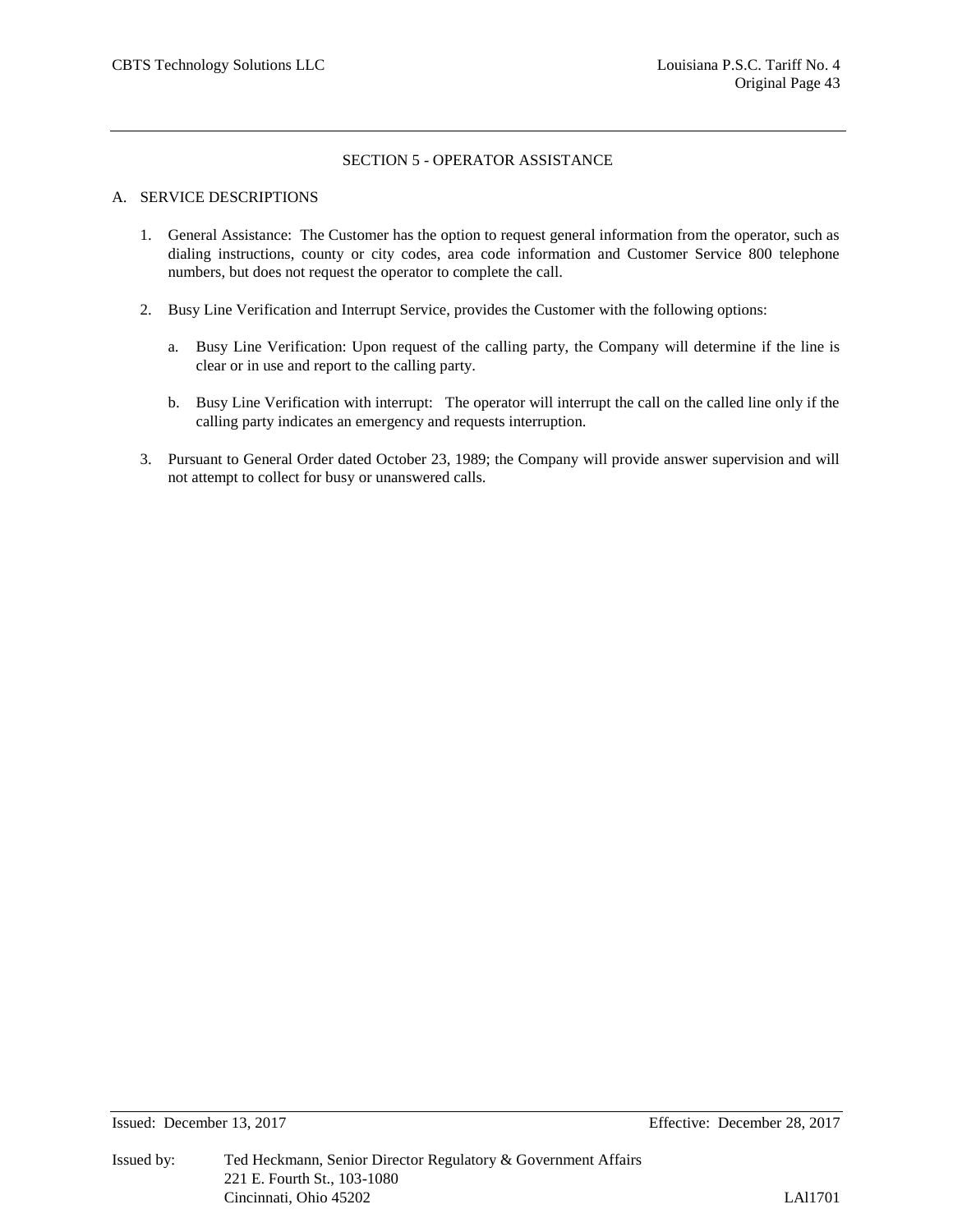## SECTION 5 - OPERATOR ASSISTANCE

#### A. SERVICE DESCRIPTIONS

- 1. General Assistance: The Customer has the option to request general information from the operator, such as dialing instructions, county or city codes, area code information and Customer Service 800 telephone numbers, but does not request the operator to complete the call.
- 2. Busy Line Verification and Interrupt Service, provides the Customer with the following options:
	- a. Busy Line Verification: Upon request of the calling party, the Company will determine if the line is clear or in use and report to the calling party.
	- b. Busy Line Verification with interrupt: The operator will interrupt the call on the called line only if the calling party indicates an emergency and requests interruption.
- 3. Pursuant to General Order dated October 23, 1989; the Company will provide answer supervision and will not attempt to collect for busy or unanswered calls.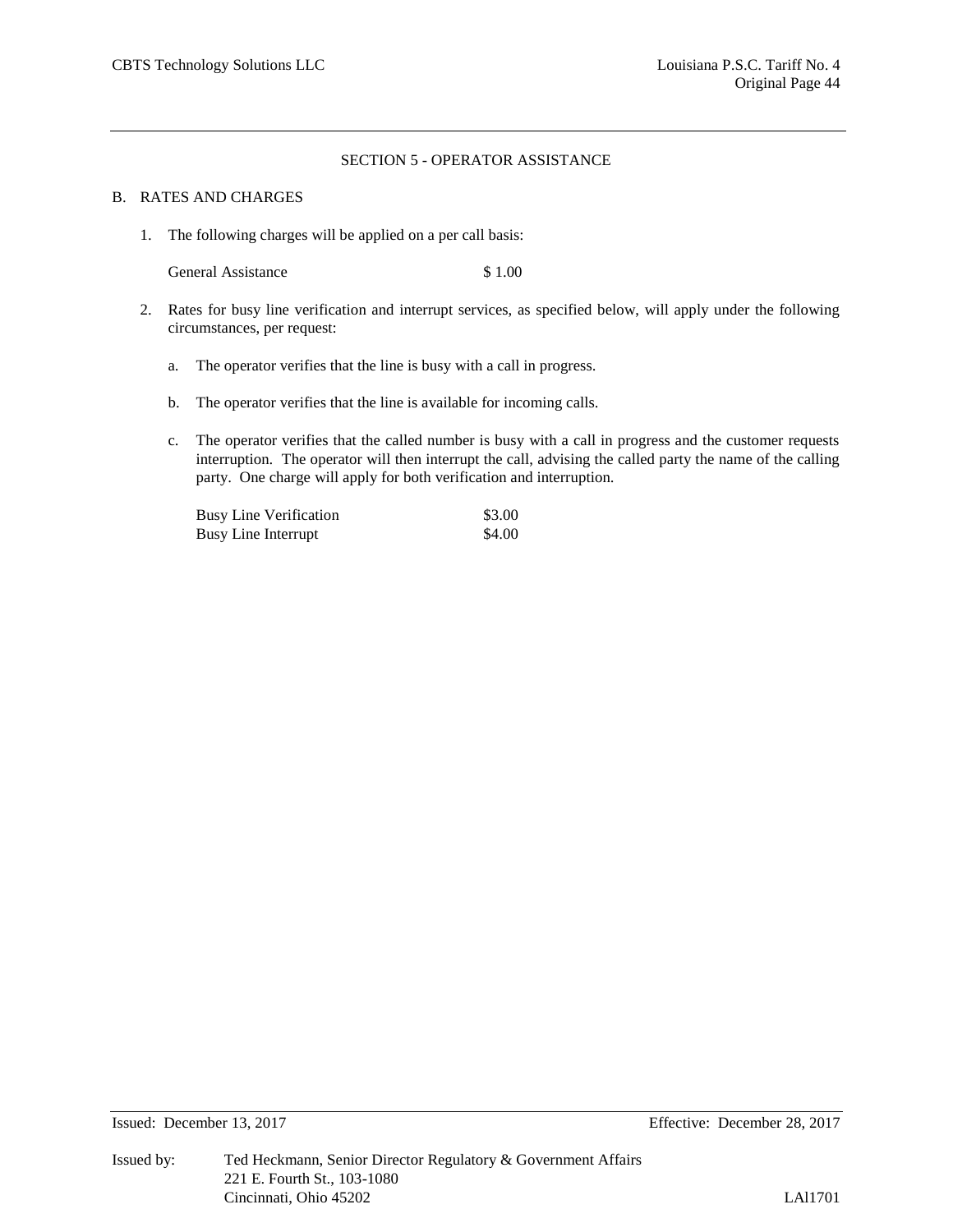#### SECTION 5 - OPERATOR ASSISTANCE

#### B. RATES AND CHARGES

1. The following charges will be applied on a per call basis:

General Assistance \$ 1.00

- 2. Rates for busy line verification and interrupt services, as specified below, will apply under the following circumstances, per request:
	- a. The operator verifies that the line is busy with a call in progress.
	- b. The operator verifies that the line is available for incoming calls.
	- c. The operator verifies that the called number is busy with a call in progress and the customer requests interruption. The operator will then interrupt the call, advising the called party the name of the calling party. One charge will apply for both verification and interruption.

| <b>Busy Line Verification</b> | \$3.00 |
|-------------------------------|--------|
| <b>Busy Line Interrupt</b>    | \$4.00 |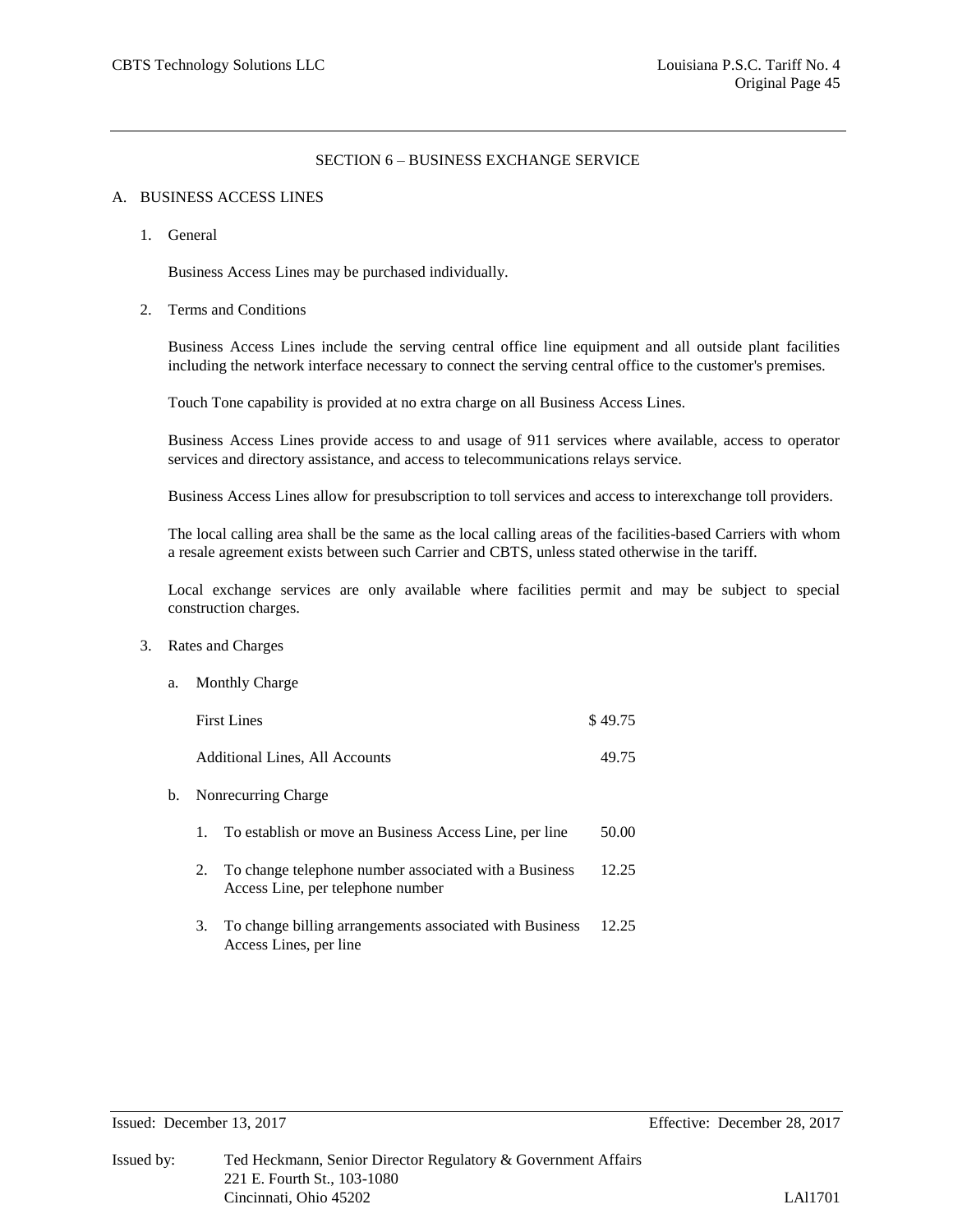## SECTION 6 – BUSINESS EXCHANGE SERVICE

#### A. BUSINESS ACCESS LINES

1. General

Business Access Lines may be purchased individually.

2. Terms and Conditions

Business Access Lines include the serving central office line equipment and all outside plant facilities including the network interface necessary to connect the serving central office to the customer's premises.

Touch Tone capability is provided at no extra charge on all Business Access Lines.

Business Access Lines provide access to and usage of 911 services where available, access to operator services and directory assistance, and access to telecommunications relays service.

Business Access Lines allow for presubscription to toll services and access to interexchange toll providers.

The local calling area shall be the same as the local calling areas of the facilities-based Carriers with whom a resale agreement exists between such Carrier and CBTS, unless stated otherwise in the tariff.

Local exchange services are only available where facilities permit and may be subject to special construction charges.

3. Rates and Charges

| a. |                                       | <b>Monthly Charge</b>                                                                      |         |  |
|----|---------------------------------------|--------------------------------------------------------------------------------------------|---------|--|
|    |                                       | <b>First Lines</b>                                                                         | \$49.75 |  |
|    | <b>Additional Lines, All Accounts</b> |                                                                                            |         |  |
| b. | Nonrecurring Charge                   |                                                                                            |         |  |
|    | $1_{-}$                               | To establish or move an Business Access Line, per line                                     | 50.00   |  |
|    | 2.                                    | To change telephone number associated with a Business<br>Access Line, per telephone number | 12.25   |  |
|    | 3.                                    | To change billing arrangements associated with Business<br>Access Lines, per line          | 12.25   |  |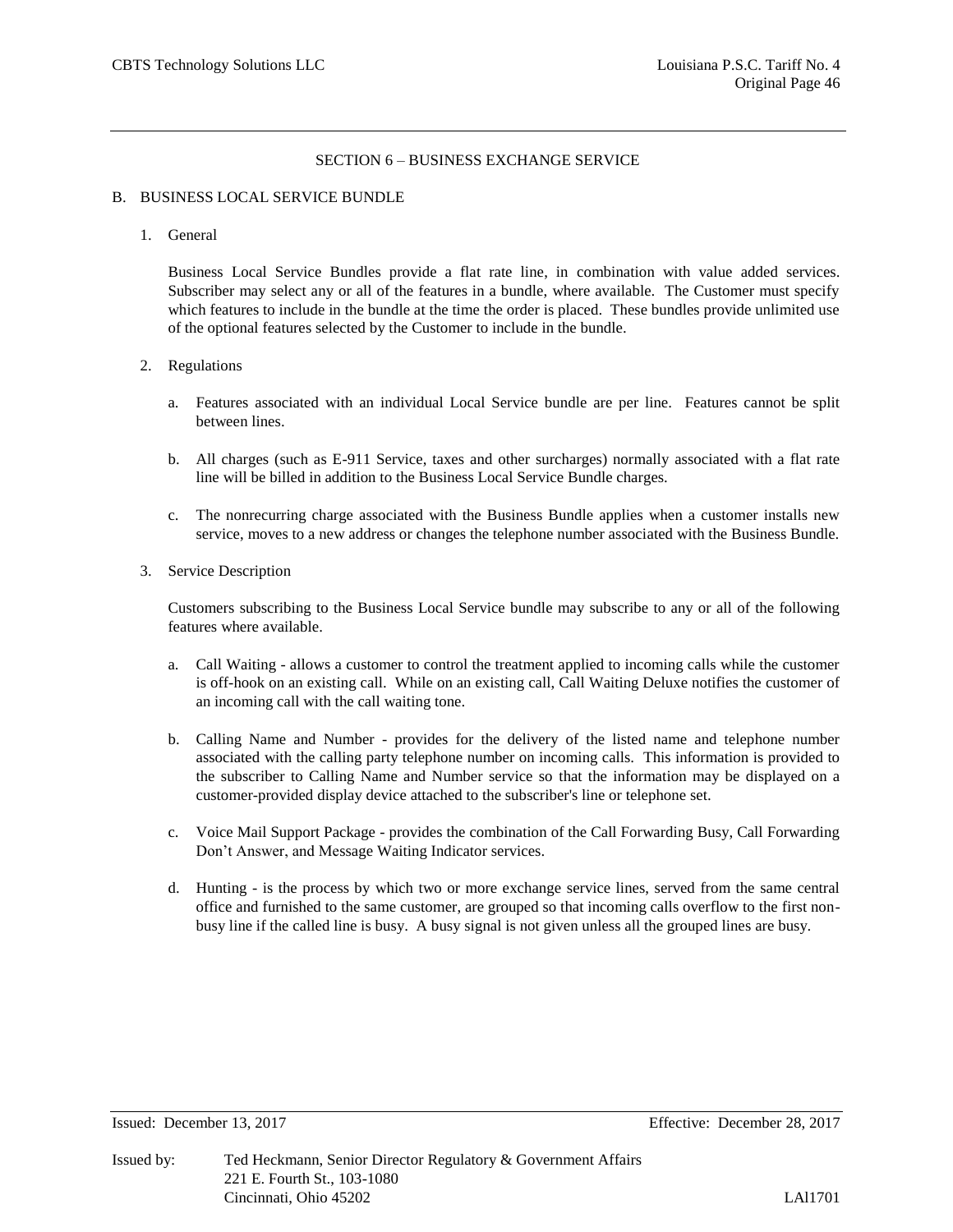## SECTION 6 – BUSINESS EXCHANGE SERVICE

#### B. BUSINESS LOCAL SERVICE BUNDLE

1. General

Business Local Service Bundles provide a flat rate line, in combination with value added services. Subscriber may select any or all of the features in a bundle, where available. The Customer must specify which features to include in the bundle at the time the order is placed. These bundles provide unlimited use of the optional features selected by the Customer to include in the bundle.

#### 2. Regulations

- a. Features associated with an individual Local Service bundle are per line. Features cannot be split between lines.
- b. All charges (such as E-911 Service, taxes and other surcharges) normally associated with a flat rate line will be billed in addition to the Business Local Service Bundle charges.
- c. The nonrecurring charge associated with the Business Bundle applies when a customer installs new service, moves to a new address or changes the telephone number associated with the Business Bundle.
- 3. Service Description

Customers subscribing to the Business Local Service bundle may subscribe to any or all of the following features where available.

- a. Call Waiting allows a customer to control the treatment applied to incoming calls while the customer is off-hook on an existing call. While on an existing call, Call Waiting Deluxe notifies the customer of an incoming call with the call waiting tone.
- b. Calling Name and Number provides for the delivery of the listed name and telephone number associated with the calling party telephone number on incoming calls. This information is provided to the subscriber to Calling Name and Number service so that the information may be displayed on a customer-provided display device attached to the subscriber's line or telephone set.
- c. Voice Mail Support Package provides the combination of the Call Forwarding Busy, Call Forwarding Don't Answer, and Message Waiting Indicator services.
- d. Hunting is the process by which two or more exchange service lines, served from the same central office and furnished to the same customer, are grouped so that incoming calls overflow to the first nonbusy line if the called line is busy. A busy signal is not given unless all the grouped lines are busy.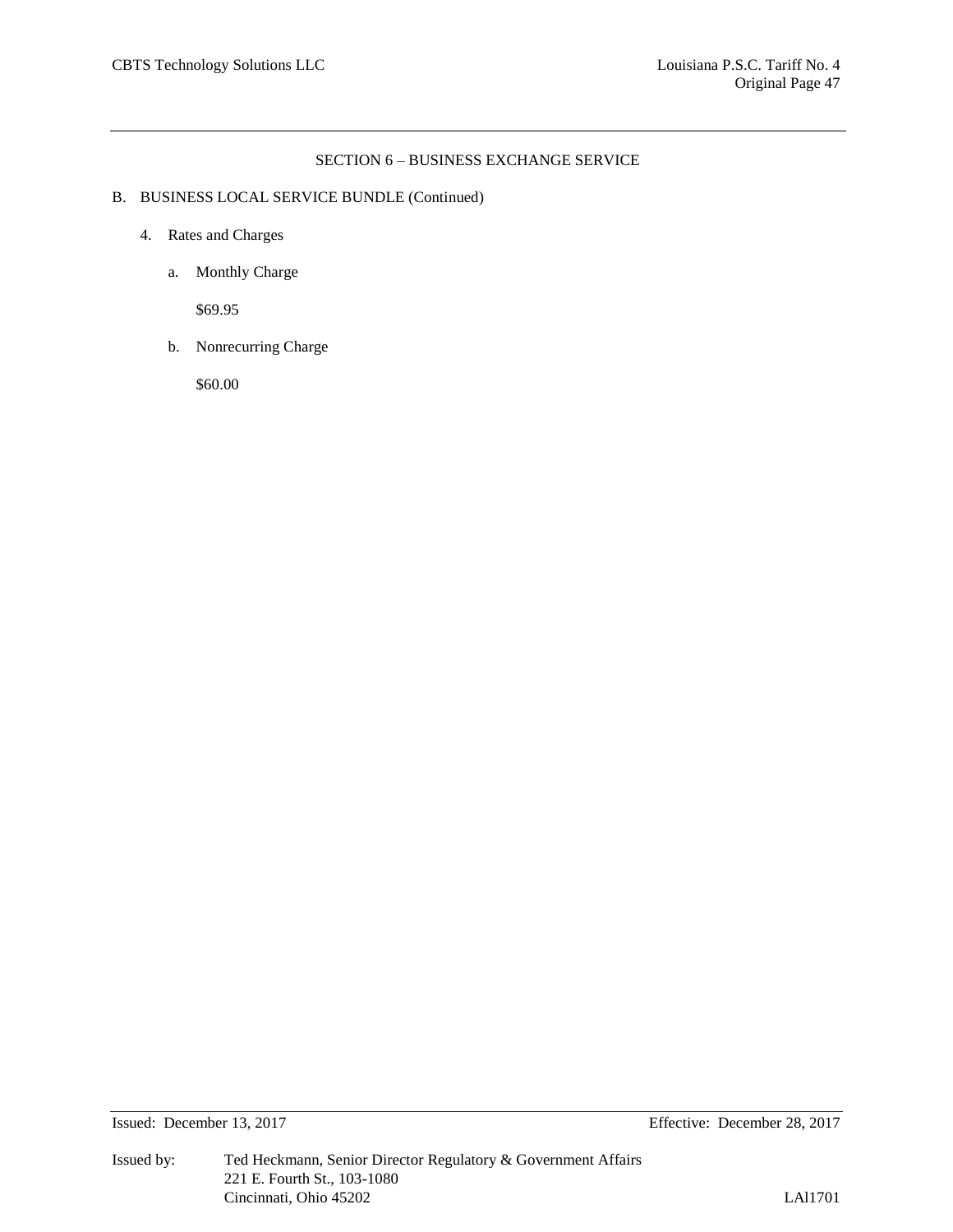#### SECTION 6 – BUSINESS EXCHANGE SERVICE

# B. BUSINESS LOCAL SERVICE BUNDLE (Continued)

- 4. Rates and Charges
	- a. Monthly Charge

\$69.95

b. Nonrecurring Charge

\$60.00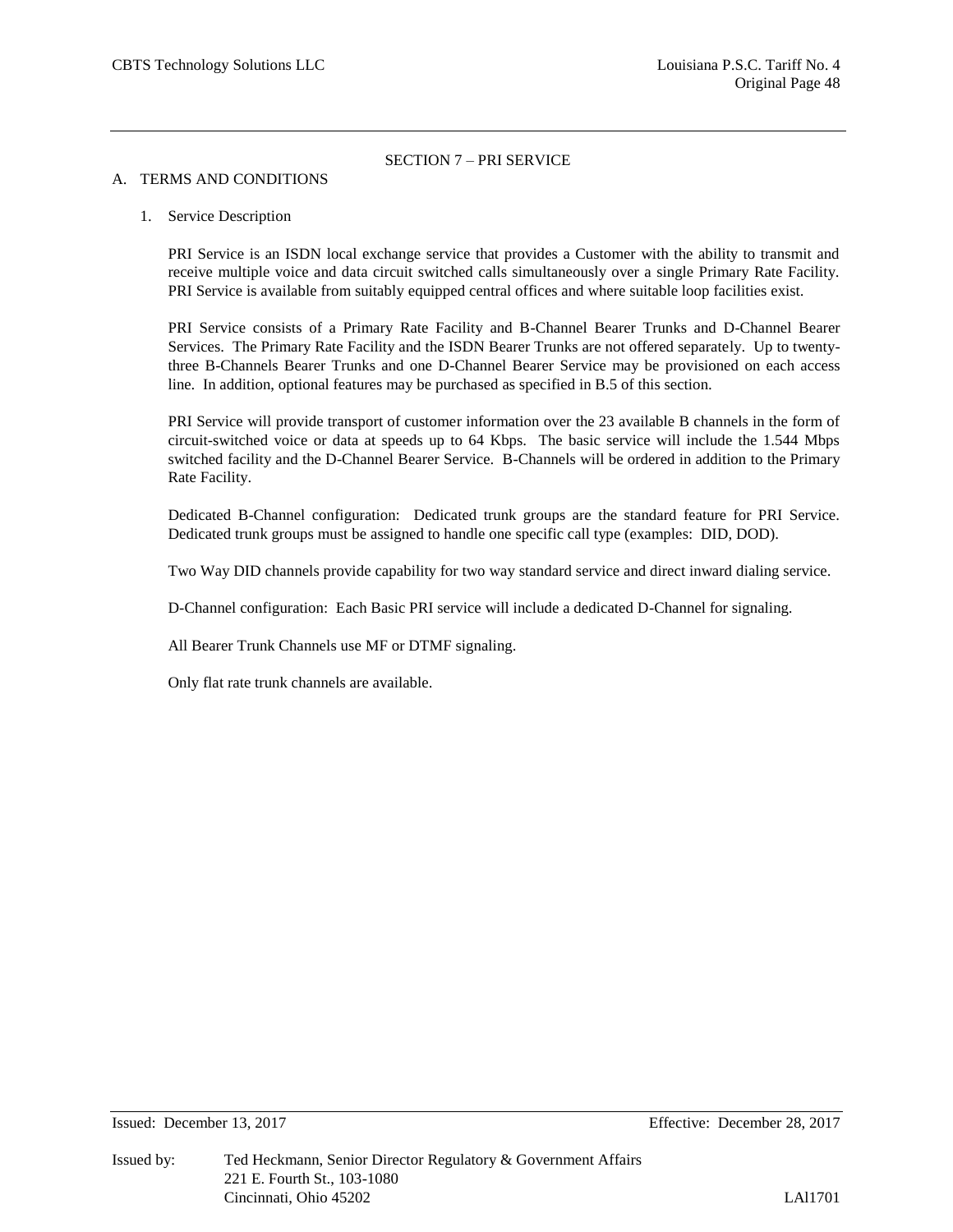#### A. TERMS AND CONDITIONS

#### 1. Service Description

PRI Service is an ISDN local exchange service that provides a Customer with the ability to transmit and receive multiple voice and data circuit switched calls simultaneously over a single Primary Rate Facility. PRI Service is available from suitably equipped central offices and where suitable loop facilities exist.

PRI Service consists of a Primary Rate Facility and B-Channel Bearer Trunks and D-Channel Bearer Services. The Primary Rate Facility and the ISDN Bearer Trunks are not offered separately. Up to twentythree B-Channels Bearer Trunks and one D-Channel Bearer Service may be provisioned on each access line. In addition, optional features may be purchased as specified in B.5 of this section.

PRI Service will provide transport of customer information over the 23 available B channels in the form of circuit-switched voice or data at speeds up to 64 Kbps. The basic service will include the 1.544 Mbps switched facility and the D-Channel Bearer Service. B-Channels will be ordered in addition to the Primary Rate Facility.

Dedicated B-Channel configuration: Dedicated trunk groups are the standard feature for PRI Service. Dedicated trunk groups must be assigned to handle one specific call type (examples: DID, DOD).

Two Way DID channels provide capability for two way standard service and direct inward dialing service.

D-Channel configuration: Each Basic PRI service will include a dedicated D-Channel for signaling.

All Bearer Trunk Channels use MF or DTMF signaling.

Only flat rate trunk channels are available.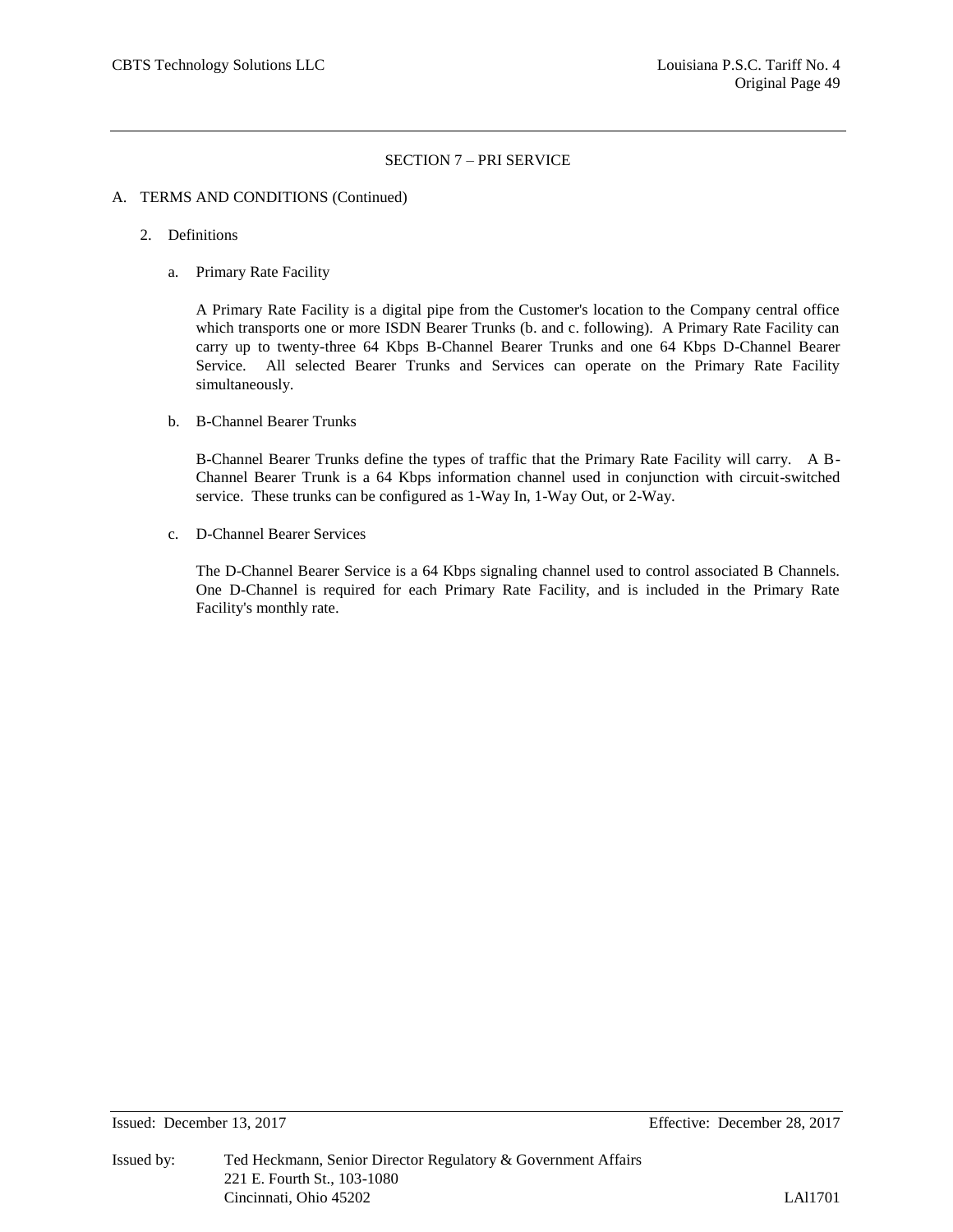#### A. TERMS AND CONDITIONS (Continued)

- 2. Definitions
	- a. Primary Rate Facility

A Primary Rate Facility is a digital pipe from the Customer's location to the Company central office which transports one or more ISDN Bearer Trunks (b. and c. following). A Primary Rate Facility can carry up to twenty-three 64 Kbps B-Channel Bearer Trunks and one 64 Kbps D-Channel Bearer Service. All selected Bearer Trunks and Services can operate on the Primary Rate Facility simultaneously.

b. B-Channel Bearer Trunks

B-Channel Bearer Trunks define the types of traffic that the Primary Rate Facility will carry. A B-Channel Bearer Trunk is a 64 Kbps information channel used in conjunction with circuit-switched service. These trunks can be configured as 1-Way In, 1-Way Out, or 2-Way.

c. D-Channel Bearer Services

The D-Channel Bearer Service is a 64 Kbps signaling channel used to control associated B Channels. One D-Channel is required for each Primary Rate Facility, and is included in the Primary Rate Facility's monthly rate.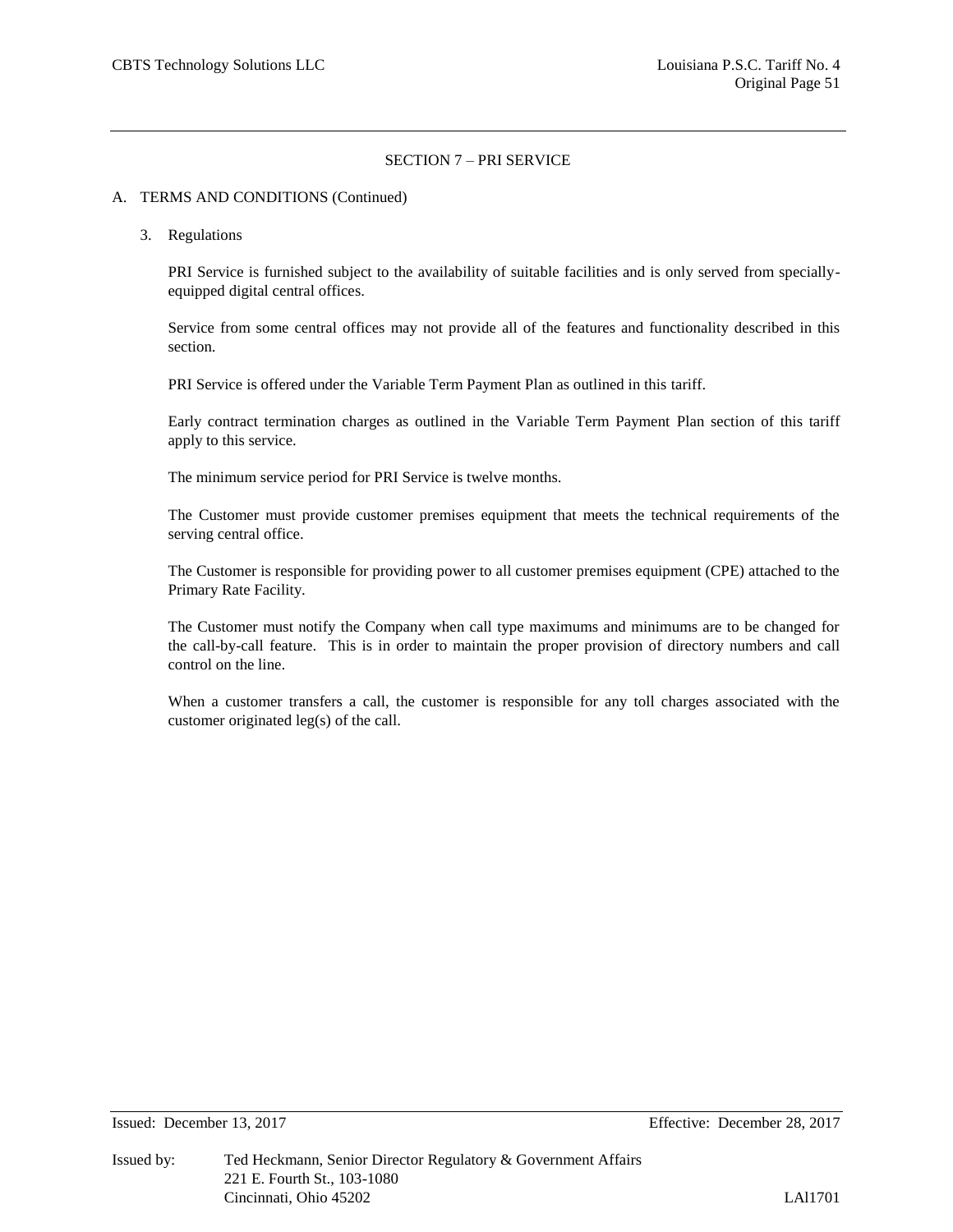#### A. TERMS AND CONDITIONS (Continued)

3. Regulations

PRI Service is furnished subject to the availability of suitable facilities and is only served from speciallyequipped digital central offices.

Service from some central offices may not provide all of the features and functionality described in this section.

PRI Service is offered under the Variable Term Payment Plan as outlined in this tariff.

Early contract termination charges as outlined in the Variable Term Payment Plan section of this tariff apply to this service.

The minimum service period for PRI Service is twelve months.

The Customer must provide customer premises equipment that meets the technical requirements of the serving central office.

The Customer is responsible for providing power to all customer premises equipment (CPE) attached to the Primary Rate Facility.

The Customer must notify the Company when call type maximums and minimums are to be changed for the call-by-call feature. This is in order to maintain the proper provision of directory numbers and call control on the line.

When a customer transfers a call, the customer is responsible for any toll charges associated with the customer originated leg(s) of the call.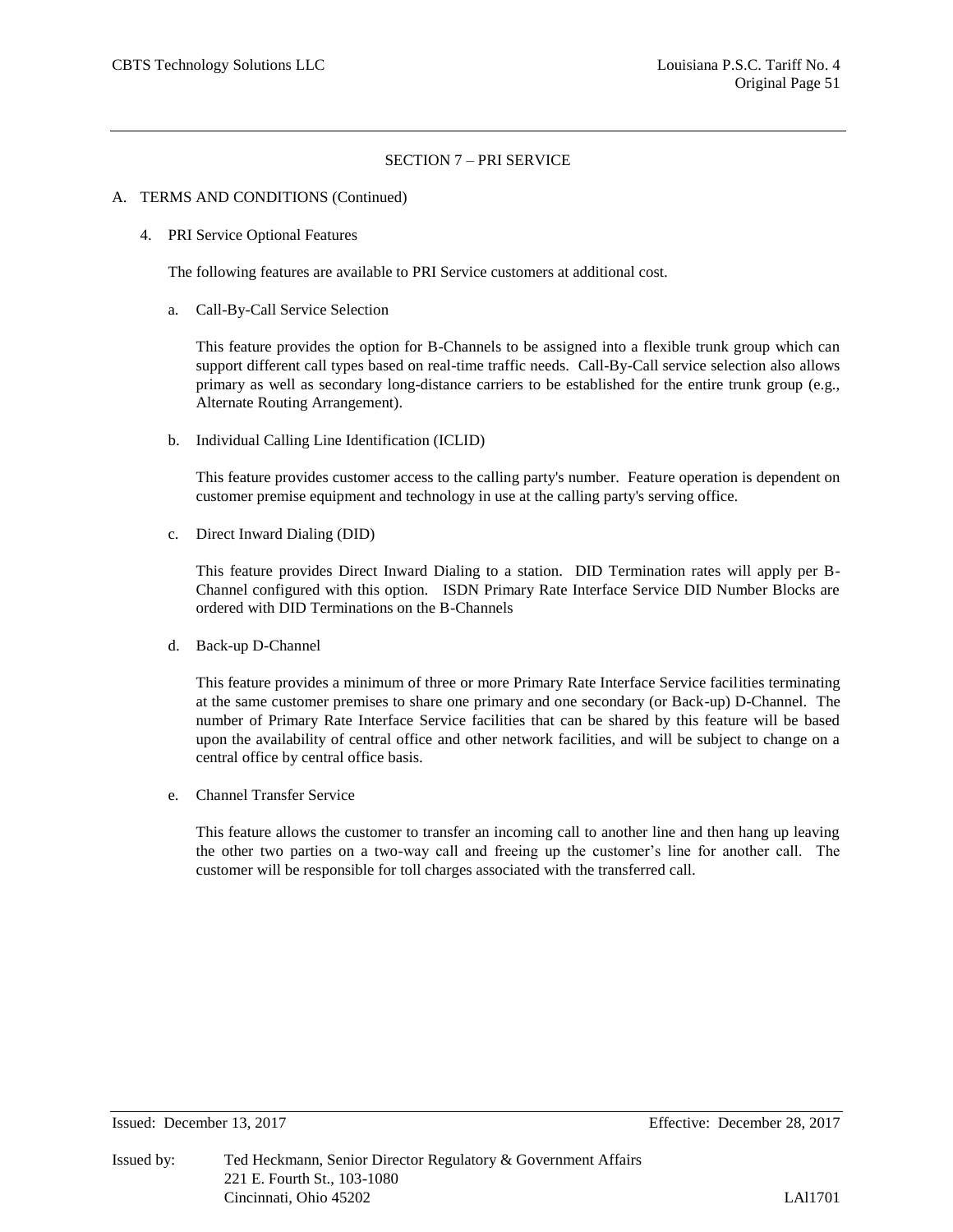#### A. TERMS AND CONDITIONS (Continued)

4. PRI Service Optional Features

The following features are available to PRI Service customers at additional cost.

a. Call-By-Call Service Selection

This feature provides the option for B-Channels to be assigned into a flexible trunk group which can support different call types based on real-time traffic needs. Call-By-Call service selection also allows primary as well as secondary long-distance carriers to be established for the entire trunk group (e.g., Alternate Routing Arrangement).

b. Individual Calling Line Identification (ICLID)

This feature provides customer access to the calling party's number. Feature operation is dependent on customer premise equipment and technology in use at the calling party's serving office.

c. Direct Inward Dialing (DID)

This feature provides Direct Inward Dialing to a station. DID Termination rates will apply per B-Channel configured with this option. ISDN Primary Rate Interface Service DID Number Blocks are ordered with DID Terminations on the B-Channels

d. Back-up D-Channel

This feature provides a minimum of three or more Primary Rate Interface Service facilities terminating at the same customer premises to share one primary and one secondary (or Back-up) D-Channel. The number of Primary Rate Interface Service facilities that can be shared by this feature will be based upon the availability of central office and other network facilities, and will be subject to change on a central office by central office basis.

e. Channel Transfer Service

This feature allows the customer to transfer an incoming call to another line and then hang up leaving the other two parties on a two-way call and freeing up the customer's line for another call. The customer will be responsible for toll charges associated with the transferred call.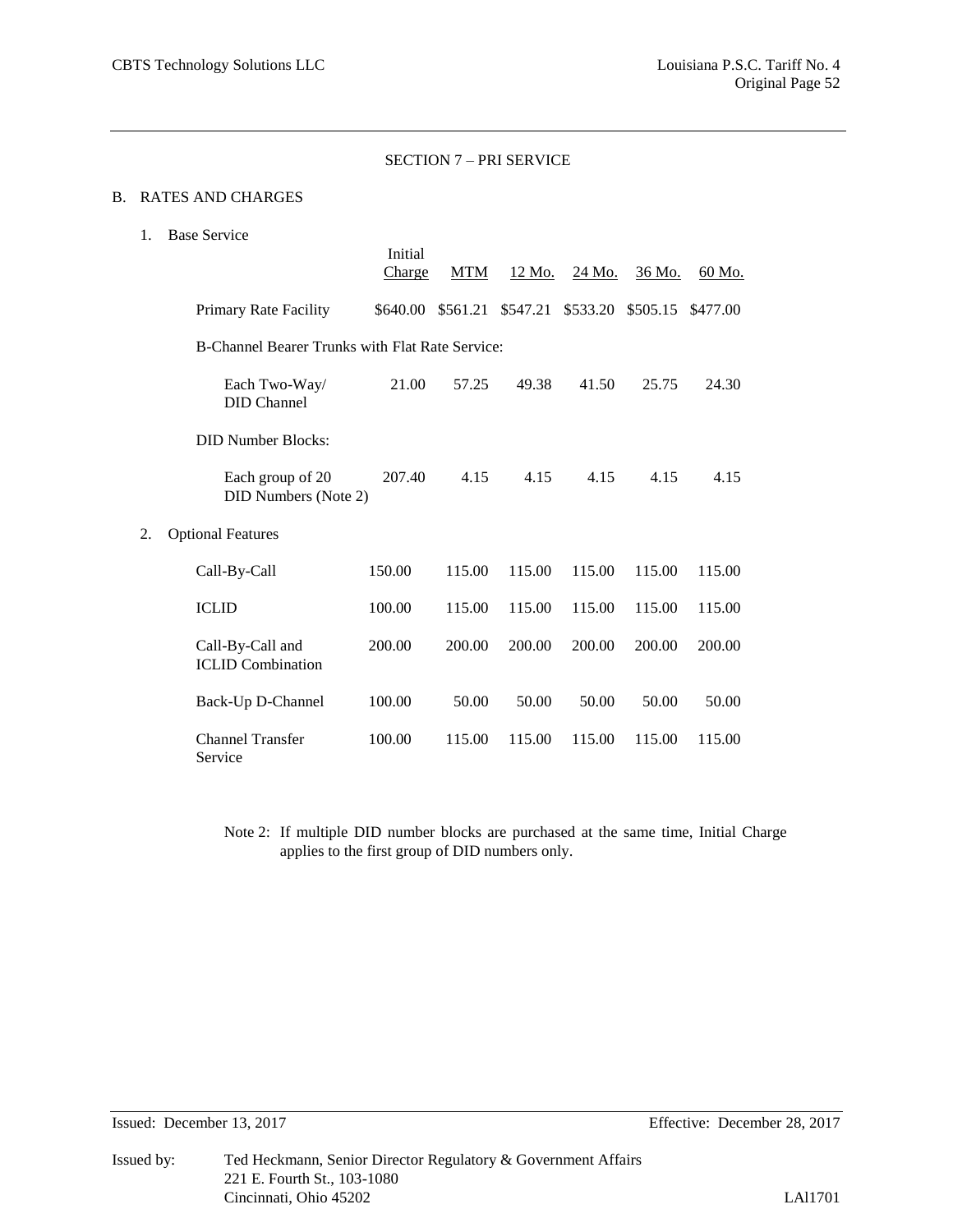# B. RATES AND CHARGES

1. Base Service

|    |                                                        | Initial<br><b>Charge</b> | <b>MTM</b> | 12 Mo.   | 24 Mo.            | 36 Mo. | 60 Mo.   |
|----|--------------------------------------------------------|--------------------------|------------|----------|-------------------|--------|----------|
|    | Primary Rate Facility                                  | \$640.00                 | \$561.21   | \$547.21 | \$533.20 \$505.15 |        | \$477.00 |
|    | <b>B-Channel Bearer Trunks with Flat Rate Service:</b> |                          |            |          |                   |        |          |
|    | Each Two-Way/<br><b>DID</b> Channel                    | 21.00                    | 57.25      | 49.38    | 41.50             | 25.75  | 24.30    |
|    | <b>DID Number Blocks:</b>                              |                          |            |          |                   |        |          |
|    | Each group of 20<br>DID Numbers (Note 2)               | 207.40                   | 4.15       | 4.15     | 4.15              | 4.15   | 4.15     |
| 2. | <b>Optional Features</b>                               |                          |            |          |                   |        |          |
|    | Call-By-Call                                           | 150.00                   | 115.00     | 115.00   | 115.00            | 115.00 | 115.00   |
|    | <b>ICLID</b>                                           | 100.00                   | 115.00     | 115.00   | 115.00            | 115.00 | 115.00   |
|    | Call-By-Call and<br><b>ICLID</b> Combination           | 200.00                   | 200.00     | 200.00   | 200.00            | 200.00 | 200.00   |
|    | Back-Up D-Channel                                      | 100.00                   | 50.00      | 50.00    | 50.00             | 50.00  | 50.00    |
|    | <b>Channel Transfer</b><br>Service                     | 100.00                   | 115.00     | 115.00   | 115.00            | 115.00 | 115.00   |

Note 2: If multiple DID number blocks are purchased at the same time, Initial Charge applies to the first group of DID numbers only.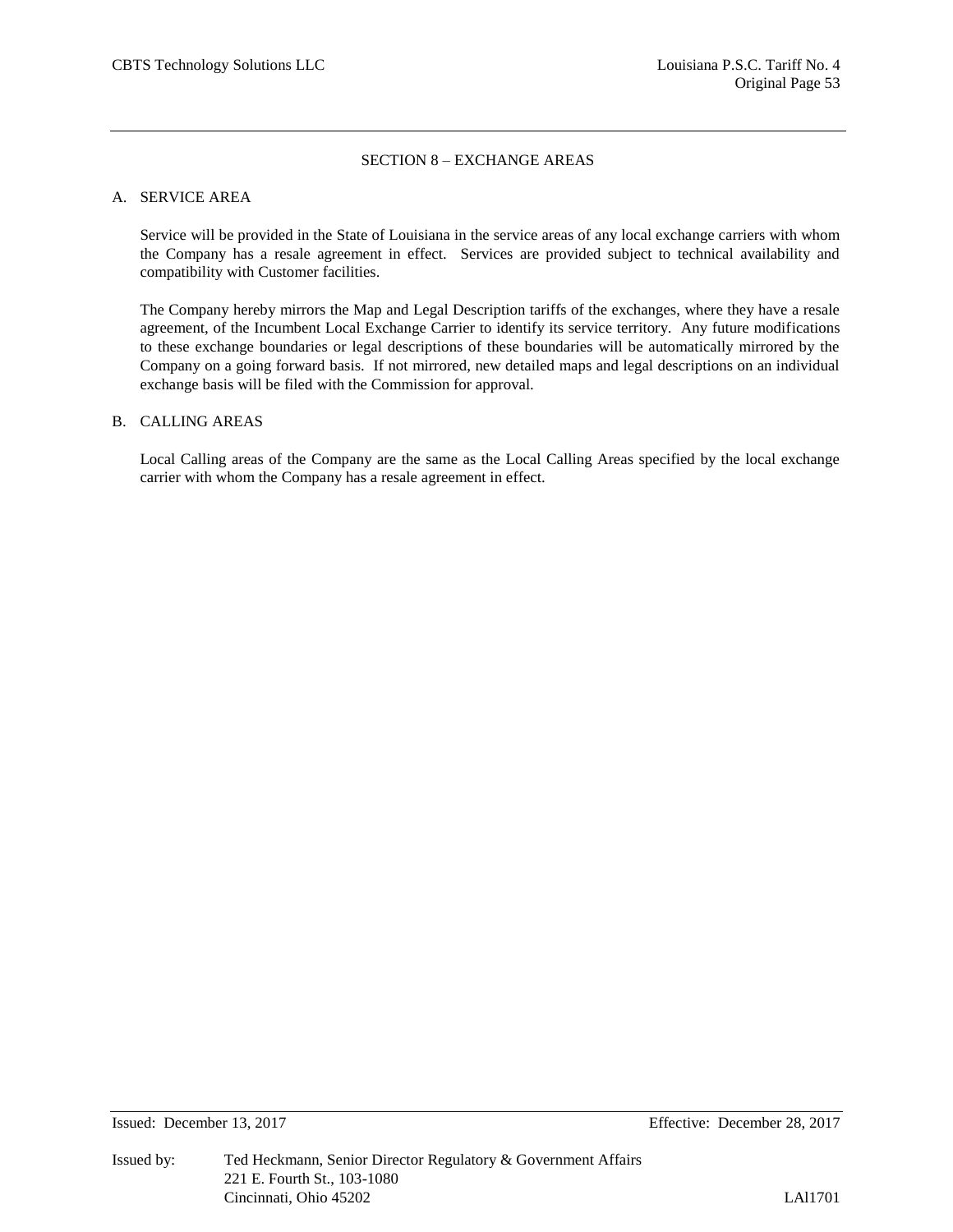#### SECTION 8 – EXCHANGE AREAS

#### A. SERVICE AREA

Service will be provided in the State of Louisiana in the service areas of any local exchange carriers with whom the Company has a resale agreement in effect. Services are provided subject to technical availability and compatibility with Customer facilities.

The Company hereby mirrors the Map and Legal Description tariffs of the exchanges, where they have a resale agreement, of the Incumbent Local Exchange Carrier to identify its service territory. Any future modifications to these exchange boundaries or legal descriptions of these boundaries will be automatically mirrored by the Company on a going forward basis. If not mirrored, new detailed maps and legal descriptions on an individual exchange basis will be filed with the Commission for approval.

#### B. CALLING AREAS

Local Calling areas of the Company are the same as the Local Calling Areas specified by the local exchange carrier with whom the Company has a resale agreement in effect.